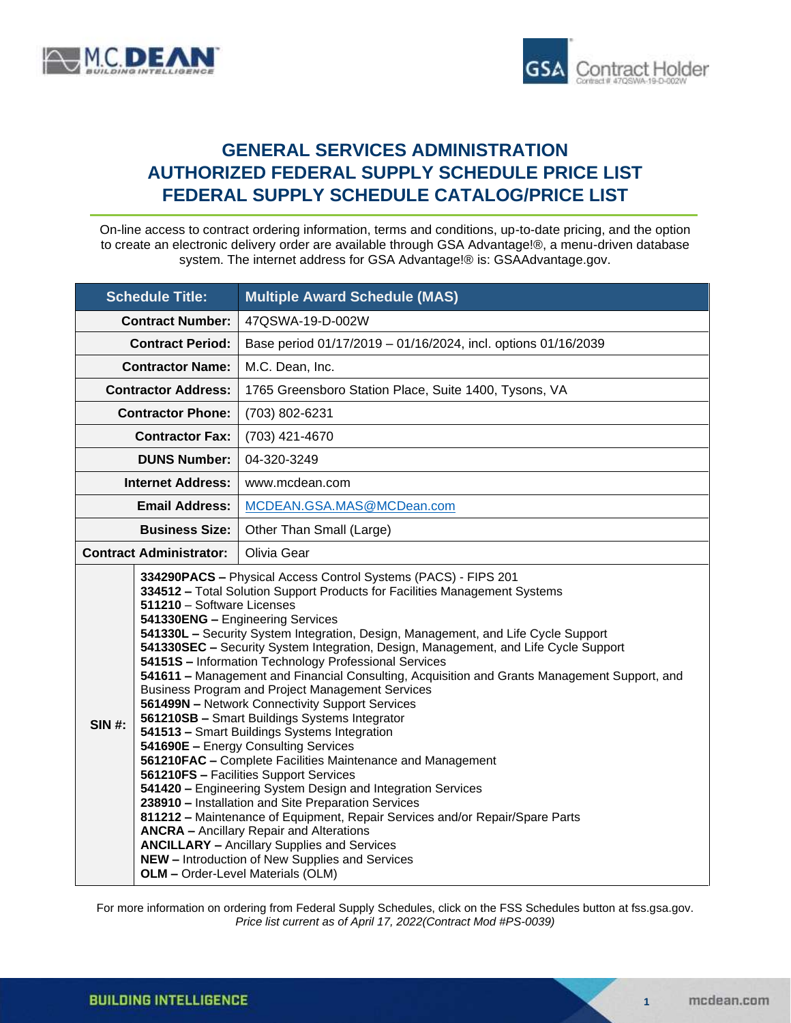



# **GENERAL SERVICES ADMINISTRATION AUTHORIZED FEDERAL SUPPLY SCHEDULE PRICE LIST FEDERAL SUPPLY SCHEDULE CATALOG/PRICE LIST**

On-line access to contract ordering information, terms and conditions, up-to-date pricing, and the option to create an electronic delivery order are available through GSA Advantage!®, a menu-driven database system. The internet address for GSA Advantage!® is: GSAAdvantage.gov.

| <b>Schedule Title:</b>                                                                                                                                                                                                                                                                                                                                                                                                                                                                                                                                                                                                                                                                                                                                                                                                                                                                                                                                                                                                                                                                                                                                                                                                                                                                               |                            | <b>Multiple Award Schedule (MAS)</b>                          |
|------------------------------------------------------------------------------------------------------------------------------------------------------------------------------------------------------------------------------------------------------------------------------------------------------------------------------------------------------------------------------------------------------------------------------------------------------------------------------------------------------------------------------------------------------------------------------------------------------------------------------------------------------------------------------------------------------------------------------------------------------------------------------------------------------------------------------------------------------------------------------------------------------------------------------------------------------------------------------------------------------------------------------------------------------------------------------------------------------------------------------------------------------------------------------------------------------------------------------------------------------------------------------------------------------|----------------------------|---------------------------------------------------------------|
| <b>Contract Number:</b>                                                                                                                                                                                                                                                                                                                                                                                                                                                                                                                                                                                                                                                                                                                                                                                                                                                                                                                                                                                                                                                                                                                                                                                                                                                                              |                            | 47QSWA-19-D-002W                                              |
| <b>Contract Period:</b>                                                                                                                                                                                                                                                                                                                                                                                                                                                                                                                                                                                                                                                                                                                                                                                                                                                                                                                                                                                                                                                                                                                                                                                                                                                                              |                            | Base period 01/17/2019 - 01/16/2024, incl. options 01/16/2039 |
| <b>Contractor Name:</b>                                                                                                                                                                                                                                                                                                                                                                                                                                                                                                                                                                                                                                                                                                                                                                                                                                                                                                                                                                                                                                                                                                                                                                                                                                                                              |                            | M.C. Dean, Inc.                                               |
|                                                                                                                                                                                                                                                                                                                                                                                                                                                                                                                                                                                                                                                                                                                                                                                                                                                                                                                                                                                                                                                                                                                                                                                                                                                                                                      | <b>Contractor Address:</b> | 1765 Greensboro Station Place, Suite 1400, Tysons, VA         |
|                                                                                                                                                                                                                                                                                                                                                                                                                                                                                                                                                                                                                                                                                                                                                                                                                                                                                                                                                                                                                                                                                                                                                                                                                                                                                                      | <b>Contractor Phone:</b>   | (703) 802-6231                                                |
|                                                                                                                                                                                                                                                                                                                                                                                                                                                                                                                                                                                                                                                                                                                                                                                                                                                                                                                                                                                                                                                                                                                                                                                                                                                                                                      | <b>Contractor Fax:</b>     | (703) 421-4670                                                |
|                                                                                                                                                                                                                                                                                                                                                                                                                                                                                                                                                                                                                                                                                                                                                                                                                                                                                                                                                                                                                                                                                                                                                                                                                                                                                                      | <b>DUNS Number:</b>        | 04-320-3249                                                   |
|                                                                                                                                                                                                                                                                                                                                                                                                                                                                                                                                                                                                                                                                                                                                                                                                                                                                                                                                                                                                                                                                                                                                                                                                                                                                                                      | <b>Internet Address:</b>   | www.mcdean.com                                                |
|                                                                                                                                                                                                                                                                                                                                                                                                                                                                                                                                                                                                                                                                                                                                                                                                                                                                                                                                                                                                                                                                                                                                                                                                                                                                                                      | <b>Email Address:</b>      | MCDEAN.GSA.MAS@MCDean.com                                     |
|                                                                                                                                                                                                                                                                                                                                                                                                                                                                                                                                                                                                                                                                                                                                                                                                                                                                                                                                                                                                                                                                                                                                                                                                                                                                                                      | <b>Business Size:</b>      | Other Than Small (Large)                                      |
| <b>Contract Administrator:</b>                                                                                                                                                                                                                                                                                                                                                                                                                                                                                                                                                                                                                                                                                                                                                                                                                                                                                                                                                                                                                                                                                                                                                                                                                                                                       |                            | Olivia Gear                                                   |
| 334290PACS - Physical Access Control Systems (PACS) - FIPS 201<br>334512 - Total Solution Support Products for Facilities Management Systems<br>511210 - Software Licenses<br>541330ENG - Engineering Services<br>541330L - Security System Integration, Design, Management, and Life Cycle Support<br>541330SEC - Security System Integration, Design, Management, and Life Cycle Support<br>54151S - Information Technology Professional Services<br>541611 - Management and Financial Consulting, Acquisition and Grants Management Support, and<br><b>Business Program and Project Management Services</b><br>561499N - Network Connectivity Support Services<br>561210SB - Smart Buildings Systems Integrator<br><b>SIN#:</b><br>541513 - Smart Buildings Systems Integration<br>541690E - Energy Consulting Services<br>561210FAC - Complete Facilities Maintenance and Management<br>561210FS - Facilities Support Services<br>541420 - Engineering System Design and Integration Services<br>238910 - Installation and Site Preparation Services<br>811212 - Maintenance of Equipment, Repair Services and/or Repair/Spare Parts<br><b>ANCRA</b> - Ancillary Repair and Alterations<br><b>ANCILLARY - Ancillary Supplies and Services</b><br>NEW - Introduction of New Supplies and Services |                            | <b>OLM - Order-Level Materials (OLM)</b>                      |

For more information on ordering from Federal Supply Schedules, click on the FSS Schedules button at fss.gsa.gov. *Price list current as of April 17, 2022(Contract Mod #PS-0039)*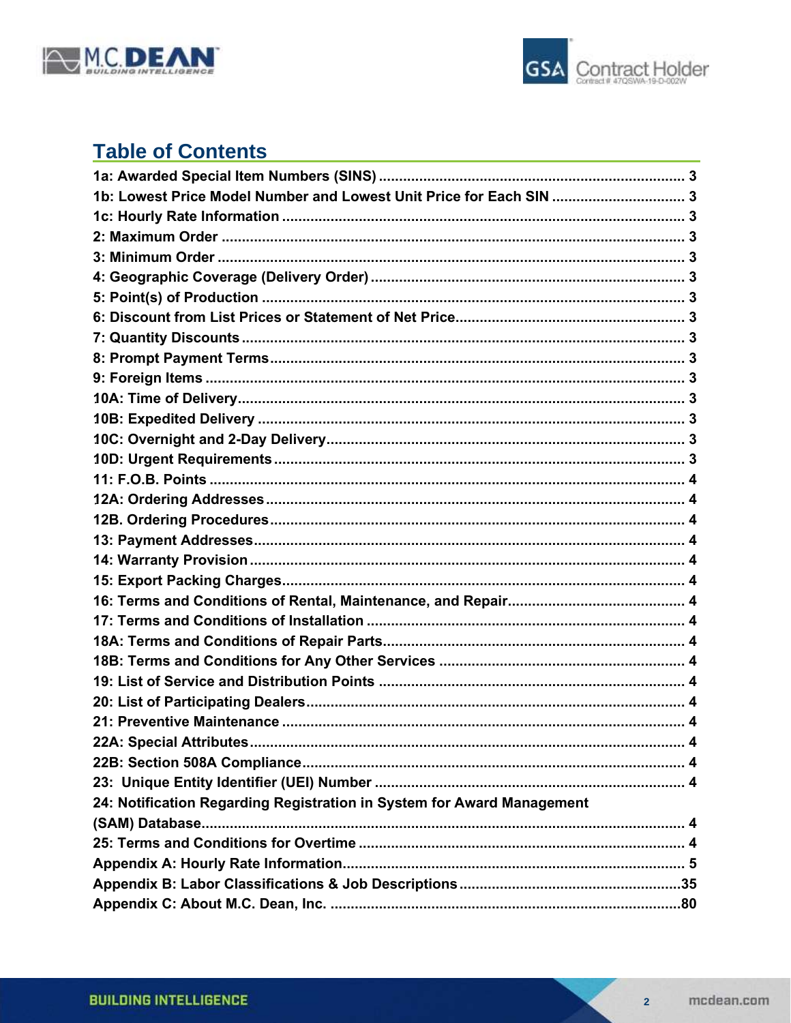



# **Table of Contents**

| 1b: Lowest Price Model Number and Lowest Unit Price for Each SIN  3    |  |
|------------------------------------------------------------------------|--|
|                                                                        |  |
|                                                                        |  |
|                                                                        |  |
|                                                                        |  |
|                                                                        |  |
|                                                                        |  |
|                                                                        |  |
|                                                                        |  |
|                                                                        |  |
|                                                                        |  |
|                                                                        |  |
|                                                                        |  |
|                                                                        |  |
|                                                                        |  |
|                                                                        |  |
|                                                                        |  |
|                                                                        |  |
|                                                                        |  |
|                                                                        |  |
|                                                                        |  |
|                                                                        |  |
|                                                                        |  |
|                                                                        |  |
|                                                                        |  |
|                                                                        |  |
|                                                                        |  |
| 22A: Special Attributes.<br>4                                          |  |
|                                                                        |  |
|                                                                        |  |
| 24: Notification Regarding Registration in System for Award Management |  |
|                                                                        |  |
|                                                                        |  |
|                                                                        |  |
|                                                                        |  |
|                                                                        |  |

 $\overline{2}$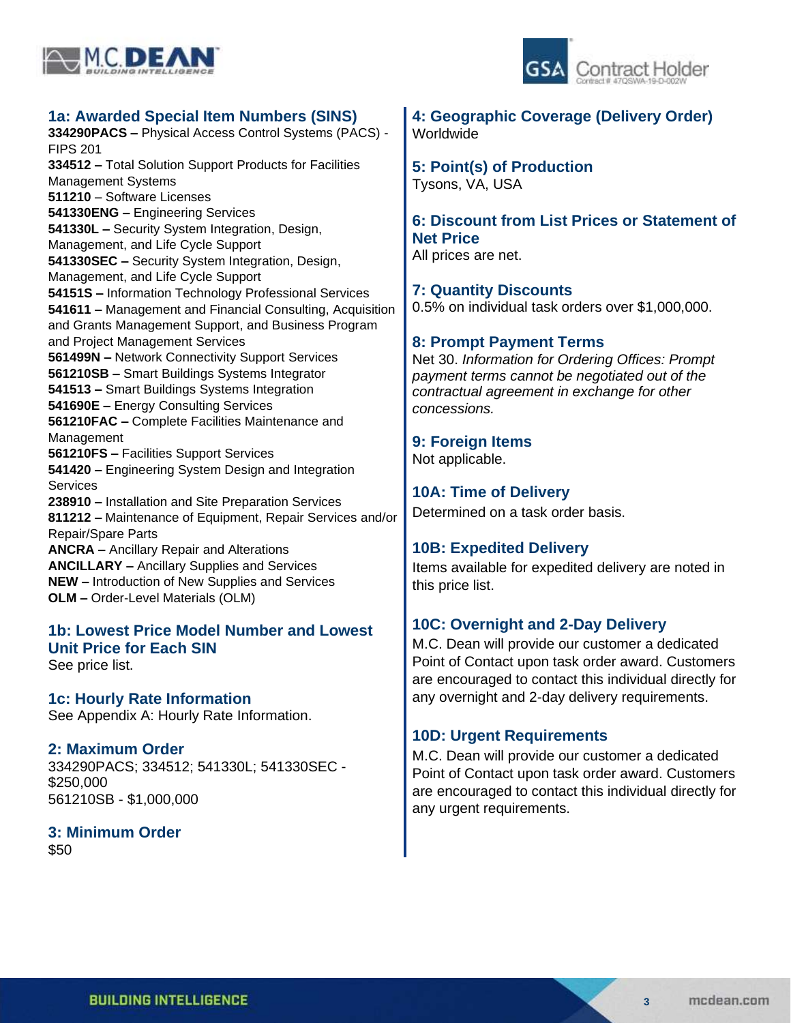



## <span id="page-2-0"></span>**1a: Awarded Special Item Numbers (SINS)**

**334290PACS –** Physical Access Control Systems (PACS) - FIPS 201 **334512 –** Total Solution Support Products for Facilities Management Systems **511210** – Software Licenses **541330ENG –** Engineering Services **541330L –** Security System Integration, Design, Management, and Life Cycle Support **541330SEC –** Security System Integration, Design, Management, and Life Cycle Support **54151S –** Information Technology Professional Services **541611 –** Management and Financial Consulting, Acquisition and Grants Management Support, and Business Program and Project Management Services **561499N –** Network Connectivity Support Services **561210SB –** Smart Buildings Systems Integrator **541513 –** Smart Buildings Systems Integration **541690E –** Energy Consulting Services **561210FAC –** Complete Facilities Maintenance and Management **561210FS –** Facilities Support Services **541420 –** Engineering System Design and Integration Services **238910 –** Installation and Site Preparation Services **811212 –** Maintenance of Equipment, Repair Services and/or Repair/Spare Parts **ANCRA –** Ancillary Repair and Alterations **ANCILLARY –** Ancillary Supplies and Services **NEW –** Introduction of New Supplies and Services **OLM –** Order-Level Materials (OLM)

## <span id="page-2-1"></span>**1b: Lowest Price Model Number and Lowest Unit Price for Each SIN**

See price list.

<span id="page-2-2"></span>**1c: Hourly Rate Information** See Appendix A: Hourly Rate Information.

#### <span id="page-2-3"></span>**2: Maximum Order** 334290PACS; 334512; 541330L; 541330SEC - \$250,000 561210SB - \$1,000,000

<span id="page-2-4"></span>**3: Minimum Order** \$50

<span id="page-2-5"></span>**4: Geographic Coverage (Delivery Order) Worldwide** 

<span id="page-2-6"></span>**5: Point(s) of Production** Tysons, VA, USA

<span id="page-2-7"></span>**6: Discount from List Prices or Statement of Net Price** All prices are net.

<span id="page-2-8"></span>**7: Quantity Discounts** 0.5% on individual task orders over \$1,000,000.

#### <span id="page-2-9"></span>**8: Prompt Payment Terms**

Net 30. *Information for Ordering Offices: Prompt payment terms cannot be negotiated out of the contractual agreement in exchange for other concessions.*

# <span id="page-2-10"></span>**9: Foreign Items**

Not applicable.

<span id="page-2-11"></span>*12B***10A: Time of Delivery** Determined on a task order basis.

### <span id="page-2-12"></span>**10B: Expedited Delivery**

Items available for expedited delivery are noted in this price list.

### <span id="page-2-13"></span>*14B***10C: Overnight and 2-Day Delivery**

M.C. Dean will provide our customer a dedicated Point of Contact upon task order award. Customers are encouraged to contact this individual directly for any overnight and 2-day delivery requirements.

#### <span id="page-2-14"></span>**10D: Urgent Requirements**

M.C. Dean will provide our customer a dedicated Point of Contact upon task order award. Customers are encouraged to contact this individual directly for any urgent requirements.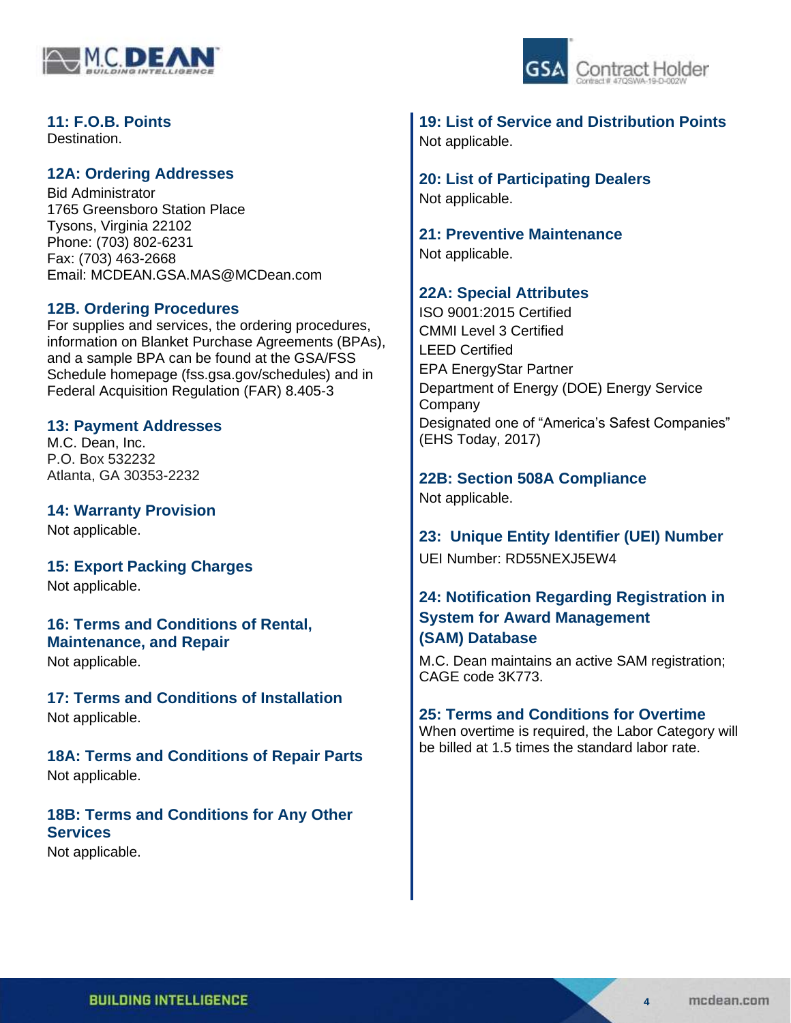

#### <span id="page-3-0"></span>**11: F.O.B. Points**

Destination.

## <span id="page-3-1"></span>*16B***12A: Ordering Addresses**

Bid Administrator 1765 Greensboro Station Place Tysons, Virginia 22102 Phone: (703) 802-6231 Fax: (703) 463-2668 Email: MCDEAN.GSA.MAS@MCDean.com

### <span id="page-3-2"></span>**12B. Ordering Procedures**

For supplies and services, the ordering procedures, information on Blanket Purchase Agreements (BPAs), and a sample BPA can be found at the GSA/FSS Schedule homepage (fss.gsa.gov/schedules) and in Federal Acquisition Regulation (FAR) 8.405-3

#### <span id="page-3-3"></span>**13: Payment Addresses**

M.C. Dean, Inc. P.O. Box 532232 Atlanta, GA 30353-2232

<span id="page-3-4"></span>**14: Warranty Provision** Not applicable.

<span id="page-3-5"></span>**15: Export Packing Charges** Not applicable.

<span id="page-3-6"></span>**16: Terms and Conditions of Rental, Maintenance, and Repair** Not applicable.

<span id="page-3-7"></span>**17: Terms and Conditions of Installation**  Not applicable.

<span id="page-3-8"></span>**18A: Terms and Conditions of Repair Parts**  Not applicable.

<span id="page-3-9"></span>**18B: Terms and Conditions for Any Other Services**  Not applicable.



## <span id="page-3-10"></span>**19: List of Service and Distribution Points** Not applicable.

<span id="page-3-11"></span>**20: List of Participating Dealers** Not applicable.

<span id="page-3-12"></span>**21: Preventive Maintenance** Not applicable.

## <span id="page-3-13"></span>**22A: Special Attributes**

ISO 9001:2015 Certified CMMI Level 3 Certified LEED Certified EPA EnergyStar Partner Department of Energy (DOE) Energy Service Company Designated one of "America's Safest Companies" (EHS Today, 2017)

# <span id="page-3-14"></span>**22B: Section 508A Compliance**

Not applicable.

## <span id="page-3-15"></span>**23: Unique Entity Identifier (UEI) Number**

UEI Number: RD55NEXJ5EW4

## <span id="page-3-16"></span>*32B***24: Notification Regarding Registration in System for Award Management (SAM) Database**

<span id="page-3-17"></span>M.C. Dean maintains an active SAM registration; CAGE code 3K773.

### <span id="page-3-18"></span>**25: Terms and Conditions for Overtime**

When overtime is required, the Labor Category will be billed at 1.5 times the standard labor rate.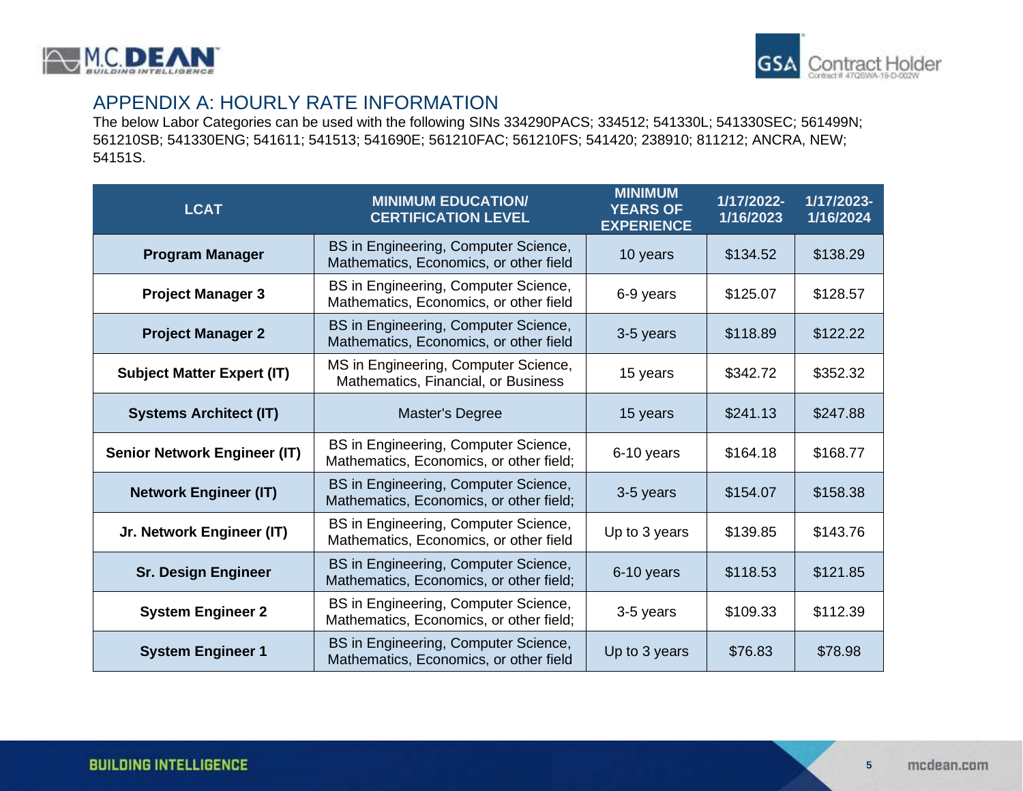



# APPENDIX A: HOURLY RATE INFORMATION

The below Labor Categories can be used with the following SINs 334290PACS; 334512; 541330L; 541330SEC; 561499N; 561210SB; 541330ENG; 541611; 541513; 541690E; 561210FAC; 561210FS; 541420; 238910; 811212; ANCRA, NEW; 54151S.

<span id="page-4-0"></span>

| <b>LCAT</b>                         | <b>MINIMUM EDUCATION/</b><br><b>CERTIFICATION LEVEL</b>                         | <b>MINIMUM</b><br><b>YEARS OF</b><br><b>EXPERIENCE</b> | 1/17/2022-<br>1/16/2023 | 1/17/2023-<br>1/16/2024 |
|-------------------------------------|---------------------------------------------------------------------------------|--------------------------------------------------------|-------------------------|-------------------------|
| <b>Program Manager</b>              | BS in Engineering, Computer Science,<br>Mathematics, Economics, or other field  | 10 years                                               | \$134.52                | \$138.29                |
| <b>Project Manager 3</b>            | BS in Engineering, Computer Science,<br>Mathematics, Economics, or other field  | 6-9 years                                              | \$125.07                | \$128.57                |
| <b>Project Manager 2</b>            | BS in Engineering, Computer Science,<br>Mathematics, Economics, or other field  | 3-5 years                                              | \$118.89                | \$122.22                |
| <b>Subject Matter Expert (IT)</b>   | MS in Engineering, Computer Science,<br>Mathematics, Financial, or Business     | 15 years                                               | \$342.72                | \$352.32                |
| <b>Systems Architect (IT)</b>       | Master's Degree                                                                 | 15 years                                               | \$241.13                | \$247.88                |
| <b>Senior Network Engineer (IT)</b> | BS in Engineering, Computer Science,<br>Mathematics, Economics, or other field; | 6-10 years                                             | \$164.18                | \$168.77                |
| <b>Network Engineer (IT)</b>        | BS in Engineering, Computer Science,<br>Mathematics, Economics, or other field; | 3-5 years                                              | \$154.07                | \$158.38                |
| Jr. Network Engineer (IT)           | BS in Engineering, Computer Science,<br>Mathematics, Economics, or other field  | Up to 3 years                                          | \$139.85                | \$143.76                |
| <b>Sr. Design Engineer</b>          | BS in Engineering, Computer Science,<br>Mathematics, Economics, or other field; | 6-10 years                                             | \$118.53                | \$121.85                |
| <b>System Engineer 2</b>            | BS in Engineering, Computer Science,<br>Mathematics, Economics, or other field; | 3-5 years                                              | \$109.33                | \$112.39                |
| <b>System Engineer 1</b>            | BS in Engineering, Computer Science,<br>Mathematics, Economics, or other field  | Up to 3 years                                          | \$76.83                 | \$78.98                 |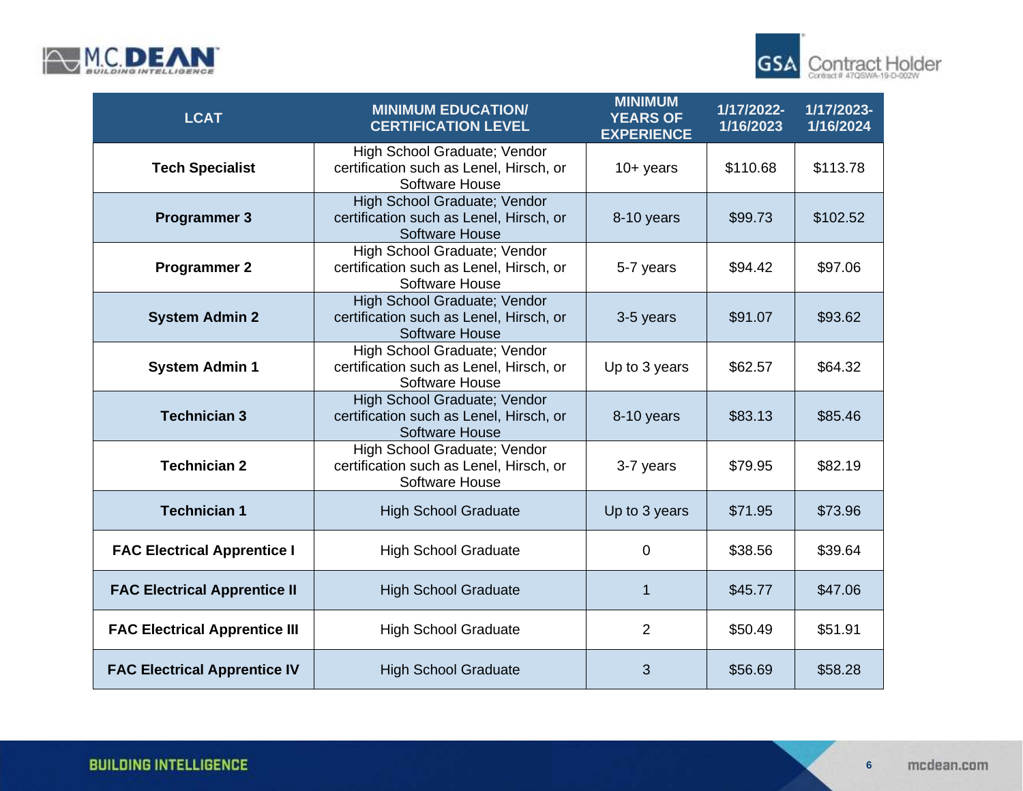



| <b>LCAT</b>                          | <b>MINIMUM EDUCATION/</b><br><b>CERTIFICATION LEVEL</b>                                          | <b>MINIMUM</b><br><b>YEARS OF</b><br><b>EXPERIENCE</b> | 1/17/2022-<br>1/16/2023 | 1/17/2023-<br>1/16/2024 |
|--------------------------------------|--------------------------------------------------------------------------------------------------|--------------------------------------------------------|-------------------------|-------------------------|
| <b>Tech Specialist</b>               | High School Graduate; Vendor<br>certification such as Lenel, Hirsch, or<br>Software House        | $10+$ years                                            | \$110.68                | \$113.78                |
| <b>Programmer 3</b>                  | High School Graduate; Vendor<br>certification such as Lenel, Hirsch, or<br><b>Software House</b> | 8-10 years                                             | \$99.73                 | \$102.52                |
| <b>Programmer 2</b>                  | High School Graduate; Vendor<br>certification such as Lenel, Hirsch, or<br>Software House        | 5-7 years                                              | \$94.42                 | \$97.06                 |
| <b>System Admin 2</b>                | High School Graduate; Vendor<br>certification such as Lenel, Hirsch, or<br><b>Software House</b> | 3-5 years                                              | \$91.07                 | \$93.62                 |
| <b>System Admin 1</b>                | High School Graduate; Vendor<br>certification such as Lenel, Hirsch, or<br>Software House        | Up to 3 years                                          | \$62.57                 | \$64.32                 |
| <b>Technician 3</b>                  | High School Graduate; Vendor<br>certification such as Lenel, Hirsch, or<br><b>Software House</b> | 8-10 years                                             | \$83.13                 | \$85.46                 |
| <b>Technician 2</b>                  | High School Graduate; Vendor<br>certification such as Lenel, Hirsch, or<br>Software House        | 3-7 years                                              | \$79.95                 | \$82.19                 |
| <b>Technician 1</b>                  | <b>High School Graduate</b>                                                                      | Up to 3 years                                          | \$71.95                 | \$73.96                 |
| <b>FAC Electrical Apprentice I</b>   | <b>High School Graduate</b>                                                                      | $\overline{0}$                                         | \$38.56                 | \$39.64                 |
| <b>FAC Electrical Apprentice II</b>  | <b>High School Graduate</b>                                                                      | 1                                                      | \$45.77                 | \$47.06                 |
| <b>FAC Electrical Apprentice III</b> | <b>High School Graduate</b>                                                                      | 2                                                      | \$50.49                 | \$51.91                 |
| <b>FAC Electrical Apprentice IV</b>  | <b>High School Graduate</b>                                                                      | 3                                                      | \$56.69                 | \$58.28                 |

mcdean.com

 $6\phantom{a}$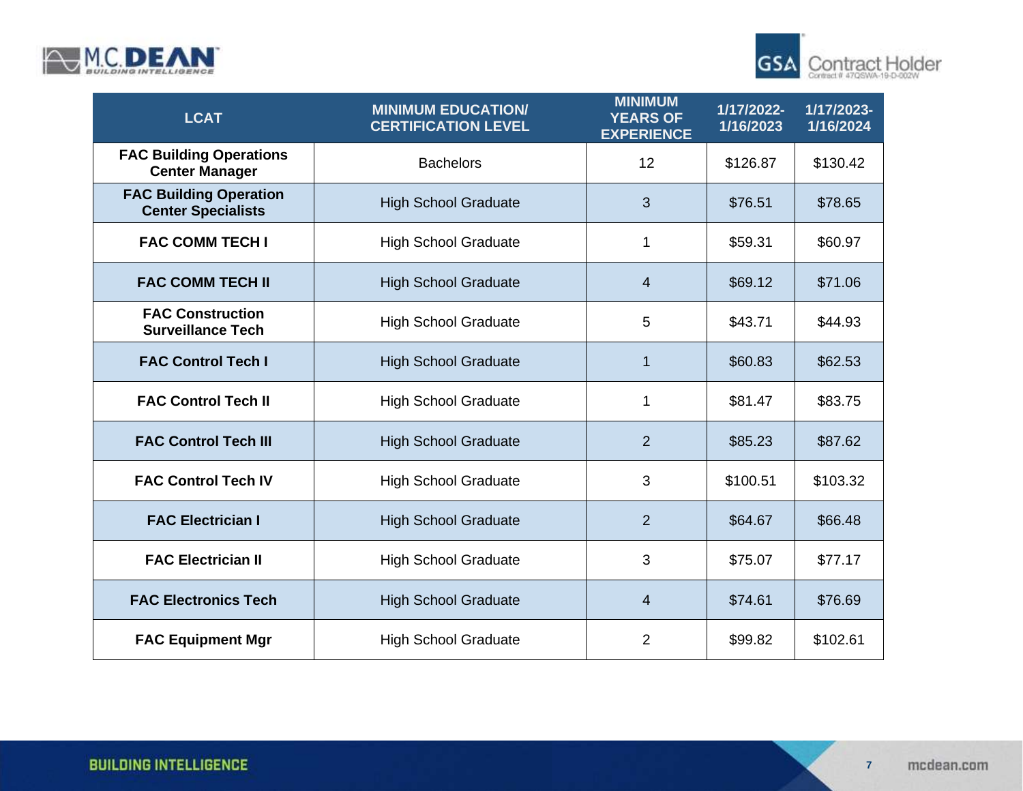



| <b>LCAT</b>                                                | <b>MINIMUM EDUCATION/</b><br><b>CERTIFICATION LEVEL</b> | <b>MINIMUM</b><br><b>YEARS OF</b><br><b>EXPERIENCE</b> | 1/17/2022-<br>1/16/2023 | 1/17/2023-<br>1/16/2024 |
|------------------------------------------------------------|---------------------------------------------------------|--------------------------------------------------------|-------------------------|-------------------------|
| <b>FAC Building Operations</b><br><b>Center Manager</b>    | <b>Bachelors</b>                                        | 12                                                     | \$126.87                | \$130.42                |
| <b>FAC Building Operation</b><br><b>Center Specialists</b> | <b>High School Graduate</b>                             | 3                                                      | \$76.51                 | \$78.65                 |
| <b>FAC COMM TECH I</b>                                     | <b>High School Graduate</b>                             | 1                                                      | \$59.31                 | \$60.97                 |
| <b>FAC COMM TECH II</b>                                    | <b>High School Graduate</b>                             | 4                                                      | \$69.12                 | \$71.06                 |
| <b>FAC Construction</b><br><b>Surveillance Tech</b>        | <b>High School Graduate</b>                             | 5                                                      | \$43.71                 | \$44.93                 |
| <b>FAC Control Tech I</b>                                  | <b>High School Graduate</b>                             | 1                                                      | \$60.83                 | \$62.53                 |
| <b>FAC Control Tech II</b>                                 | <b>High School Graduate</b>                             | 1                                                      | \$81.47                 | \$83.75                 |
| <b>FAC Control Tech III</b>                                | <b>High School Graduate</b>                             | $\overline{2}$                                         | \$85.23                 | \$87.62                 |
| <b>FAC Control Tech IV</b>                                 | <b>High School Graduate</b>                             | 3                                                      | \$100.51                | \$103.32                |
| <b>FAC Electrician I</b>                                   | <b>High School Graduate</b>                             | $\overline{2}$                                         | \$64.67                 | \$66.48                 |
| <b>FAC Electrician II</b>                                  | <b>High School Graduate</b>                             | 3                                                      | \$75.07                 | \$77.17                 |
| <b>FAC Electronics Tech</b>                                | <b>High School Graduate</b>                             | $\overline{4}$                                         | \$74.61                 | \$76.69                 |
| <b>FAC Equipment Mgr</b>                                   | <b>High School Graduate</b>                             | $\overline{2}$                                         | \$99.82                 | \$102.61                |

mcdean.com

 $\overline{7}$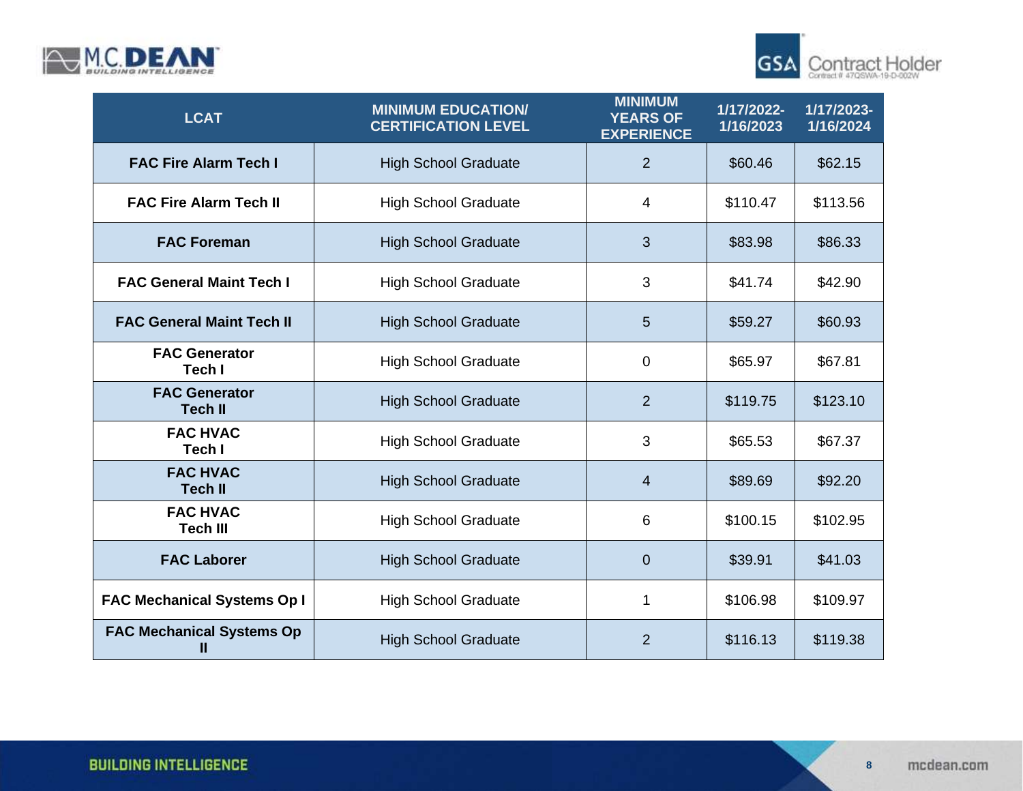



| <b>LCAT</b>                                      | <b>MINIMUM EDUCATION/</b><br><b>CERTIFICATION LEVEL</b> | <b>MINIMUM</b><br><b>YEARS OF</b><br><b>EXPERIENCE</b> | 1/17/2022-<br>1/16/2023 | 1/17/2023-<br>1/16/2024 |
|--------------------------------------------------|---------------------------------------------------------|--------------------------------------------------------|-------------------------|-------------------------|
| <b>FAC Fire Alarm Tech I</b>                     | <b>High School Graduate</b>                             | $\overline{2}$                                         | \$60.46                 | \$62.15                 |
| <b>FAC Fire Alarm Tech II</b>                    | <b>High School Graduate</b>                             | 4                                                      | \$110.47                | \$113.56                |
| <b>FAC Foreman</b>                               | <b>High School Graduate</b>                             | 3                                                      | \$83.98                 | \$86.33                 |
| <b>FAC General Maint Tech I</b>                  | <b>High School Graduate</b>                             | 3                                                      | \$41.74                 | \$42.90                 |
| <b>FAC General Maint Tech II</b>                 | <b>High School Graduate</b>                             | 5                                                      | \$59.27                 | \$60.93                 |
| <b>FAC Generator</b><br>Tech I                   | <b>High School Graduate</b>                             | 0                                                      | \$65.97                 | \$67.81                 |
| <b>FAC Generator</b><br><b>Tech II</b>           | <b>High School Graduate</b>                             | $\overline{2}$                                         | \$119.75                | \$123.10                |
| <b>FAC HVAC</b><br>Tech I                        | <b>High School Graduate</b>                             | 3                                                      | \$65.53                 | \$67.37                 |
| <b>FAC HVAC</b><br><b>Tech II</b>                | <b>High School Graduate</b>                             | 4                                                      | \$89.69                 | \$92.20                 |
| <b>FAC HVAC</b><br><b>Tech III</b>               | <b>High School Graduate</b>                             | 6                                                      | \$100.15                | \$102.95                |
| <b>FAC Laborer</b>                               | <b>High School Graduate</b>                             | 0                                                      | \$39.91                 | \$41.03                 |
| <b>FAC Mechanical Systems Op I</b>               | <b>High School Graduate</b>                             | 1                                                      | \$106.98                | \$109.97                |
| <b>FAC Mechanical Systems Op</b><br>$\mathbf{I}$ | <b>High School Graduate</b>                             | 2                                                      | \$116.13                | \$119.38                |

 $\overline{\mathbf{8}}$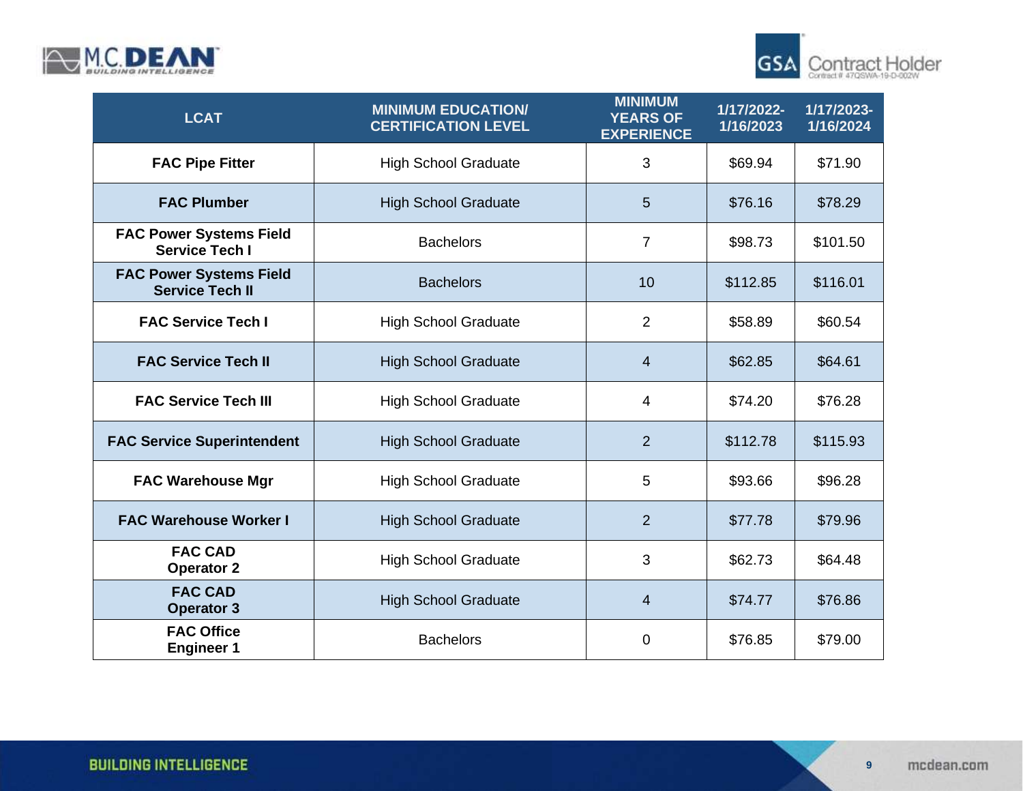



| <b>LCAT</b>                                              | <b>MINIMUM EDUCATION/</b><br><b>CERTIFICATION LEVEL</b> | <b>MINIMUM</b><br><b>YEARS OF</b><br><b>EXPERIENCE</b> | 1/17/2022-<br>1/16/2023 | 1/17/2023-<br>1/16/2024 |
|----------------------------------------------------------|---------------------------------------------------------|--------------------------------------------------------|-------------------------|-------------------------|
| <b>FAC Pipe Fitter</b>                                   | <b>High School Graduate</b>                             | 3                                                      | \$69.94                 | \$71.90                 |
| <b>FAC Plumber</b>                                       | <b>High School Graduate</b>                             | 5                                                      | \$76.16                 | \$78.29                 |
| <b>FAC Power Systems Field</b><br><b>Service Tech I</b>  | <b>Bachelors</b>                                        | $\overline{7}$                                         | \$98.73                 | \$101.50                |
| <b>FAC Power Systems Field</b><br><b>Service Tech II</b> | <b>Bachelors</b>                                        | 10                                                     | \$112.85                | \$116.01                |
| <b>FAC Service Tech I</b>                                | <b>High School Graduate</b>                             | $\overline{2}$                                         | \$58.89                 | \$60.54                 |
| <b>FAC Service Tech II</b>                               | <b>High School Graduate</b>                             | 4                                                      | \$62.85                 | \$64.61                 |
| <b>FAC Service Tech III</b>                              | <b>High School Graduate</b>                             | 4                                                      | \$74.20                 | \$76.28                 |
| <b>FAC Service Superintendent</b>                        | <b>High School Graduate</b>                             | $\overline{2}$                                         | \$112.78                | \$115.93                |
| <b>FAC Warehouse Mgr</b>                                 | <b>High School Graduate</b>                             | 5                                                      | \$93.66                 | \$96.28                 |
| <b>FAC Warehouse Worker I</b>                            | <b>High School Graduate</b>                             | $\overline{2}$                                         | \$77.78                 | \$79.96                 |
| <b>FAC CAD</b><br><b>Operator 2</b>                      | <b>High School Graduate</b>                             | 3                                                      | \$62.73                 | \$64.48                 |
| <b>FAC CAD</b><br><b>Operator 3</b>                      | <b>High School Graduate</b>                             | 4                                                      | \$74.77                 | \$76.86                 |
| <b>FAC Office</b><br><b>Engineer 1</b>                   | <b>Bachelors</b>                                        | 0                                                      | \$76.85                 | \$79.00                 |

mcdean.com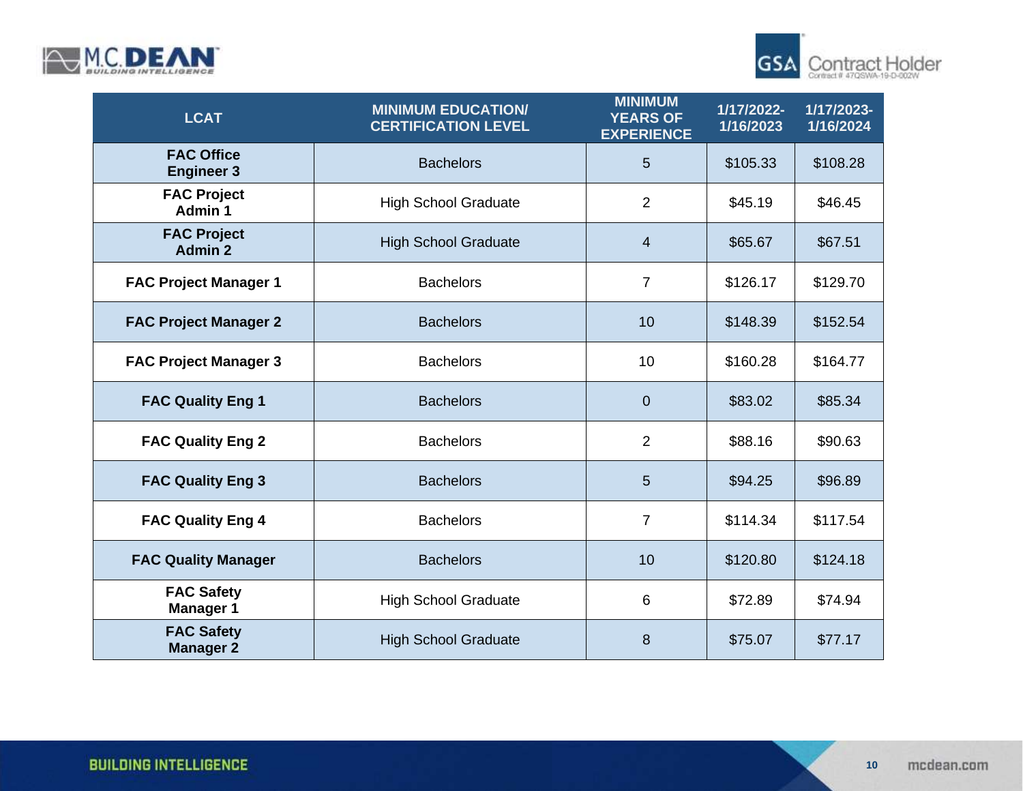



| <b>LCAT</b>                            | <b>MINIMUM EDUCATION/</b><br><b>CERTIFICATION LEVEL</b> | <b>MINIMUM</b><br><b>YEARS OF</b><br><b>EXPERIENCE</b> | 1/17/2022-<br>1/16/2023 | 1/17/2023-<br>1/16/2024 |
|----------------------------------------|---------------------------------------------------------|--------------------------------------------------------|-------------------------|-------------------------|
| <b>FAC Office</b><br><b>Engineer 3</b> | <b>Bachelors</b>                                        | 5                                                      | \$105.33                | \$108.28                |
| <b>FAC Project</b><br>Admin 1          | <b>High School Graduate</b>                             | $\overline{2}$                                         | \$45.19                 | \$46.45                 |
| <b>FAC Project</b><br><b>Admin 2</b>   | <b>High School Graduate</b>                             | $\overline{4}$                                         | \$65.67                 | \$67.51                 |
| <b>FAC Project Manager 1</b>           | <b>Bachelors</b>                                        | $\overline{7}$                                         | \$126.17                | \$129.70                |
| <b>FAC Project Manager 2</b>           | <b>Bachelors</b>                                        | 10                                                     | \$148.39                | \$152.54                |
| <b>FAC Project Manager 3</b>           | <b>Bachelors</b>                                        | 10                                                     | \$160.28                | \$164.77                |
| <b>FAC Quality Eng 1</b>               | <b>Bachelors</b>                                        | 0                                                      | \$83.02                 | \$85.34                 |
| <b>FAC Quality Eng 2</b>               | <b>Bachelors</b>                                        | $\overline{2}$                                         | \$88.16                 | \$90.63                 |
| <b>FAC Quality Eng 3</b>               | <b>Bachelors</b>                                        | 5                                                      | \$94.25                 | \$96.89                 |
| <b>FAC Quality Eng 4</b>               | <b>Bachelors</b>                                        | $\overline{7}$                                         | \$114.34                | \$117.54                |
| <b>FAC Quality Manager</b>             | <b>Bachelors</b>                                        | 10                                                     | \$120.80                | \$124.18                |
| <b>FAC Safety</b><br><b>Manager 1</b>  | <b>High School Graduate</b>                             | 6                                                      | \$72.89                 | \$74.94                 |
| <b>FAC Safety</b><br><b>Manager 2</b>  | <b>High School Graduate</b>                             | 8                                                      | \$75.07                 | \$77.17                 |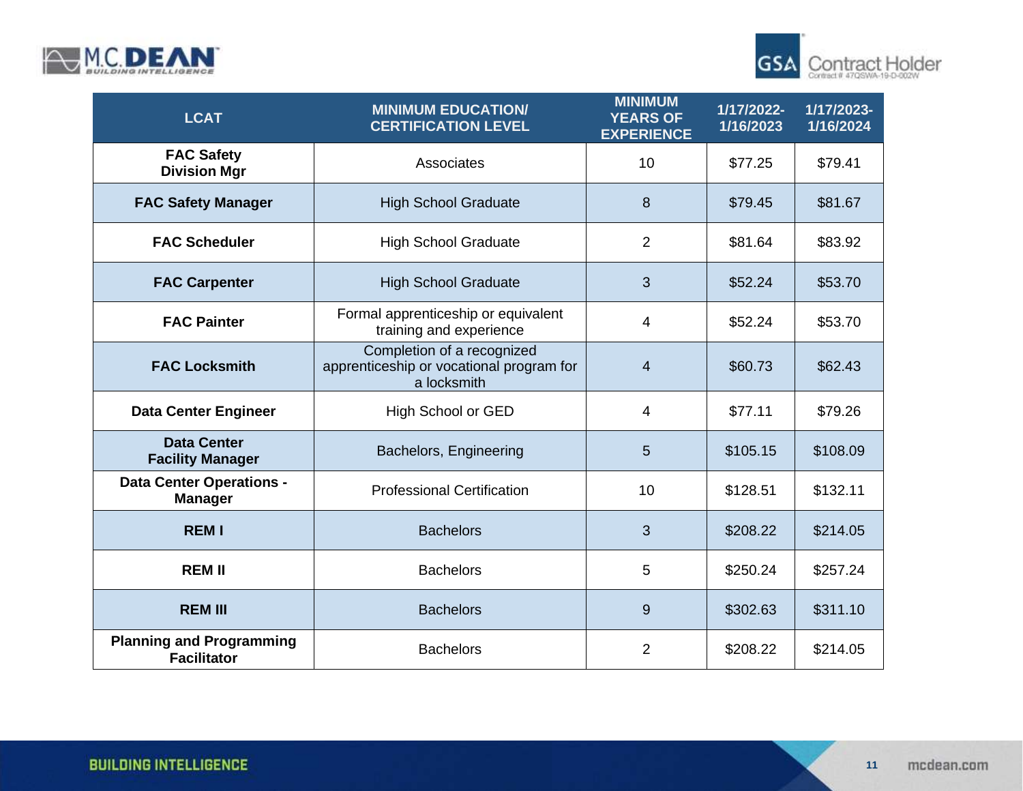



| <b>LCAT</b>                                           | <b>MINIMUM EDUCATION/</b><br><b>CERTIFICATION LEVEL</b>                               | <b>MINIMUM</b><br><b>YEARS OF</b><br><b>EXPERIENCE</b> | 1/17/2022-<br>1/16/2023 | 1/17/2023-<br>1/16/2024 |
|-------------------------------------------------------|---------------------------------------------------------------------------------------|--------------------------------------------------------|-------------------------|-------------------------|
| <b>FAC Safety</b><br><b>Division Mgr</b>              | Associates                                                                            | 10                                                     | \$77.25                 | \$79.41                 |
| <b>FAC Safety Manager</b>                             | <b>High School Graduate</b>                                                           | 8                                                      | \$79.45                 | \$81.67                 |
| <b>FAC Scheduler</b>                                  | <b>High School Graduate</b>                                                           | 2                                                      | \$81.64                 | \$83.92                 |
| <b>FAC Carpenter</b>                                  | <b>High School Graduate</b>                                                           | 3                                                      | \$52.24                 | \$53.70                 |
| <b>FAC Painter</b>                                    | Formal apprenticeship or equivalent<br>training and experience                        | 4                                                      | \$52.24                 | \$53.70                 |
| <b>FAC Locksmith</b>                                  | Completion of a recognized<br>apprenticeship or vocational program for<br>a locksmith | 4                                                      | \$60.73                 | \$62.43                 |
| <b>Data Center Engineer</b>                           | High School or GED                                                                    | 4                                                      | \$77.11                 | \$79.26                 |
| <b>Data Center</b><br><b>Facility Manager</b>         | Bachelors, Engineering                                                                | 5                                                      | \$105.15                | \$108.09                |
| <b>Data Center Operations -</b><br><b>Manager</b>     | <b>Professional Certification</b>                                                     | 10                                                     | \$128.51                | \$132.11                |
| <b>REMI</b>                                           | <b>Bachelors</b>                                                                      | 3                                                      | \$208.22                | \$214.05                |
| <b>REM II</b>                                         | <b>Bachelors</b>                                                                      | 5                                                      | \$250.24                | \$257.24                |
| <b>REM III</b>                                        | <b>Bachelors</b>                                                                      | 9                                                      | \$302.63                | \$311.10                |
| <b>Planning and Programming</b><br><b>Facilitator</b> | <b>Bachelors</b>                                                                      | $\overline{2}$                                         | \$208.22                | \$214.05                |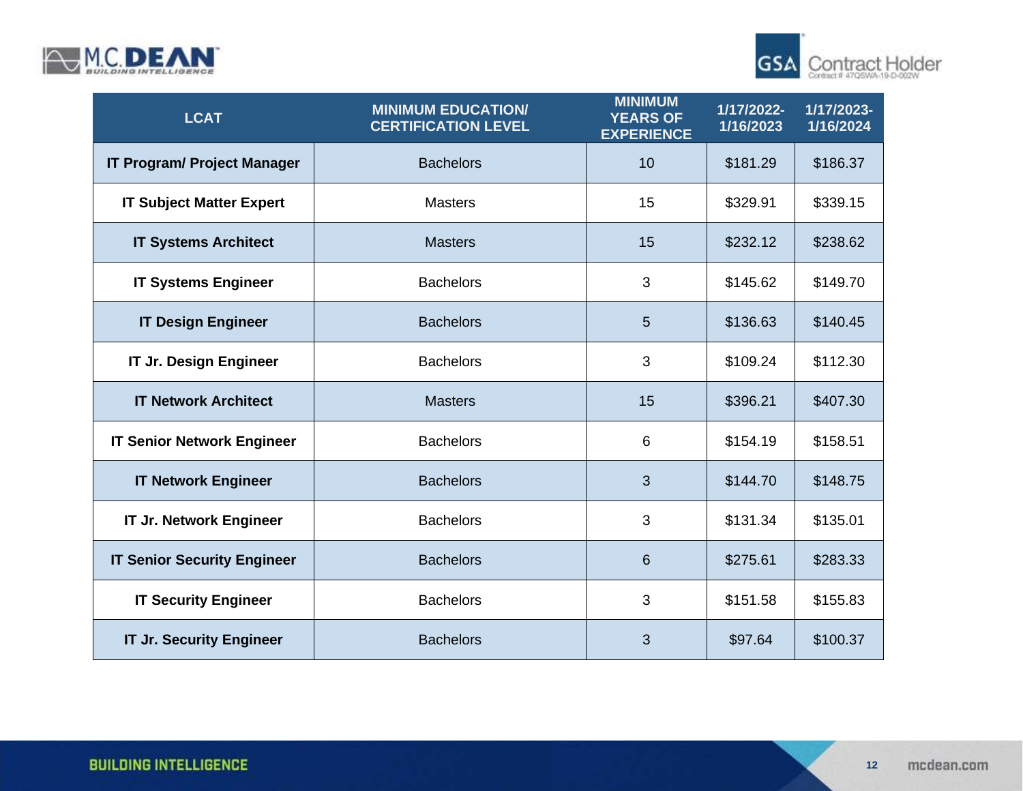



| <b>LCAT</b>                        | <b>MINIMUM EDUCATION/</b><br><b>CERTIFICATION LEVEL</b> | <b>MINIMUM</b><br><b>YEARS OF</b><br><b>EXPERIENCE</b> | 1/17/2022-<br>1/16/2023 | 1/17/2023-<br>1/16/2024 |
|------------------------------------|---------------------------------------------------------|--------------------------------------------------------|-------------------------|-------------------------|
| <b>IT Program/ Project Manager</b> | <b>Bachelors</b>                                        | 10                                                     | \$181.29                | \$186.37                |
| <b>IT Subject Matter Expert</b>    | <b>Masters</b>                                          | 15                                                     | \$329.91                | \$339.15                |
| <b>IT Systems Architect</b>        | <b>Masters</b>                                          | 15                                                     | \$232.12                | \$238.62                |
| <b>IT Systems Engineer</b>         | <b>Bachelors</b>                                        | 3                                                      | \$145.62                | \$149.70                |
| <b>IT Design Engineer</b>          | <b>Bachelors</b>                                        | 5                                                      | \$136.63                | \$140.45                |
| <b>IT Jr. Design Engineer</b>      | <b>Bachelors</b>                                        | 3                                                      | \$109.24                | \$112.30                |
| <b>IT Network Architect</b>        | <b>Masters</b>                                          | 15                                                     | \$396.21                | \$407.30                |
| <b>IT Senior Network Engineer</b>  | <b>Bachelors</b>                                        | 6                                                      | \$154.19                | \$158.51                |
| <b>IT Network Engineer</b>         | <b>Bachelors</b>                                        | 3                                                      | \$144.70                | \$148.75                |
| <b>IT Jr. Network Engineer</b>     | <b>Bachelors</b>                                        | 3                                                      | \$131.34                | \$135.01                |
| <b>IT Senior Security Engineer</b> | <b>Bachelors</b>                                        | 6                                                      | \$275.61                | \$283.33                |
| <b>IT Security Engineer</b>        | <b>Bachelors</b>                                        | 3                                                      | \$151.58                | \$155.83                |
| <b>IT Jr. Security Engineer</b>    | <b>Bachelors</b>                                        | 3                                                      | \$97.64                 | \$100.37                |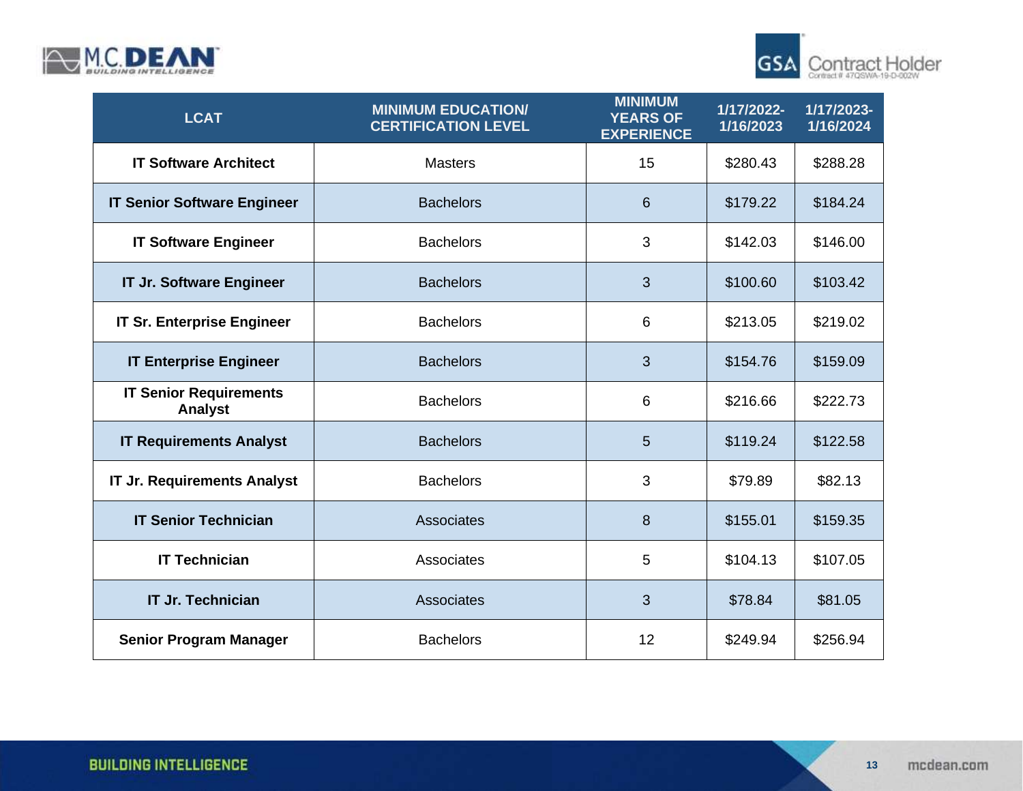



| <b>LCAT</b>                              | <b>MINIMUM EDUCATION/</b><br><b>CERTIFICATION LEVEL</b> | <b>MINIMUM</b><br><b>YEARS OF</b><br><b>EXPERIENCE</b> | 1/17/2022-<br>1/16/2023 | 1/17/2023-<br>1/16/2024 |
|------------------------------------------|---------------------------------------------------------|--------------------------------------------------------|-------------------------|-------------------------|
| <b>IT Software Architect</b>             | <b>Masters</b>                                          | 15                                                     | \$280.43                | \$288.28                |
| <b>IT Senior Software Engineer</b>       | <b>Bachelors</b>                                        | 6                                                      | \$179.22                | \$184.24                |
| <b>IT Software Engineer</b>              | <b>Bachelors</b>                                        | 3                                                      | \$142.03                | \$146.00                |
| <b>IT Jr. Software Engineer</b>          | <b>Bachelors</b>                                        | 3                                                      | \$100.60                | \$103.42                |
| <b>IT Sr. Enterprise Engineer</b>        | <b>Bachelors</b>                                        | 6                                                      | \$213.05                | \$219.02                |
| <b>IT Enterprise Engineer</b>            | <b>Bachelors</b>                                        | 3                                                      | \$154.76                | \$159.09                |
| <b>IT Senior Requirements</b><br>Analyst | <b>Bachelors</b>                                        | 6                                                      | \$216.66                | \$222.73                |
| <b>IT Requirements Analyst</b>           | <b>Bachelors</b>                                        | 5                                                      | \$119.24                | \$122.58                |
| <b>IT Jr. Requirements Analyst</b>       | <b>Bachelors</b>                                        | 3                                                      | \$79.89                 | \$82.13                 |
| <b>IT Senior Technician</b>              | Associates                                              | 8                                                      | \$155.01                | \$159.35                |
| <b>IT Technician</b>                     | Associates                                              | 5                                                      | \$104.13                | \$107.05                |
| <b>IT Jr. Technician</b>                 | Associates                                              | 3                                                      | \$78.84                 | \$81.05                 |
| <b>Senior Program Manager</b>            | <b>Bachelors</b>                                        | 12                                                     | \$249.94                | \$256.94                |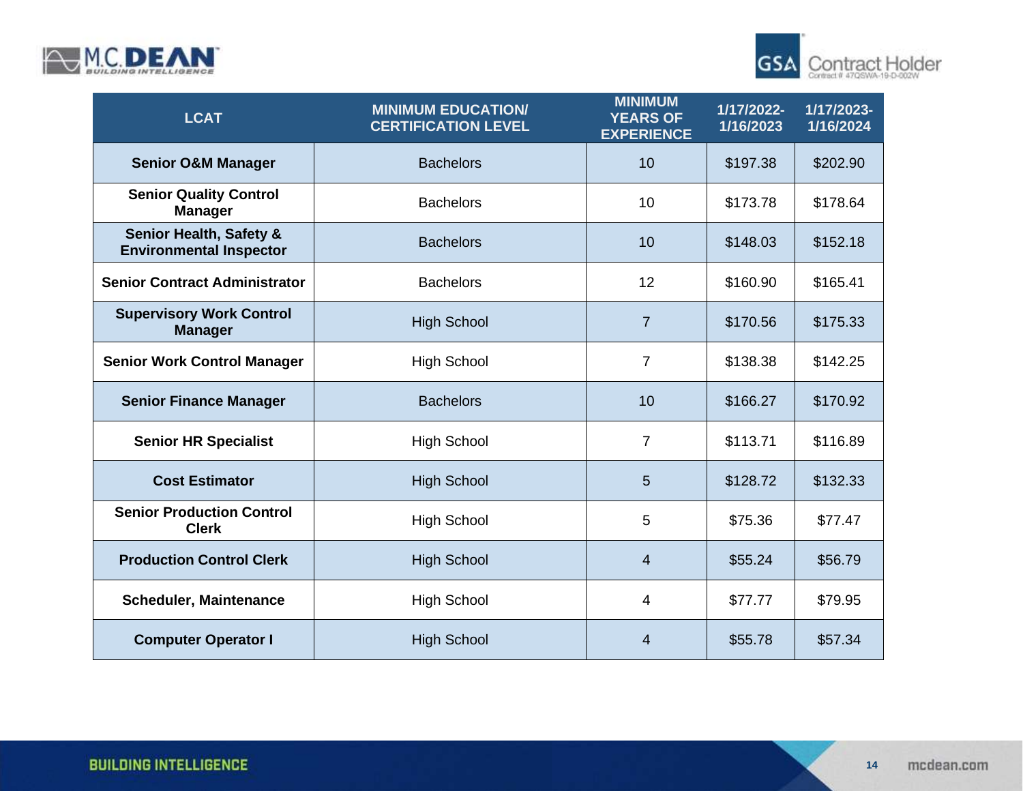



| <b>LCAT</b>                                                          | <b>MINIMUM EDUCATION/</b><br><b>CERTIFICATION LEVEL</b> | <b>MINIMUM</b><br><b>YEARS OF</b><br><b>EXPERIENCE</b> | 1/17/2022-<br>1/16/2023 | 1/17/2023-<br>1/16/2024 |
|----------------------------------------------------------------------|---------------------------------------------------------|--------------------------------------------------------|-------------------------|-------------------------|
| <b>Senior O&amp;M Manager</b>                                        | <b>Bachelors</b>                                        | 10                                                     | \$197.38                | \$202.90                |
| <b>Senior Quality Control</b><br><b>Manager</b>                      | <b>Bachelors</b>                                        | 10                                                     | \$173.78                | \$178.64                |
| <b>Senior Health, Safety &amp;</b><br><b>Environmental Inspector</b> | <b>Bachelors</b>                                        | 10                                                     | \$148.03                | \$152.18                |
| <b>Senior Contract Administrator</b>                                 | <b>Bachelors</b>                                        | 12                                                     | \$160.90                | \$165.41                |
| <b>Supervisory Work Control</b><br><b>Manager</b>                    | <b>High School</b>                                      | $\overline{7}$                                         | \$170.56                | \$175.33                |
| <b>Senior Work Control Manager</b>                                   | <b>High School</b>                                      | 7                                                      | \$138.38                | \$142.25                |
| <b>Senior Finance Manager</b>                                        | <b>Bachelors</b>                                        | 10                                                     | \$166.27                | \$170.92                |
| <b>Senior HR Specialist</b>                                          | <b>High School</b>                                      | $\overline{7}$                                         | \$113.71                | \$116.89                |
| <b>Cost Estimator</b>                                                | <b>High School</b>                                      | 5                                                      | \$128.72                | \$132.33                |
| <b>Senior Production Control</b><br><b>Clerk</b>                     | <b>High School</b>                                      | 5                                                      | \$75.36                 | \$77.47                 |
| <b>Production Control Clerk</b>                                      | <b>High School</b>                                      | 4                                                      | \$55.24                 | \$56.79                 |
| <b>Scheduler, Maintenance</b>                                        | <b>High School</b>                                      | 4                                                      | \$77.77                 | \$79.95                 |
| <b>Computer Operator I</b>                                           | <b>High School</b>                                      | 4                                                      | \$55.78                 | \$57.34                 |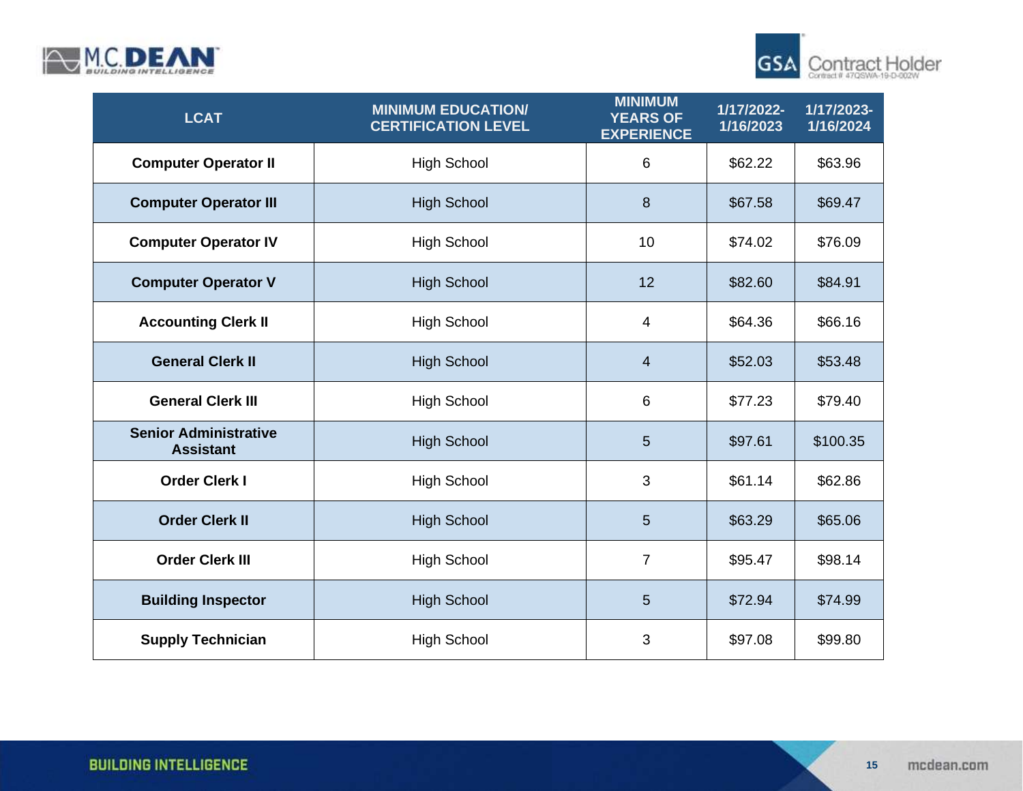



| <b>LCAT</b>                                      | <b>MINIMUM EDUCATION/</b><br><b>CERTIFICATION LEVEL</b> | <b>MINIMUM</b><br><b>YEARS OF</b><br><b>EXPERIENCE</b> | 1/17/2022-<br>1/16/2023 | 1/17/2023-<br>1/16/2024 |
|--------------------------------------------------|---------------------------------------------------------|--------------------------------------------------------|-------------------------|-------------------------|
| <b>Computer Operator II</b>                      | <b>High School</b>                                      | 6                                                      | \$62.22                 | \$63.96                 |
| <b>Computer Operator III</b>                     | <b>High School</b>                                      | 8                                                      | \$67.58                 | \$69.47                 |
| <b>Computer Operator IV</b>                      | <b>High School</b>                                      | 10                                                     | \$74.02                 | \$76.09                 |
| <b>Computer Operator V</b>                       | <b>High School</b>                                      | 12                                                     | \$82.60                 | \$84.91                 |
| <b>Accounting Clerk II</b>                       | <b>High School</b>                                      | 4                                                      | \$64.36                 | \$66.16                 |
| <b>General Clerk II</b>                          | <b>High School</b>                                      | 4                                                      | \$52.03                 | \$53.48                 |
| <b>General Clerk III</b>                         | <b>High School</b>                                      | 6                                                      | \$77.23                 | \$79.40                 |
| <b>Senior Administrative</b><br><b>Assistant</b> | <b>High School</b>                                      | 5                                                      | \$97.61                 | \$100.35                |
| <b>Order Clerk I</b>                             | <b>High School</b>                                      | 3                                                      | \$61.14                 | \$62.86                 |
| <b>Order Clerk II</b>                            | <b>High School</b>                                      | 5                                                      | \$63.29                 | \$65.06                 |
| <b>Order Clerk III</b>                           | <b>High School</b>                                      | 7                                                      | \$95.47                 | \$98.14                 |
| <b>Building Inspector</b>                        | <b>High School</b>                                      | 5                                                      | \$72.94                 | \$74.99                 |
| <b>Supply Technician</b>                         | <b>High School</b>                                      | 3                                                      | \$97.08                 | \$99.80                 |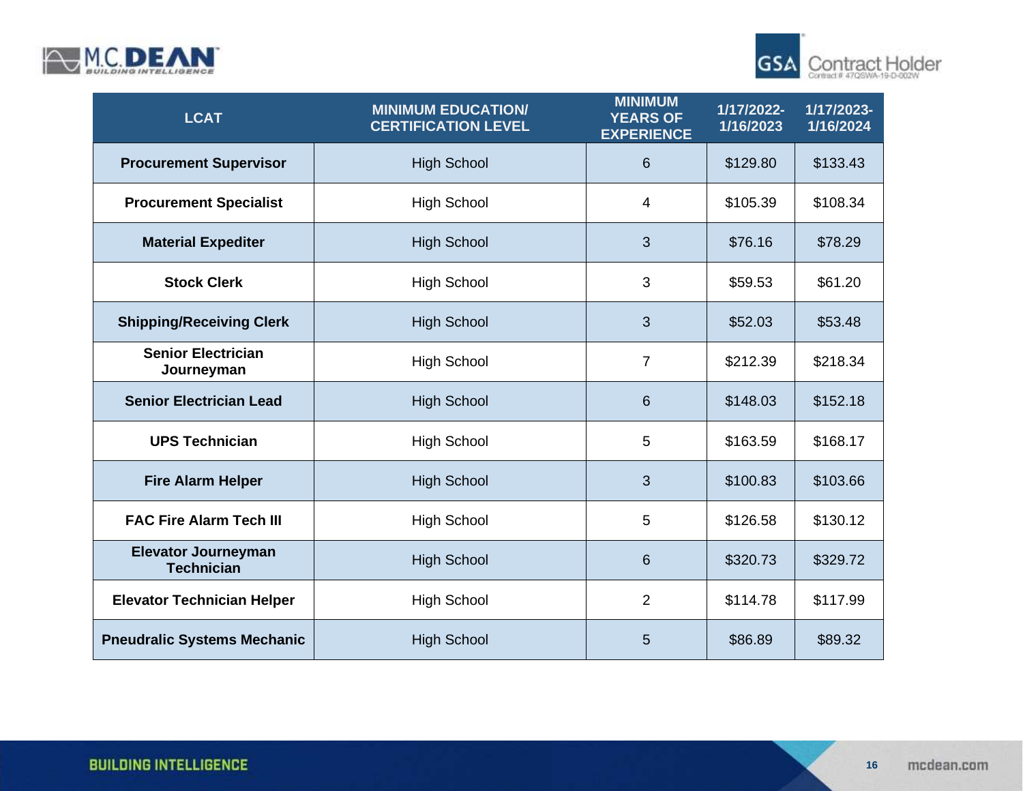



| <b>LCAT</b>                                     | <b>MINIMUM EDUCATION/</b><br><b>CERTIFICATION LEVEL</b> | <b>MINIMUM</b><br><b>YEARS OF</b><br><b>EXPERIENCE</b> | 1/17/2022-<br>1/16/2023 | 1/17/2023-<br>1/16/2024 |
|-------------------------------------------------|---------------------------------------------------------|--------------------------------------------------------|-------------------------|-------------------------|
| <b>Procurement Supervisor</b>                   | <b>High School</b>                                      | 6                                                      | \$129.80                | \$133.43                |
| <b>Procurement Specialist</b>                   | <b>High School</b>                                      | 4                                                      | \$105.39                | \$108.34                |
| <b>Material Expediter</b>                       | <b>High School</b>                                      | 3                                                      | \$76.16                 | \$78.29                 |
| <b>Stock Clerk</b>                              | <b>High School</b>                                      | 3                                                      | \$59.53                 | \$61.20                 |
| <b>Shipping/Receiving Clerk</b>                 | <b>High School</b>                                      | 3                                                      | \$52.03                 | \$53.48                 |
| <b>Senior Electrician</b><br>Journeyman         | <b>High School</b>                                      | 7                                                      | \$212.39                | \$218.34                |
| <b>Senior Electrician Lead</b>                  | <b>High School</b>                                      | 6                                                      | \$148.03                | \$152.18                |
| <b>UPS Technician</b>                           | <b>High School</b>                                      | 5                                                      | \$163.59                | \$168.17                |
| <b>Fire Alarm Helper</b>                        | <b>High School</b>                                      | 3                                                      | \$100.83                | \$103.66                |
| <b>FAC Fire Alarm Tech III</b>                  | <b>High School</b>                                      | 5                                                      | \$126.58                | \$130.12                |
| <b>Elevator Journeyman</b><br><b>Technician</b> | <b>High School</b>                                      | 6                                                      | \$320.73                | \$329.72                |
| <b>Elevator Technician Helper</b>               | <b>High School</b>                                      | $\overline{2}$                                         | \$114.78                | \$117.99                |
| <b>Pneudralic Systems Mechanic</b>              | <b>High School</b>                                      | 5                                                      | \$86.89                 | \$89.32                 |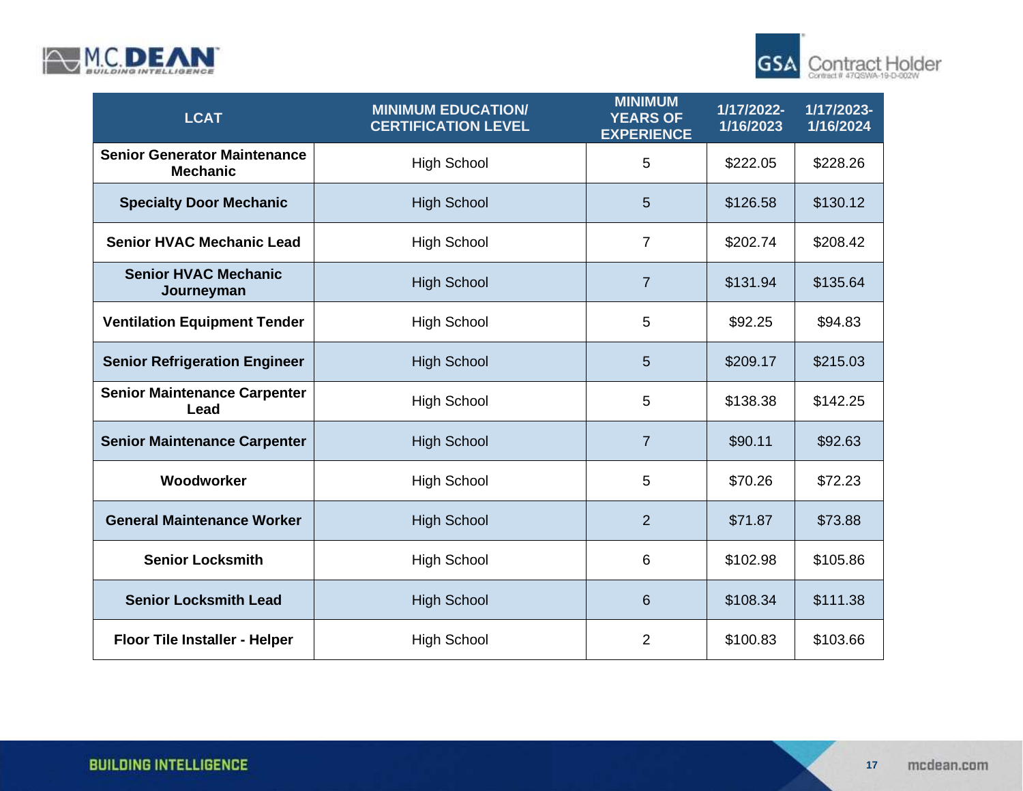



| <b>LCAT</b>                                            | <b>MINIMUM EDUCATION/</b><br><b>CERTIFICATION LEVEL</b> | <b>MINIMUM</b><br><b>YEARS OF</b><br><b>EXPERIENCE</b> | 1/17/2022-<br>1/16/2023 | 1/17/2023-<br>1/16/2024 |
|--------------------------------------------------------|---------------------------------------------------------|--------------------------------------------------------|-------------------------|-------------------------|
| <b>Senior Generator Maintenance</b><br><b>Mechanic</b> | <b>High School</b>                                      | 5                                                      | \$222.05                | \$228.26                |
| <b>Specialty Door Mechanic</b>                         | <b>High School</b>                                      | 5                                                      | \$126.58                | \$130.12                |
| <b>Senior HVAC Mechanic Lead</b>                       | <b>High School</b>                                      | $\overline{7}$                                         | \$202.74                | \$208.42                |
| <b>Senior HVAC Mechanic</b><br>Journeyman              | <b>High School</b>                                      | $\overline{7}$                                         | \$131.94                | \$135.64                |
| <b>Ventilation Equipment Tender</b>                    | <b>High School</b>                                      | 5                                                      | \$92.25                 | \$94.83                 |
| <b>Senior Refrigeration Engineer</b>                   | <b>High School</b>                                      | 5                                                      | \$209.17                | \$215.03                |
| <b>Senior Maintenance Carpenter</b><br>Lead            | <b>High School</b>                                      | 5                                                      | \$138.38                | \$142.25                |
| <b>Senior Maintenance Carpenter</b>                    | <b>High School</b>                                      | $\overline{7}$                                         | \$90.11                 | \$92.63                 |
| Woodworker                                             | <b>High School</b>                                      | 5                                                      | \$70.26                 | \$72.23                 |
| <b>General Maintenance Worker</b>                      | <b>High School</b>                                      | $\overline{2}$                                         | \$71.87                 | \$73.88                 |
| <b>Senior Locksmith</b>                                | <b>High School</b>                                      | 6                                                      | \$102.98                | \$105.86                |
| <b>Senior Locksmith Lead</b>                           | <b>High School</b>                                      | 6                                                      | \$108.34                | \$111.38                |
| <b>Floor Tile Installer - Helper</b>                   | <b>High School</b>                                      | $\overline{2}$                                         | \$100.83                | \$103.66                |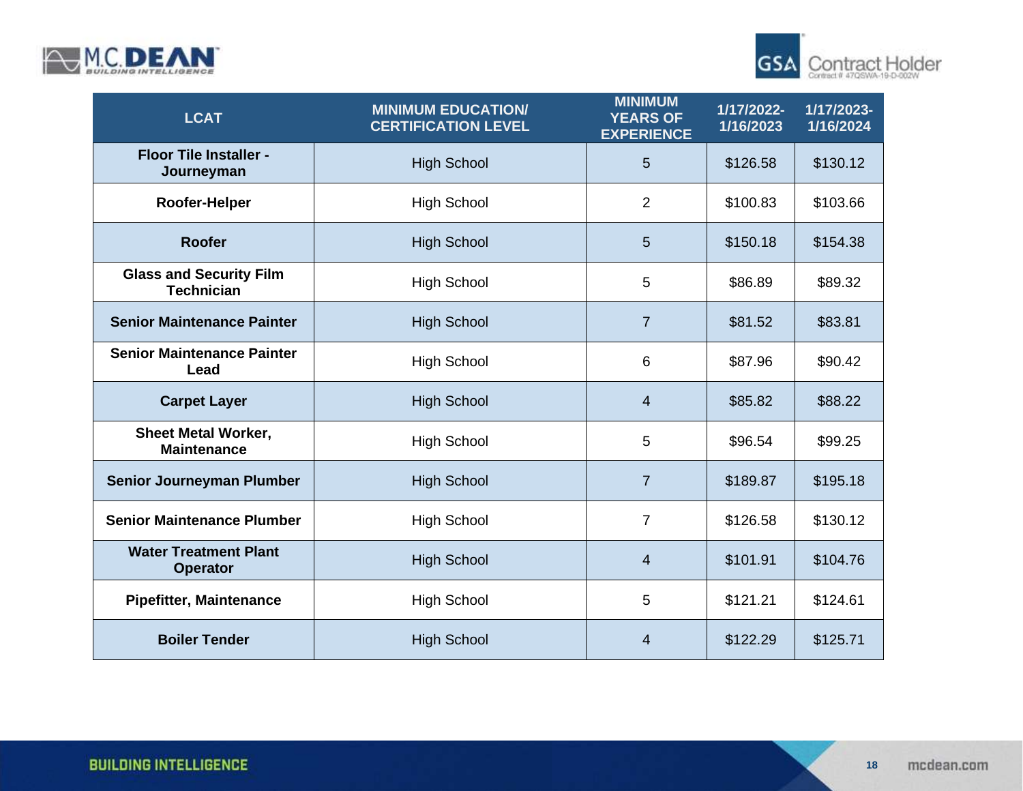



| <b>LCAT</b>                                         | <b>MINIMUM EDUCATION/</b><br><b>CERTIFICATION LEVEL</b> | <b>MINIMUM</b><br><b>YEARS OF</b><br><b>EXPERIENCE</b> | 1/17/2022-<br>1/16/2023 | 1/17/2023-<br>1/16/2024 |
|-----------------------------------------------------|---------------------------------------------------------|--------------------------------------------------------|-------------------------|-------------------------|
| <b>Floor Tile Installer -</b><br>Journeyman         | <b>High School</b>                                      | 5                                                      | \$126.58                | \$130.12                |
| Roofer-Helper                                       | <b>High School</b>                                      | $\overline{2}$                                         | \$100.83                | \$103.66                |
| <b>Roofer</b>                                       | <b>High School</b>                                      | 5                                                      | \$150.18                | \$154.38                |
| <b>Glass and Security Film</b><br><b>Technician</b> | <b>High School</b>                                      | 5                                                      | \$86.89                 | \$89.32                 |
| <b>Senior Maintenance Painter</b>                   | <b>High School</b>                                      | $\overline{7}$                                         | \$81.52                 | \$83.81                 |
| <b>Senior Maintenance Painter</b><br>Lead           | <b>High School</b>                                      | 6                                                      | \$87.96                 | \$90.42                 |
| <b>Carpet Layer</b>                                 | <b>High School</b>                                      | 4                                                      | \$85.82                 | \$88.22                 |
| <b>Sheet Metal Worker,</b><br><b>Maintenance</b>    | <b>High School</b>                                      | 5                                                      | \$96.54                 | \$99.25                 |
| <b>Senior Journeyman Plumber</b>                    | <b>High School</b>                                      | $\overline{7}$                                         | \$189.87                | \$195.18                |
| <b>Senior Maintenance Plumber</b>                   | <b>High School</b>                                      | $\overline{7}$                                         | \$126.58                | \$130.12                |
| <b>Water Treatment Plant</b><br><b>Operator</b>     | <b>High School</b>                                      | 4                                                      | \$101.91                | \$104.76                |
| <b>Pipefitter, Maintenance</b>                      | <b>High School</b>                                      | 5                                                      | \$121.21                | \$124.61                |
| <b>Boiler Tender</b>                                | <b>High School</b>                                      | 4                                                      | \$122.29                | \$125.71                |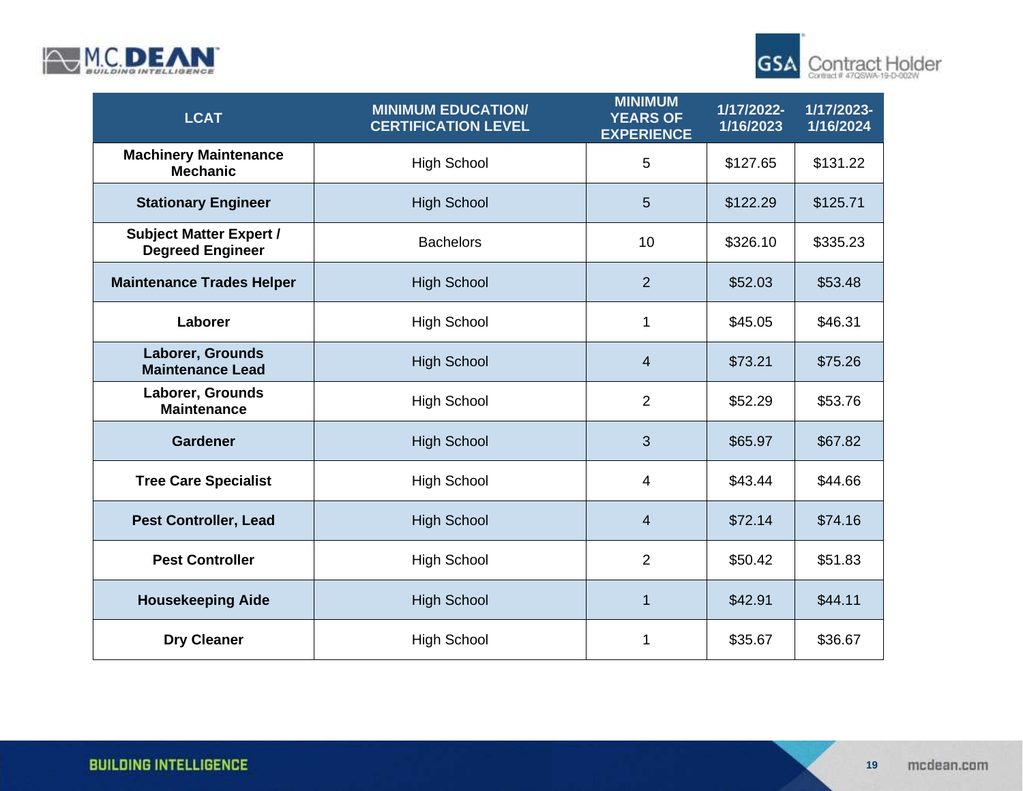



| <b>LCAT</b>                                               | <b>MINIMUM EDUCATION/</b><br><b>CERTIFICATION LEVEL</b> | <b>MINIMUM</b><br><b>YEARS OF</b><br><b>EXPERIENCE</b> | 1/17/2022-<br>1/16/2023 | 1/17/2023-<br>1/16/2024 |
|-----------------------------------------------------------|---------------------------------------------------------|--------------------------------------------------------|-------------------------|-------------------------|
| <b>Machinery Maintenance</b><br><b>Mechanic</b>           | <b>High School</b>                                      | 5                                                      | \$127.65                | \$131.22                |
| <b>Stationary Engineer</b>                                | <b>High School</b>                                      | 5                                                      | \$122.29                | \$125.71                |
| <b>Subject Matter Expert /</b><br><b>Degreed Engineer</b> | <b>Bachelors</b>                                        | 10                                                     | \$326.10                | \$335.23                |
| <b>Maintenance Trades Helper</b>                          | <b>High School</b>                                      | $\overline{2}$                                         | \$52.03                 | \$53.48                 |
| Laborer                                                   | <b>High School</b>                                      | 1                                                      | \$45.05                 | \$46.31                 |
| <b>Laborer, Grounds</b><br><b>Maintenance Lead</b>        | <b>High School</b>                                      | 4                                                      | \$73.21                 | \$75.26                 |
| Laborer, Grounds<br><b>Maintenance</b>                    | <b>High School</b>                                      | $\overline{2}$                                         | \$52.29                 | \$53.76                 |
| <b>Gardener</b>                                           | <b>High School</b>                                      | 3                                                      | \$65.97                 | \$67.82                 |
| <b>Tree Care Specialist</b>                               | <b>High School</b>                                      | 4                                                      | \$43.44                 | \$44.66                 |
| <b>Pest Controller, Lead</b>                              | <b>High School</b>                                      | 4                                                      | \$72.14                 | \$74.16                 |
| <b>Pest Controller</b>                                    | <b>High School</b>                                      | $\overline{2}$                                         | \$50.42                 | \$51.83                 |
| <b>Housekeeping Aide</b>                                  | <b>High School</b>                                      | $\mathbf{1}$                                           | \$42.91                 | \$44.11                 |
| <b>Dry Cleaner</b>                                        | <b>High School</b>                                      | 1                                                      | \$35.67                 | \$36.67                 |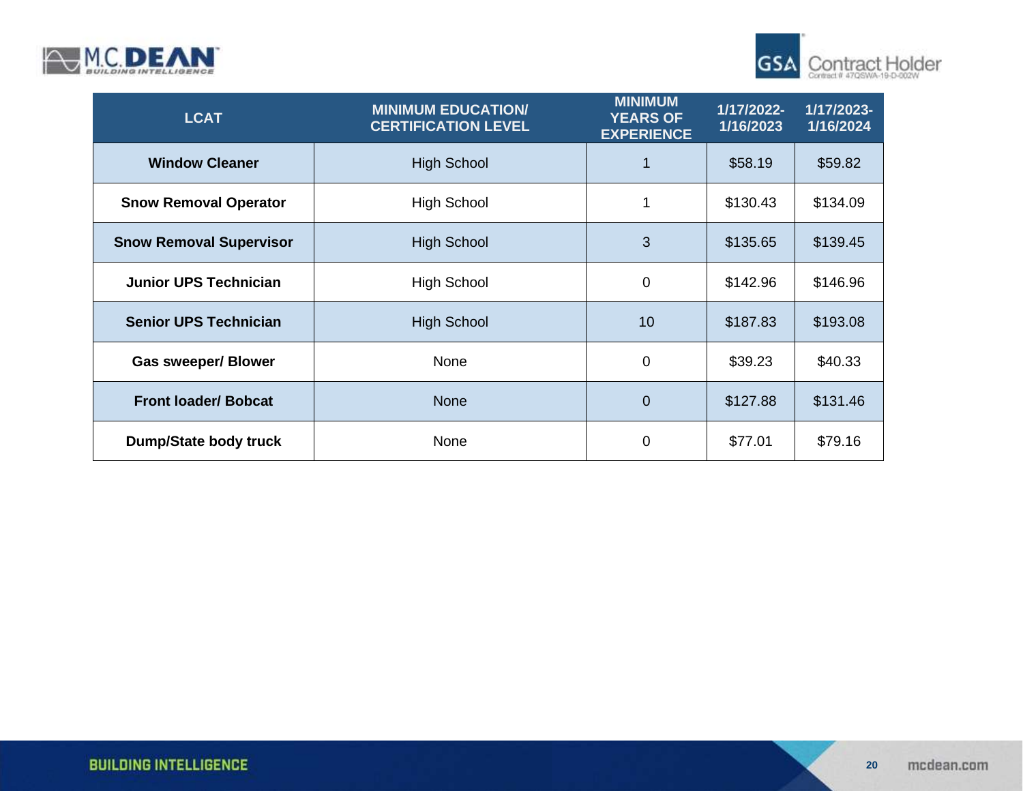



| <b>LCAT</b>                    | <b>MINIMUM EDUCATION/</b><br><b>CERTIFICATION LEVEL</b> | <b>MINIMUM</b><br><b>YEARS OF</b><br><b>EXPERIENCE</b> | 1/17/2022-<br>1/16/2023 | 1/17/2023-<br>1/16/2024 |
|--------------------------------|---------------------------------------------------------|--------------------------------------------------------|-------------------------|-------------------------|
| <b>Window Cleaner</b>          | <b>High School</b>                                      | 1                                                      | \$58.19                 | \$59.82                 |
| <b>Snow Removal Operator</b>   | <b>High School</b>                                      | 1                                                      | \$130.43                | \$134.09                |
| <b>Snow Removal Supervisor</b> | <b>High School</b>                                      | 3                                                      | \$135.65                | \$139.45                |
| <b>Junior UPS Technician</b>   | <b>High School</b>                                      | 0                                                      | \$142.96                | \$146.96                |
| <b>Senior UPS Technician</b>   | <b>High School</b>                                      | 10                                                     | \$187.83                | \$193.08                |
| <b>Gas sweeper/ Blower</b>     | None                                                    | $\mathbf 0$                                            | \$39.23                 | \$40.33                 |
| <b>Front loader/ Bobcat</b>    | <b>None</b>                                             | 0                                                      | \$127.88                | \$131.46                |
| Dump/State body truck          | None                                                    | 0                                                      | \$77.01                 | \$79.16                 |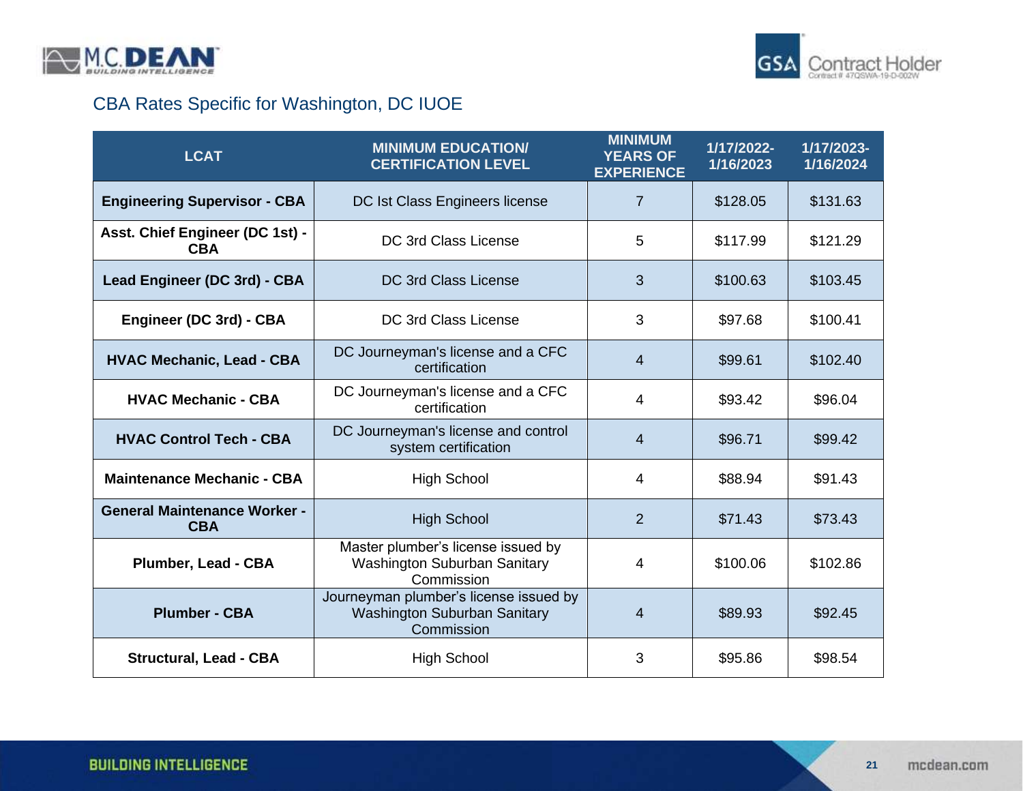



# CBA Rates Specific for Washington, DC IUOE

| <b>MINIMUM EDUCATION/</b><br><b>LCAT</b><br><b>CERTIFICATION LEVEL</b> |                                                                                      | <b>MINIMUM</b><br><b>YEARS OF</b><br><b>EXPERIENCE</b> | 1/17/2022-<br>1/16/2023 | 1/17/2023-<br>1/16/2024 |
|------------------------------------------------------------------------|--------------------------------------------------------------------------------------|--------------------------------------------------------|-------------------------|-------------------------|
| <b>Engineering Supervisor - CBA</b>                                    | DC Ist Class Engineers license                                                       | $\overline{7}$                                         | \$128.05                | \$131.63                |
| Asst. Chief Engineer (DC 1st) -<br><b>CBA</b>                          | DC 3rd Class License                                                                 | 5                                                      | \$117.99                | \$121.29                |
| Lead Engineer (DC 3rd) - CBA                                           | DC 3rd Class License                                                                 | 3                                                      | \$100.63                | \$103.45                |
| Engineer (DC 3rd) - CBA                                                | DC 3rd Class License                                                                 | 3                                                      | \$97.68                 | \$100.41                |
| <b>HVAC Mechanic, Lead - CBA</b>                                       | DC Journeyman's license and a CFC<br>certification                                   | 4                                                      | \$99.61                 | \$102.40                |
| <b>HVAC Mechanic - CBA</b>                                             | DC Journeyman's license and a CFC<br>certification                                   | 4                                                      | \$93.42                 | \$96.04                 |
| <b>HVAC Control Tech - CBA</b>                                         | DC Journeyman's license and control<br>system certification                          | \$96.71<br>4                                           |                         | \$99.42                 |
| <b>Maintenance Mechanic - CBA</b>                                      | <b>High School</b>                                                                   | 4                                                      | \$88.94                 | \$91.43                 |
| <b>General Maintenance Worker -</b><br><b>CBA</b>                      | <b>High School</b>                                                                   | 2                                                      | \$71.43                 | \$73.43                 |
| Plumber, Lead - CBA                                                    | Master plumber's license issued by<br>Washington Suburban Sanitary<br>Commission     | 4                                                      | \$100.06                | \$102.86                |
| <b>Plumber - CBA</b>                                                   | Journeyman plumber's license issued by<br>Washington Suburban Sanitary<br>Commission | 4                                                      | \$89.93                 | \$92.45                 |
| <b>Structural, Lead - CBA</b>                                          | <b>High School</b>                                                                   | 3                                                      | \$95.86                 | \$98.54                 |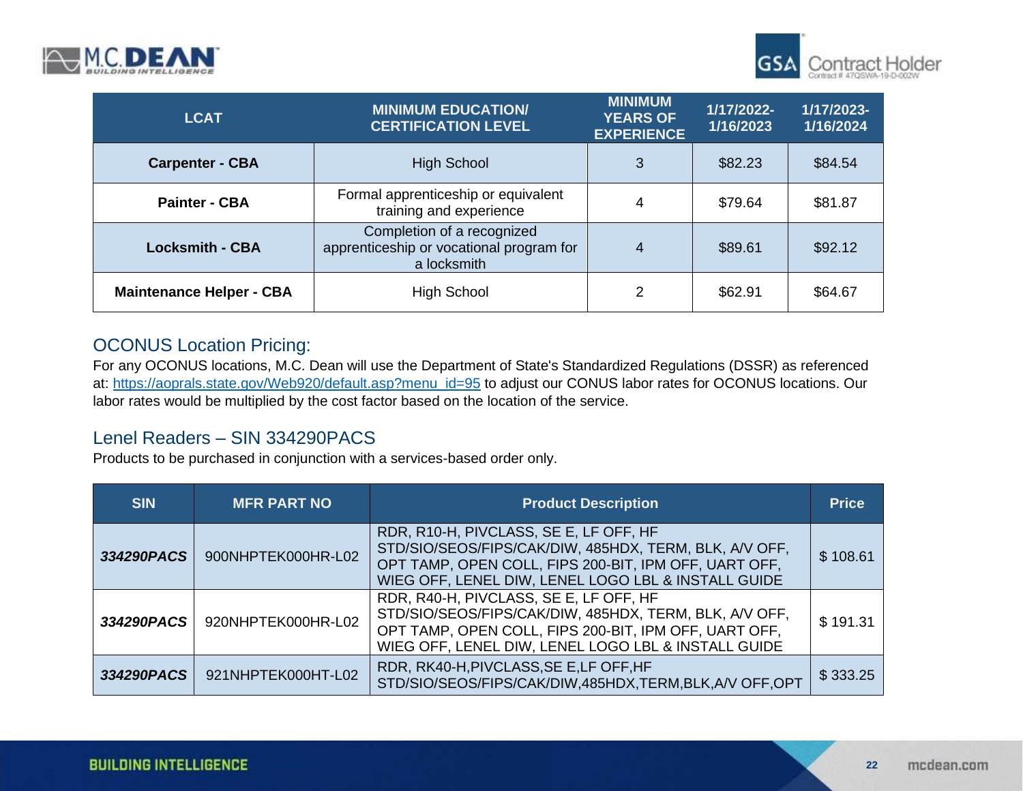



| <b>LCAT</b>                                  | <b>MINIMUM EDUCATION/</b><br><b>CERTIFICATION LEVEL</b>                               | <b>MINIMUM</b><br><b>YEARS OF</b><br><b>EXPERIENCE</b> | 1/17/2022-<br>1/16/2023 | 1/17/2023-<br>1/16/2024 |
|----------------------------------------------|---------------------------------------------------------------------------------------|--------------------------------------------------------|-------------------------|-------------------------|
| <b>Carpenter - CBA</b><br><b>High School</b> |                                                                                       | 3                                                      | \$82.23                 | \$84.54                 |
| <b>Painter - CBA</b>                         | Formal apprenticeship or equivalent<br>training and experience                        | 4                                                      | \$79.64                 | \$81.87                 |
| <b>Locksmith - CBA</b>                       | Completion of a recognized<br>apprenticeship or vocational program for<br>a locksmith | 4                                                      | \$89.61                 | \$92.12                 |
| <b>Maintenance Helper - CBA</b>              | High School                                                                           | 2                                                      | \$62.91                 | \$64.67                 |

# OCONUS Location Pricing:

For any OCONUS locations, M.C. Dean will use the Department of State's Standardized Regulations (DSSR) as referenced at: [https://aoprals.state.gov/Web920/default.asp?menu\\_id=95](https://aoprals.state.gov/Web920/default.asp?menu_id=95) to adjust our CONUS labor rates for OCONUS locations. Our labor rates would be multiplied by the cost factor based on the location of the service.

## Lenel Readers – SIN 334290PACS

Products to be purchased in conjunction with a services-based order only.

| <b>SIN</b> | <b>MFR PART NO</b> | <b>Product Description</b>                                                                                                                                                                                       | <b>Price</b> |
|------------|--------------------|------------------------------------------------------------------------------------------------------------------------------------------------------------------------------------------------------------------|--------------|
| 334290PACS | 900NHPTEK000HR-L02 | RDR, R10-H, PIVCLASS, SE E, LF OFF, HF<br>STD/SIO/SEOS/FIPS/CAK/DIW, 485HDX, TERM, BLK, A/V OFF,<br>OPT TAMP, OPEN COLL, FIPS 200-BIT, IPM OFF, UART OFF,<br>WIEG OFF, LENEL DIW, LENEL LOGO LBL & INSTALL GUIDE | \$108.61     |
| 334290PACS | 920NHPTEK000HR-L02 | RDR, R40-H, PIVCLASS, SE E, LF OFF, HF<br>STD/SIO/SEOS/FIPS/CAK/DIW, 485HDX, TERM, BLK, A/V OFF,<br>OPT TAMP, OPEN COLL, FIPS 200-BIT, IPM OFF, UART OFF,<br>WIEG OFF, LENEL DIW, LENEL LOGO LBL & INSTALL GUIDE | \$191.31     |
| 334290PACS | 921NHPTEK000HT-L02 | RDR, RK40-H, PIVCLASS, SE E, LF OFF, HF<br>STD/SIO/SEOS/FIPS/CAK/DIW,485HDX,TERM,BLK,A/V OFF,OPT                                                                                                                 | \$333.25     |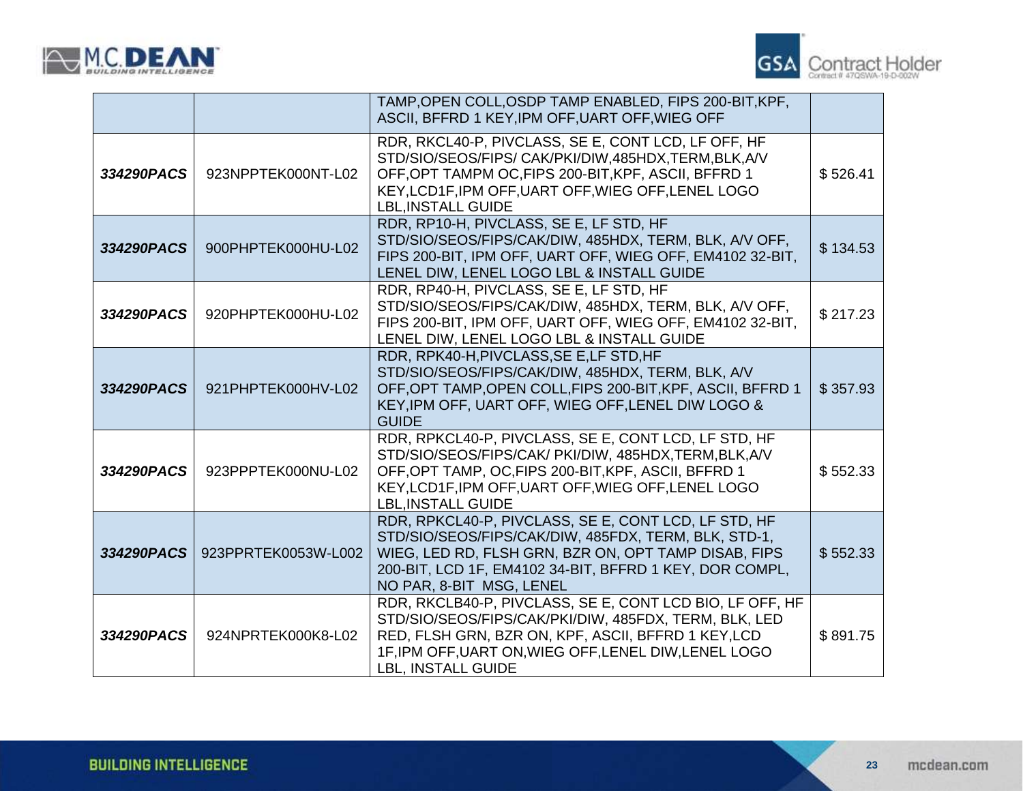



|            |                     | TAMP, OPEN COLL, OSDP TAMP ENABLED, FIPS 200-BIT, KPF,<br>ASCII, BFFRD 1 KEY, IPM OFF, UART OFF, WIEG OFF                                                                                                                                                     |          |
|------------|---------------------|---------------------------------------------------------------------------------------------------------------------------------------------------------------------------------------------------------------------------------------------------------------|----------|
| 334290PACS | 923NPPTEK000NT-L02  | RDR, RKCL40-P, PIVCLASS, SE E, CONT LCD, LF OFF, HF<br>STD/SIO/SEOS/FIPS/ CAK/PKI/DIW,485HDX,TERM,BLK,A/V<br>OFF, OPT TAMPM OC, FIPS 200-BIT, KPF, ASCII, BFFRD 1<br>KEY, LCD1F, IPM OFF, UART OFF, WIEG OFF, LENEL LOGO<br><b>LBL, INSTALL GUIDE</b>         | \$526.41 |
| 334290PACS | 900PHPTEK000HU-L02  | RDR, RP10-H, PIVCLASS, SE E, LF STD, HF<br>STD/SIO/SEOS/FIPS/CAK/DIW, 485HDX, TERM, BLK, A/V OFF,<br>FIPS 200-BIT, IPM OFF, UART OFF, WIEG OFF, EM4102 32-BIT,<br>LENEL DIW, LENEL LOGO LBL & INSTALL GUIDE                                                   | \$134.53 |
| 334290PACS | 920PHPTEK000HU-L02  | RDR, RP40-H, PIVCLASS, SE E, LF STD, HF<br>STD/SIO/SEOS/FIPS/CAK/DIW, 485HDX, TERM, BLK, A/V OFF,<br>FIPS 200-BIT, IPM OFF, UART OFF, WIEG OFF, EM4102 32-BIT,<br>LENEL DIW, LENEL LOGO LBL & INSTALL GUIDE                                                   | \$217.23 |
| 334290PACS | 921PHPTEK000HV-L02  | RDR, RPK40-H, PIVCLASS, SE E, LF STD, HF<br>STD/SIO/SEOS/FIPS/CAK/DIW, 485HDX, TERM, BLK, A/V<br>OFF, OPT TAMP, OPEN COLL, FIPS 200-BIT, KPF, ASCII, BFFRD 1<br>KEY, IPM OFF, UART OFF, WIEG OFF, LENEL DIW LOGO &<br><b>GUIDE</b>                            | \$357.93 |
| 334290PACS | 923PPPTEK000NU-L02  | RDR, RPKCL40-P, PIVCLASS, SE E, CONT LCD, LF STD, HF<br>STD/SIO/SEOS/FIPS/CAK/ PKI/DIW, 485HDX, TERM, BLK, A/V<br>OFF, OPT TAMP, OC, FIPS 200-BIT, KPF, ASCII, BFFRD 1<br>KEY, LCD1F, IPM OFF, UART OFF, WIEG OFF, LENEL LOGO<br><b>LBL, INSTALL GUIDE</b>    | \$552.33 |
| 334290PACS | 923PPRTEK0053W-L002 | RDR, RPKCL40-P, PIVCLASS, SE E, CONT LCD, LF STD, HF<br>STD/SIO/SEOS/FIPS/CAK/DIW, 485FDX, TERM, BLK, STD-1,<br>WIEG, LED RD, FLSH GRN, BZR ON, OPT TAMP DISAB, FIPS<br>200-BIT, LCD 1F, EM4102 34-BIT, BFFRD 1 KEY, DOR COMPL,<br>NO PAR, 8-BIT MSG, LENEL   | \$552.33 |
| 334290PACS | 924NPRTEK000K8-L02  | RDR. RKCLB40-P, PIVCLASS, SE E, CONT LCD BIO, LF OFF, HF<br>STD/SIO/SEOS/FIPS/CAK/PKI/DIW, 485FDX, TERM, BLK, LED<br>RED, FLSH GRN, BZR ON, KPF, ASCII, BFFRD 1 KEY,LCD<br>1F, IPM OFF, UART ON, WIEG OFF, LENEL DIW, LENEL LOGO<br><b>LBL, INSTALL GUIDE</b> | \$891.75 |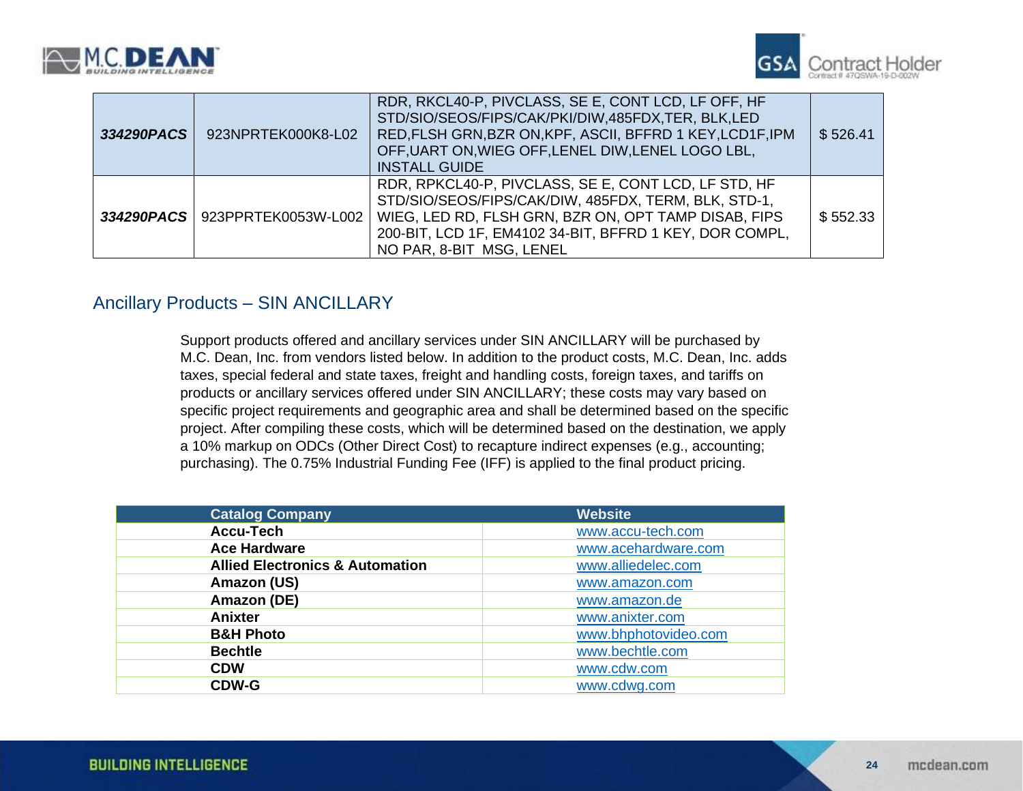



| 334290PACS | 923NPRTEK000K8-L02               | RDR, RKCL40-P, PIVCLASS, SE E, CONT LCD, LF OFF, HF<br>STD/SIO/SEOS/FIPS/CAK/PKI/DIW,485FDX,TER, BLK,LED<br>RED, FLSH GRN, BZR ON, KPF, ASCII, BFFRD 1 KEY, LCD1F, IPM<br>OFF, UART ON, WIEG OFF, LENEL DIW, LENEL LOGO LBL,<br><b>INSTALL GUIDE</b>        | \$526.41 |
|------------|----------------------------------|-------------------------------------------------------------------------------------------------------------------------------------------------------------------------------------------------------------------------------------------------------------|----------|
|            | 334290PACS   923PPRTEK0053W-L002 | RDR, RPKCL40-P, PIVCLASS, SE E, CONT LCD, LF STD, HF<br>STD/SIO/SEOS/FIPS/CAK/DIW, 485FDX, TERM, BLK, STD-1,<br>WIEG, LED RD, FLSH GRN, BZR ON, OPT TAMP DISAB, FIPS<br>200-BIT, LCD 1F, EM4102 34-BIT, BFFRD 1 KEY, DOR COMPL,<br>NO PAR, 8-BIT MSG, LENEL | \$552.33 |

## Ancillary Products – SIN ANCILLARY

Support products offered and ancillary services under SIN ANCILLARY will be purchased by M.C. Dean, Inc. from vendors listed below. In addition to the product costs, M.C. Dean, Inc. adds taxes, special federal and state taxes, freight and handling costs, foreign taxes, and tariffs on products or ancillary services offered under SIN ANCILLARY; these costs may vary based on specific project requirements and geographic area and shall be determined based on the specific project. After compiling these costs, which will be determined based on the destination, we apply a 10% markup on ODCs (Other Direct Cost) to recapture indirect expenses (e.g., accounting; purchasing). The 0.75% Industrial Funding Fee (IFF) is applied to the final product pricing.

| <b>Catalog Company</b>                     | <b>Website</b>       |
|--------------------------------------------|----------------------|
| <b>Accu-Tech</b>                           | www.accu-tech.com    |
| <b>Ace Hardware</b>                        | www.acehardware.com  |
| <b>Allied Electronics &amp; Automation</b> | www.alliedelec.com   |
| Amazon (US)                                | www.amazon.com       |
| Amazon (DE)                                | www.amazon.de        |
| <b>Anixter</b>                             | www.anixter.com      |
| <b>B&amp;H Photo</b>                       | www.bhphotovideo.com |
| <b>Bechtle</b>                             | www.bechtle.com      |
| <b>CDW</b>                                 | www.cdw.com          |
| <b>CDW-G</b>                               | www.cdwg.com         |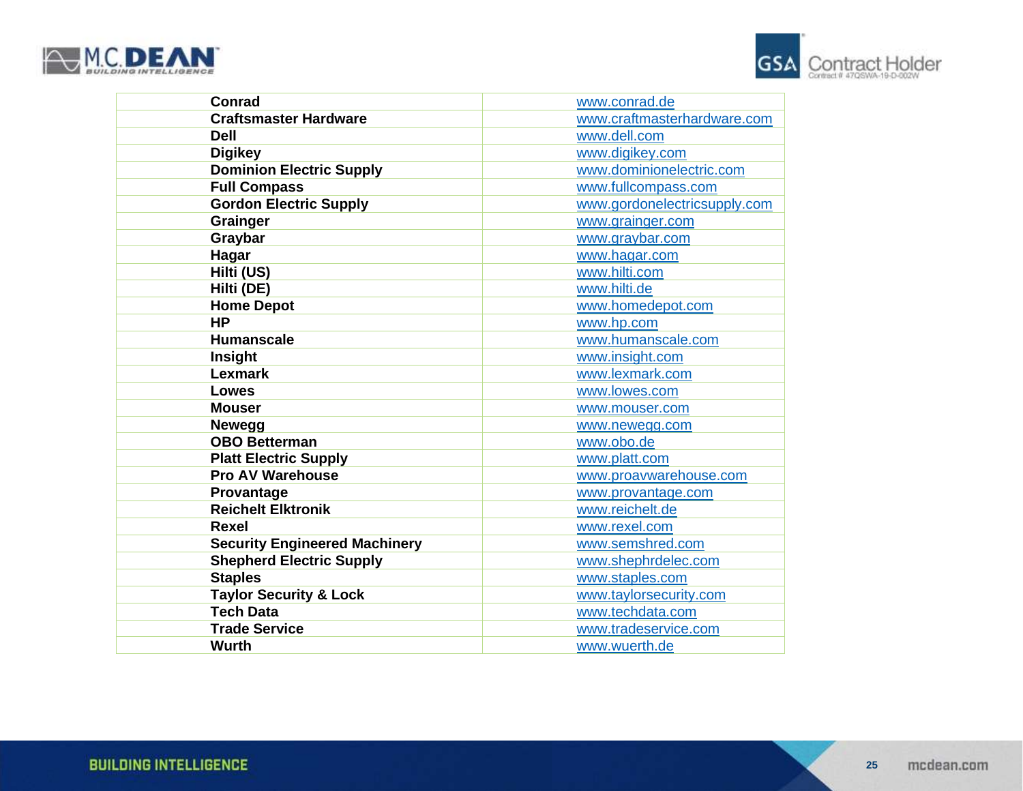| V |        |  |  |
|---|--------|--|--|
|   | MCDEAN |  |  |



| <b>Conrad</b>                        | www.conrad.de                |
|--------------------------------------|------------------------------|
| <b>Craftsmaster Hardware</b>         | www.craftmasterhardware.com  |
| <b>Dell</b>                          | www.dell.com                 |
| <b>Digikey</b>                       | www.digikey.com              |
| <b>Dominion Electric Supply</b>      | www.dominionelectric.com     |
| <b>Full Compass</b>                  | www.fullcompass.com          |
| <b>Gordon Electric Supply</b>        | www.gordonelectricsupply.com |
| Grainger                             | www.grainger.com             |
| Graybar                              | www.graybar.com              |
| Hagar                                | www.hagar.com                |
| Hilti (US)                           | www.hilti.com                |
| Hilti (DE)                           | www.hilti.de                 |
| <b>Home Depot</b>                    | www.homedepot.com            |
| <b>HP</b>                            | www.hp.com                   |
| <b>Humanscale</b>                    | www.humanscale.com           |
| Insight                              | www.insight.com              |
| <b>Lexmark</b>                       | www.lexmark.com              |
| <b>Lowes</b>                         | www.lowes.com                |
| <b>Mouser</b>                        | www.mouser.com               |
| <b>Newegg</b>                        | www.newegg.com               |
| <b>OBO Betterman</b>                 | www.obo.de                   |
| <b>Platt Electric Supply</b>         | www.platt.com                |
| <b>Pro AV Warehouse</b>              | www.proavwarehouse.com       |
| Provantage                           | www.provantage.com           |
| <b>Reichelt Elktronik</b>            | www.reichelt.de              |
| <b>Rexel</b>                         | www.rexel.com                |
| <b>Security Engineered Machinery</b> | www.semshred.com             |
| <b>Shepherd Electric Supply</b>      | www.shephrdelec.com          |
| <b>Staples</b>                       | www.staples.com              |
| <b>Taylor Security &amp; Lock</b>    | www.taylorsecurity.com       |
| <b>Tech Data</b>                     | www.techdata.com             |
| <b>Trade Service</b>                 | www.tradeservice.com         |
| <b>Wurth</b>                         | www.wuerth.de                |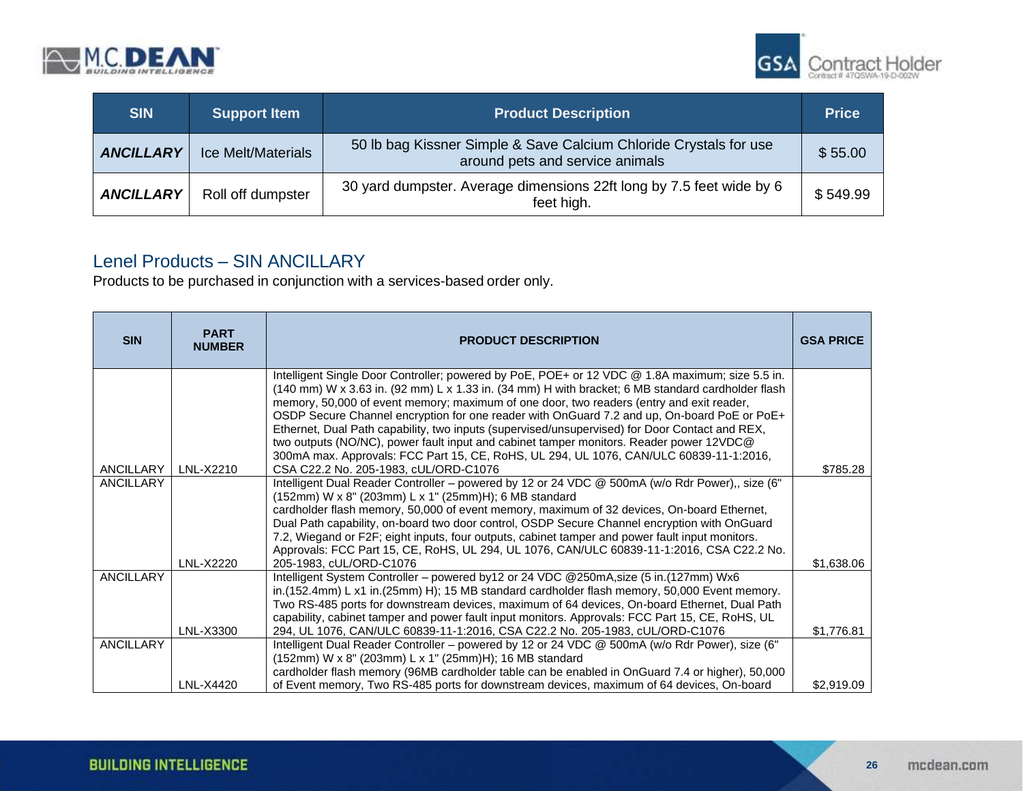



| <b>SIN</b>       | <b>Support Item</b> | <b>Product Description</b>                                                                           | <b>Price</b> |
|------------------|---------------------|------------------------------------------------------------------------------------------------------|--------------|
| <b>ANCILLARY</b> | Ice Melt/Materials  | 50 lb bag Kissner Simple & Save Calcium Chloride Crystals for use<br>around pets and service animals | \$55.00      |
| <b>ANCILLARY</b> | Roll off dumpster   | 30 yard dumpster. Average dimensions 22ft long by 7.5 feet wide by 6<br>feet high.                   | \$549.99     |

## Lenel Products – SIN ANCILLARY

Products to be purchased in conjunction with a services-based order only.

| <b>SIN</b>       | <b>PART</b><br><b>NUMBER</b> | <b>GSA PRICE</b><br><b>PRODUCT DESCRIPTION</b>                                                                                                                                                       |            |
|------------------|------------------------------|------------------------------------------------------------------------------------------------------------------------------------------------------------------------------------------------------|------------|
|                  |                              | Intelligent Single Door Controller; powered by PoE, POE+ or 12 VDC @ 1.8A maximum; size 5.5 in.<br>(140 mm) W x 3.63 in. (92 mm) L x 1.33 in. (34 mm) H with bracket; 6 MB standard cardholder flash |            |
|                  |                              | memory, 50,000 of event memory; maximum of one door, two readers (entry and exit reader,<br>OSDP Secure Channel encryption for one reader with OnGuard 7.2 and up, On-board PoE or PoE+              |            |
|                  |                              | Ethernet, Dual Path capability, two inputs (supervised/unsupervised) for Door Contact and REX,                                                                                                       |            |
|                  |                              | two outputs (NO/NC), power fault input and cabinet tamper monitors. Reader power 12VDC@                                                                                                              |            |
| <b>ANCILLARY</b> | LNL-X2210                    | 300mA max. Approvals: FCC Part 15, CE, RoHS, UL 294, UL 1076, CAN/ULC 60839-11-1:2016,<br>CSA C22.2 No. 205-1983, cUL/ORD-C1076                                                                      | \$785.28   |
| <b>ANCILLARY</b> |                              | Intelligent Dual Reader Controller – powered by 12 or 24 VDC @ 500mA (w/o Rdr Power),, size (6"                                                                                                      |            |
|                  |                              | (152mm) W x 8" (203mm) L x 1" (25mm)H); 6 MB standard                                                                                                                                                |            |
|                  |                              | cardholder flash memory, 50,000 of event memory, maximum of 32 devices, On-board Ethernet,                                                                                                           |            |
|                  |                              | Dual Path capability, on-board two door control, OSDP Secure Channel encryption with OnGuard                                                                                                         |            |
|                  |                              | 7.2, Wiegand or F2F; eight inputs, four outputs, cabinet tamper and power fault input monitors.                                                                                                      |            |
|                  |                              | Approvals: FCC Part 15, CE, RoHS, UL 294, UL 1076, CAN/ULC 60839-11-1:2016, CSA C22.2 No.                                                                                                            |            |
|                  | LNL-X2220                    | 205-1983, cUL/ORD-C1076                                                                                                                                                                              |            |
| <b>ANCILLARY</b> |                              | Intelligent System Controller - powered by12 or 24 VDC @250mA, size (5 in. (127mm) Wx6<br>in.(152.4mm) L x1 in.(25mm) H); 15 MB standard cardholder flash memory, 50,000 Event memory.               |            |
|                  |                              | Two RS-485 ports for downstream devices, maximum of 64 devices, On-board Ethernet, Dual Path                                                                                                         |            |
|                  |                              | capability, cabinet tamper and power fault input monitors. Approvals: FCC Part 15, CE, RoHS, UL                                                                                                      |            |
|                  | LNL-X3300                    | 294, UL 1076, CAN/ULC 60839-11-1:2016, CSA C22.2 No. 205-1983, cUL/ORD-C1076                                                                                                                         |            |
| <b>ANCILLARY</b> |                              | Intelligent Dual Reader Controller – powered by 12 or 24 VDC @ 500mA (w/o Rdr Power), size (6"                                                                                                       |            |
|                  |                              | (152mm) W x 8" (203mm) L x 1" (25mm)H); 16 MB standard                                                                                                                                               |            |
|                  |                              | cardholder flash memory (96MB cardholder table can be enabled in OnGuard 7.4 or higher), 50,000                                                                                                      |            |
|                  | LNL-X4420                    | of Event memory, Two RS-485 ports for downstream devices, maximum of 64 devices, On-board                                                                                                            | \$2,919.09 |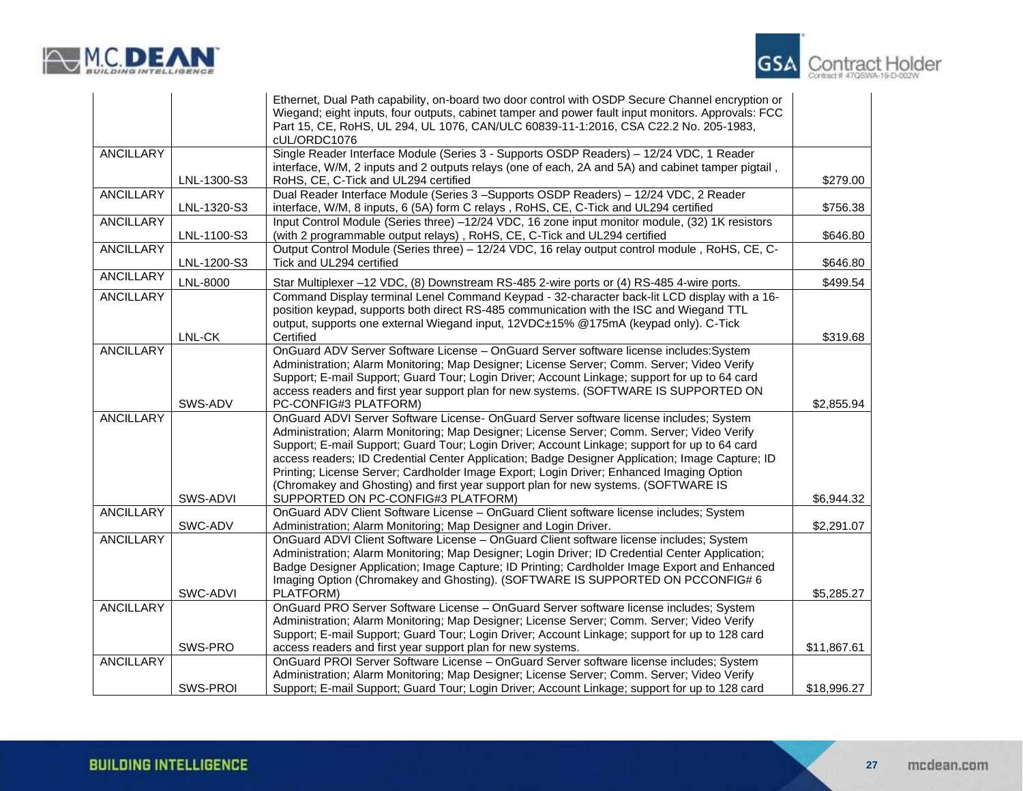



|                  |             | Ethernet, Dual Path capability, on-board two door control with OSDP Secure Channel encryption or                                                                                                |             |
|------------------|-------------|-------------------------------------------------------------------------------------------------------------------------------------------------------------------------------------------------|-------------|
|                  |             | Wiegand; eight inputs, four outputs, cabinet tamper and power fault input monitors. Approvals: FCC                                                                                              |             |
|                  |             | Part 15, CE, RoHS, UL 294, UL 1076, CAN/ULC 60839-11-1:2016, CSA C22.2 No. 205-1983,                                                                                                            |             |
|                  |             | cUL/ORDC1076                                                                                                                                                                                    |             |
| <b>ANCILLARY</b> |             | Single Reader Interface Module (Series 3 - Supports OSDP Readers) - 12/24 VDC, 1 Reader                                                                                                         |             |
|                  | LNL-1300-S3 | interface, W/M, 2 inputs and 2 outputs relays (one of each, 2A and 5A) and cabinet tamper pigtail,<br>RoHS, CE, C-Tick and UL294 certified                                                      | \$279.00    |
| <b>ANCILLARY</b> |             | Dual Reader Interface Module (Series 3 - Supports OSDP Readers) - 12/24 VDC, 2 Reader                                                                                                           |             |
|                  | LNL-1320-S3 | interface, W/M, 8 inputs, 6 (5A) form C relays, RoHS, CE, C-Tick and UL294 certified                                                                                                            | \$756.38    |
| <b>ANCILLARY</b> |             | Input Control Module (Series three) -12/24 VDC, 16 zone input monitor module, (32) 1K resistors                                                                                                 |             |
|                  | LNL-1100-S3 | (with 2 programmable output relays), RoHS, CE, C-Tick and UL294 certified                                                                                                                       | \$646.80    |
| <b>ANCILLARY</b> |             | Output Control Module (Series three) - 12/24 VDC, 16 relay output control module, RoHS, CE, C-                                                                                                  |             |
|                  | LNL-1200-S3 | Tick and UL294 certified                                                                                                                                                                        |             |
| <b>ANCILLARY</b> | LNL-8000    | Star Multiplexer -12 VDC, (8) Downstream RS-485 2-wire ports or (4) RS-485 4-wire ports.                                                                                                        | \$499.54    |
| <b>ANCILLARY</b> |             | Command Display terminal Lenel Command Keypad - 32-character back-lit LCD display with a 16-                                                                                                    |             |
|                  |             | position keypad, supports both direct RS-485 communication with the ISC and Wiegand TTL                                                                                                         |             |
|                  |             | output, supports one external Wiegand input, 12VDC±15% @175mA (keypad only). C-Tick                                                                                                             |             |
|                  | LNL-CK      | Certified                                                                                                                                                                                       | \$319.68    |
| <b>ANCILLARY</b> |             | OnGuard ADV Server Software License - OnGuard Server software license includes: System                                                                                                          |             |
|                  |             | Administration; Alarm Monitoring; Map Designer; License Server; Comm. Server; Video Verify                                                                                                      |             |
|                  |             | Support; E-mail Support; Guard Tour; Login Driver; Account Linkage; support for up to 64 card<br>access readers and first year support plan for new systems. (SOFTWARE IS SUPPORTED ON          |             |
|                  | SWS-ADV     | PC-CONFIG#3 PLATFORM)                                                                                                                                                                           | \$2,855.94  |
| <b>ANCILLARY</b> |             | OnGuard ADVI Server Software License- OnGuard Server software license includes; System                                                                                                          |             |
|                  |             | Administration; Alarm Monitoring; Map Designer; License Server; Comm. Server; Video Verify                                                                                                      |             |
|                  |             | Support; E-mail Support; Guard Tour; Login Driver; Account Linkage; support for up to 64 card                                                                                                   |             |
|                  |             | access readers; ID Credential Center Application; Badge Designer Application; Image Capture; ID                                                                                                 |             |
|                  |             | Printing; License Server; Cardholder Image Export; Login Driver; Enhanced Imaging Option                                                                                                        |             |
|                  |             | (Chromakey and Ghosting) and first year support plan for new systems. (SOFTWARE IS                                                                                                              |             |
|                  | SWS-ADVI    | SUPPORTED ON PC-CONFIG#3 PLATFORM)                                                                                                                                                              | \$6,944.32  |
| <b>ANCILLARY</b> |             | OnGuard ADV Client Software License - OnGuard Client software license includes; System                                                                                                          |             |
|                  | SWC-ADV     | Administration; Alarm Monitoring; Map Designer and Login Driver.                                                                                                                                | \$2,291.07  |
| <b>ANCILLARY</b> |             | OnGuard ADVI Client Software License - OnGuard Client software license includes; System                                                                                                         |             |
|                  |             | Administration; Alarm Monitoring; Map Designer; Login Driver; ID Credential Center Application;<br>Badge Designer Application; Image Capture; ID Printing; Cardholder Image Export and Enhanced |             |
|                  |             | Imaging Option (Chromakey and Ghosting). (SOFTWARE IS SUPPORTED ON PCCONFIG# 6                                                                                                                  |             |
|                  | SWC-ADVI    | PLATFORM)                                                                                                                                                                                       | \$5,285.27  |
| <b>ANCILLARY</b> |             | OnGuard PRO Server Software License - OnGuard Server software license includes; System                                                                                                          |             |
|                  |             | Administration; Alarm Monitoring; Map Designer; License Server; Comm. Server; Video Verify                                                                                                      |             |
|                  |             | Support; E-mail Support; Guard Tour; Login Driver; Account Linkage; support for up to 128 card                                                                                                  |             |
|                  | SWS-PRO     | access readers and first year support plan for new systems.                                                                                                                                     | \$11,867.61 |
| <b>ANCILLARY</b> |             | OnGuard PROI Server Software License - OnGuard Server software license includes; System                                                                                                         |             |
|                  |             | Administration; Alarm Monitoring; Map Designer; License Server; Comm. Server; Video Verify                                                                                                      |             |
|                  | SWS-PROI    | Support; E-mail Support; Guard Tour; Login Driver; Account Linkage; support for up to 128 card                                                                                                  | \$18,996.27 |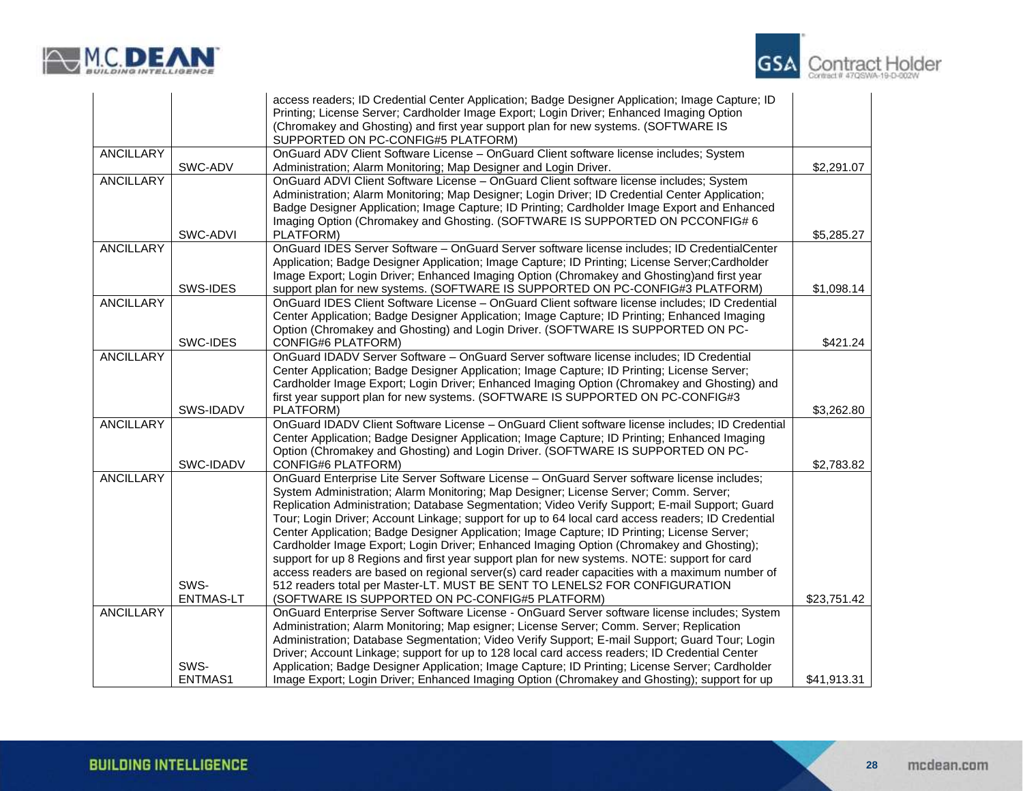



|                  |                  | access readers; ID Credential Center Application; Badge Designer Application; Image Capture; ID                                                                              |             |
|------------------|------------------|------------------------------------------------------------------------------------------------------------------------------------------------------------------------------|-------------|
|                  |                  | Printing; License Server; Cardholder Image Export; Login Driver; Enhanced Imaging Option                                                                                     |             |
|                  |                  | (Chromakey and Ghosting) and first year support plan for new systems. (SOFTWARE IS<br>SUPPORTED ON PC-CONFIG#5 PLATFORM)                                                     |             |
| <b>ANCILLARY</b> |                  | OnGuard ADV Client Software License - OnGuard Client software license includes; System                                                                                       |             |
|                  | SWC-ADV          | Administration; Alarm Monitoring; Map Designer and Login Driver.                                                                                                             | \$2,291.07  |
| <b>ANCILLARY</b> |                  | OnGuard ADVI Client Software License - OnGuard Client software license includes; System                                                                                      |             |
|                  |                  | Administration; Alarm Monitoring; Map Designer; Login Driver; ID Credential Center Application;                                                                              |             |
|                  |                  | Badge Designer Application; Image Capture; ID Printing; Cardholder Image Export and Enhanced                                                                                 |             |
|                  |                  | Imaging Option (Chromakey and Ghosting. (SOFTWARE IS SUPPORTED ON PCCONFIG# 6                                                                                                |             |
| <b>ANCILLARY</b> | SWC-ADVI         | PLATFORM)<br>OnGuard IDES Server Software - OnGuard Server software license includes; ID CredentialCenter                                                                    | \$5,285.27  |
|                  |                  | Application; Badge Designer Application; Image Capture; ID Printing; License Server; Cardholder                                                                              |             |
|                  |                  | Image Export; Login Driver; Enhanced Imaging Option (Chromakey and Ghosting) and first year                                                                                  |             |
|                  | SWS-IDES         | support plan for new systems. (SOFTWARE IS SUPPORTED ON PC-CONFIG#3 PLATFORM)                                                                                                | \$1,098.14  |
| <b>ANCILLARY</b> |                  | OnGuard IDES Client Software License - OnGuard Client software license includes; ID Credential                                                                               |             |
|                  |                  | Center Application; Badge Designer Application; Image Capture; ID Printing; Enhanced Imaging                                                                                 |             |
|                  |                  | Option (Chromakey and Ghosting) and Login Driver. (SOFTWARE IS SUPPORTED ON PC-                                                                                              |             |
|                  | SWC-IDES         | <b>CONFIG#6 PLATFORM)</b>                                                                                                                                                    | \$421.24    |
| <b>ANCILLARY</b> |                  | OnGuard IDADV Server Software - OnGuard Server software license includes; ID Credential                                                                                      |             |
|                  |                  | Center Application; Badge Designer Application; Image Capture; ID Printing; License Server;                                                                                  |             |
|                  |                  | Cardholder Image Export; Login Driver; Enhanced Imaging Option (Chromakey and Ghosting) and                                                                                  |             |
|                  | SWS-IDADV        | first year support plan for new systems. (SOFTWARE IS SUPPORTED ON PC-CONFIG#3<br>PLATFORM)                                                                                  | \$3,262.80  |
| <b>ANCILLARY</b> |                  | OnGuard IDADV Client Software License - OnGuard Client software license includes; ID Credential                                                                              |             |
|                  |                  | Center Application; Badge Designer Application; Image Capture; ID Printing; Enhanced Imaging                                                                                 |             |
|                  |                  | Option (Chromakey and Ghosting) and Login Driver. (SOFTWARE IS SUPPORTED ON PC-                                                                                              |             |
|                  | SWC-IDADV        | <b>CONFIG#6 PLATFORM)</b>                                                                                                                                                    | \$2,783.82  |
| <b>ANCILLARY</b> |                  | OnGuard Enterprise Lite Server Software License - OnGuard Server software license includes;                                                                                  |             |
|                  |                  | System Administration; Alarm Monitoring; Map Designer; License Server; Comm. Server;                                                                                         |             |
|                  |                  | Replication Administration; Database Segmentation; Video Verify Support; E-mail Support; Guard                                                                               |             |
|                  |                  | Tour; Login Driver; Account Linkage; support for up to 64 local card access readers; ID Credential                                                                           |             |
|                  |                  | Center Application; Badge Designer Application; Image Capture; ID Printing; License Server;                                                                                  |             |
|                  |                  | Cardholder Image Export; Login Driver; Enhanced Imaging Option (Chromakey and Ghosting);                                                                                     |             |
|                  |                  | support for up 8 Regions and first year support plan for new systems. NOTE: support for card                                                                                 |             |
|                  | SWS-             | access readers are based on regional server(s) card reader capacities with a maximum number of<br>512 readers total per Master-LT. MUST BE SENT TO LENELS2 FOR CONFIGURATION |             |
|                  | <b>ENTMAS-LT</b> | (SOFTWARE IS SUPPORTED ON PC-CONFIG#5 PLATFORM)                                                                                                                              | \$23,751.42 |
| <b>ANCILLARY</b> |                  | OnGuard Enterprise Server Software License - OnGuard Server software license includes; System                                                                                |             |
|                  |                  | Administration; Alarm Monitoring; Map esigner; License Server; Comm. Server; Replication                                                                                     |             |
|                  |                  | Administration; Database Segmentation; Video Verify Support; E-mail Support; Guard Tour; Login                                                                               |             |
|                  |                  | Driver; Account Linkage; support for up to 128 local card access readers; ID Credential Center                                                                               |             |
|                  | SWS-             | Application; Badge Designer Application; Image Capture; ID Printing; License Server; Cardholder                                                                              |             |
|                  | ENTMAS1          | Image Export; Login Driver; Enhanced Imaging Option (Chromakey and Ghosting); support for up                                                                                 | \$41,913.31 |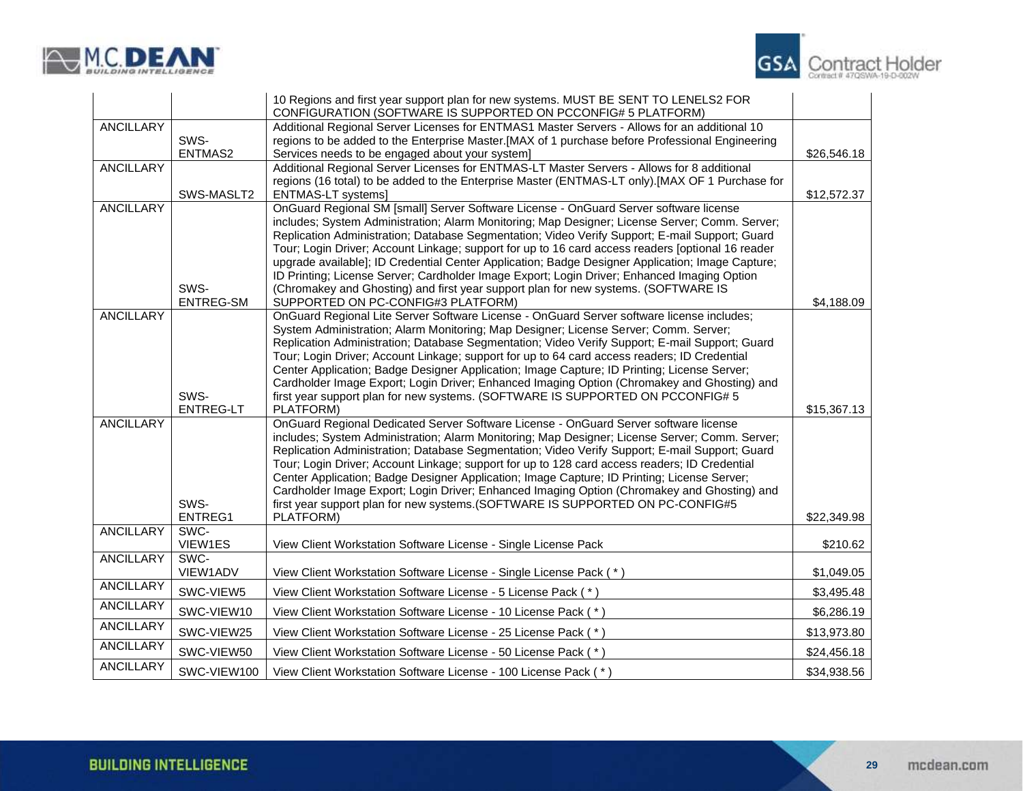



|                  |                  | 10 Regions and first year support plan for new systems. MUST BE SENT TO LENELS2 FOR<br>CONFIGURATION (SOFTWARE IS SUPPORTED ON PCCONFIG# 5 PLATFORM) |             |
|------------------|------------------|------------------------------------------------------------------------------------------------------------------------------------------------------|-------------|
| <b>ANCILLARY</b> |                  | Additional Regional Server Licenses for ENTMAS1 Master Servers - Allows for an additional 10                                                         |             |
|                  | SWS-             | regions to be added to the Enterprise Master.[MAX of 1 purchase before Professional Engineering                                                      |             |
|                  | ENTMAS2          | Services needs to be engaged about your system]                                                                                                      | \$26,546.18 |
| <b>ANCILLARY</b> |                  | Additional Regional Server Licenses for ENTMAS-LT Master Servers - Allows for 8 additional                                                           |             |
|                  |                  | regions (16 total) to be added to the Enterprise Master (ENTMAS-LT only).[MAX OF 1 Purchase for                                                      |             |
|                  | SWS-MASLT2       | <b>ENTMAS-LT systems]</b>                                                                                                                            | \$12,572.37 |
| <b>ANCILLARY</b> |                  | OnGuard Regional SM [small] Server Software License - OnGuard Server software license                                                                |             |
|                  |                  | includes; System Administration; Alarm Monitoring; Map Designer; License Server; Comm. Server;                                                       |             |
|                  |                  | Replication Administration; Database Segmentation; Video Verify Support; E-mail Support; Guard                                                       |             |
|                  |                  | Tour; Login Driver; Account Linkage; support for up to 16 card access readers [optional 16 reader                                                    |             |
|                  |                  | upgrade available]; ID Credential Center Application; Badge Designer Application; Image Capture;                                                     |             |
|                  |                  | ID Printing; License Server; Cardholder Image Export; Login Driver; Enhanced Imaging Option                                                          |             |
|                  | SWS-             | (Chromakey and Ghosting) and first year support plan for new systems. (SOFTWARE IS                                                                   |             |
|                  | <b>ENTREG-SM</b> | SUPPORTED ON PC-CONFIG#3 PLATFORM)                                                                                                                   | \$4,188.09  |
| <b>ANCILLARY</b> |                  | OnGuard Regional Lite Server Software License - OnGuard Server software license includes;                                                            |             |
|                  |                  | System Administration; Alarm Monitoring; Map Designer; License Server; Comm. Server;                                                                 |             |
|                  |                  | Replication Administration; Database Segmentation; Video Verify Support; E-mail Support; Guard                                                       |             |
|                  |                  | Tour; Login Driver; Account Linkage; support for up to 64 card access readers; ID Credential                                                         |             |
|                  |                  | Center Application; Badge Designer Application; Image Capture; ID Printing; License Server;                                                          |             |
|                  |                  | Cardholder Image Export; Login Driver; Enhanced Imaging Option (Chromakey and Ghosting) and                                                          |             |
|                  | SWS-             | first year support plan for new systems. (SOFTWARE IS SUPPORTED ON PCCONFIG# 5                                                                       |             |
|                  | <b>ENTREG-LT</b> | PLATFORM)                                                                                                                                            | \$15,367.13 |
| <b>ANCILLARY</b> |                  | OnGuard Regional Dedicated Server Software License - OnGuard Server software license                                                                 |             |
|                  |                  | includes; System Administration; Alarm Monitoring; Map Designer; License Server; Comm. Server;                                                       |             |
|                  |                  | Replication Administration; Database Segmentation; Video Verify Support; E-mail Support; Guard                                                       |             |
|                  |                  | Tour; Login Driver; Account Linkage; support for up to 128 card access readers; ID Credential                                                        |             |
|                  |                  | Center Application; Badge Designer Application; Image Capture; ID Printing; License Server;                                                          |             |
|                  |                  | Cardholder Image Export; Login Driver; Enhanced Imaging Option (Chromakey and Ghosting) and                                                          |             |
|                  | SWS-             | first year support plan for new systems. (SOFTWARE IS SUPPORTED ON PC-CONFIG#5                                                                       |             |
|                  | ENTREG1          | PLATFORM)                                                                                                                                            | \$22,349.98 |
| <b>ANCILLARY</b> | SWC-             |                                                                                                                                                      |             |
|                  | VIEW1ES          | View Client Workstation Software License - Single License Pack                                                                                       | \$210.62    |
| <b>ANCILLARY</b> | SWC-             |                                                                                                                                                      |             |
|                  | VIEW1ADV         | View Client Workstation Software License - Single License Pack (*)                                                                                   | \$1,049.05  |
| <b>ANCILLARY</b> | SWC-VIEW5        | View Client Workstation Software License - 5 License Pack (*)                                                                                        | \$3,495.48  |
| <b>ANCILLARY</b> | SWC-VIEW10       | View Client Workstation Software License - 10 License Pack (*)                                                                                       | \$6,286.19  |
| <b>ANCILLARY</b> | SWC-VIEW25       | View Client Workstation Software License - 25 License Pack (*)                                                                                       | \$13,973.80 |
| <b>ANCILLARY</b> | SWC-VIEW50       | View Client Workstation Software License - 50 License Pack (*)                                                                                       | \$24,456.18 |
| <b>ANCILLARY</b> | SWC-VIEW100      | View Client Workstation Software License - 100 License Pack (*)                                                                                      | \$34,938.56 |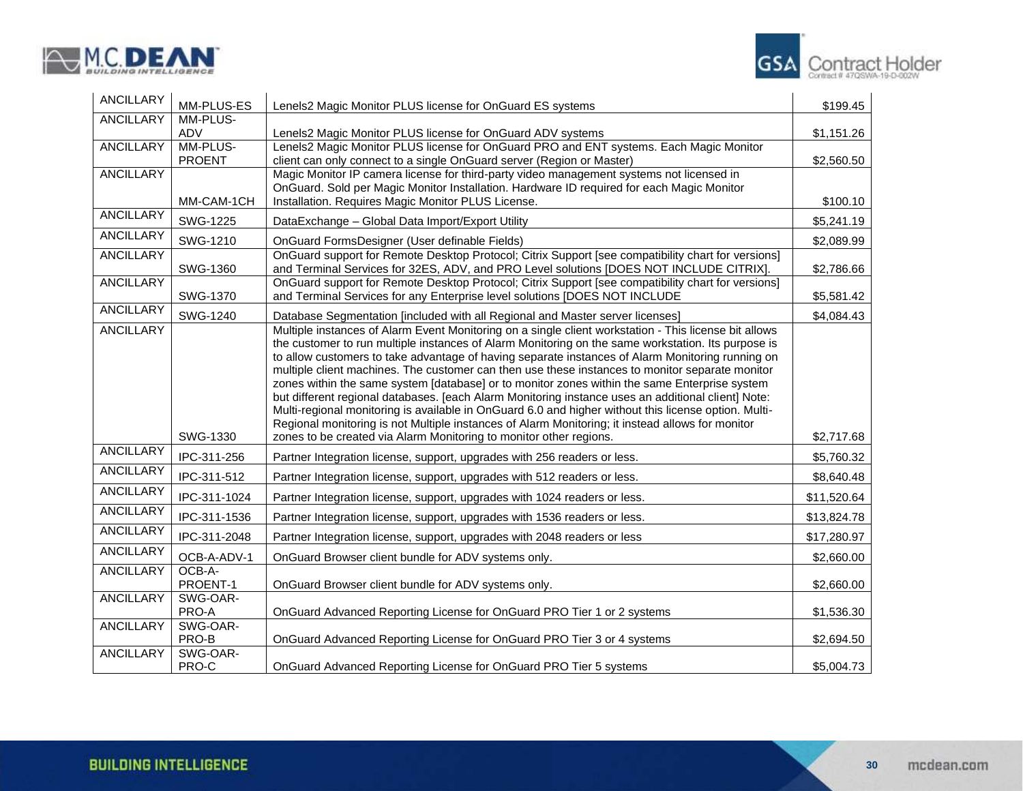



| <b>ANCILLARY</b> | MM-PLUS-ES    | Lenels2 Magic Monitor PLUS license for OnGuard ES systems                                                                                                                                                  |             |
|------------------|---------------|------------------------------------------------------------------------------------------------------------------------------------------------------------------------------------------------------------|-------------|
| <b>ANCILLARY</b> | MM-PLUS-      |                                                                                                                                                                                                            |             |
|                  | ADV           | Lenels2 Magic Monitor PLUS license for OnGuard ADV systems                                                                                                                                                 | \$1,151.26  |
| <b>ANCILLARY</b> | MM-PLUS-      | Lenels2 Magic Monitor PLUS license for OnGuard PRO and ENT systems. Each Magic Monitor                                                                                                                     |             |
|                  | <b>PROENT</b> | client can only connect to a single OnGuard server (Region or Master)                                                                                                                                      | \$2,560.50  |
| <b>ANCILLARY</b> |               | Magic Monitor IP camera license for third-party video management systems not licensed in                                                                                                                   |             |
|                  |               | OnGuard. Sold per Magic Monitor Installation. Hardware ID required for each Magic Monitor                                                                                                                  |             |
|                  | MM-CAM-1CH    | Installation. Requires Magic Monitor PLUS License.                                                                                                                                                         | \$100.10    |
| <b>ANCILLARY</b> | SWG-1225      | DataExchange - Global Data Import/Export Utility                                                                                                                                                           | \$5,241.19  |
| <b>ANCILLARY</b> | SWG-1210      | OnGuard FormsDesigner (User definable Fields)                                                                                                                                                              | \$2,089.99  |
| <b>ANCILLARY</b> |               | OnGuard support for Remote Desktop Protocol; Citrix Support [see compatibility chart for versions]                                                                                                         |             |
|                  | SWG-1360      | and Terminal Services for 32ES, ADV, and PRO Level solutions [DOES NOT INCLUDE CITRIX].                                                                                                                    | \$2,786.66  |
| <b>ANCILLARY</b> |               | OnGuard support for Remote Desktop Protocol; Citrix Support [see compatibility chart for versions]                                                                                                         |             |
|                  | SWG-1370      | and Terminal Services for any Enterprise level solutions [DOES NOT INCLUDE                                                                                                                                 | \$5,581.42  |
| <b>ANCILLARY</b> | SWG-1240      | Database Segmentation [included with all Regional and Master server licenses]                                                                                                                              | \$4,084.43  |
| <b>ANCILLARY</b> |               | Multiple instances of Alarm Event Monitoring on a single client workstation - This license bit allows                                                                                                      |             |
|                  |               | the customer to run multiple instances of Alarm Monitoring on the same workstation. Its purpose is                                                                                                         |             |
|                  |               | to allow customers to take advantage of having separate instances of Alarm Monitoring running on                                                                                                           |             |
|                  |               | multiple client machines. The customer can then use these instances to monitor separate monitor                                                                                                            |             |
|                  |               | zones within the same system [database] or to monitor zones within the same Enterprise system                                                                                                              |             |
|                  |               | but different regional databases. [each Alarm Monitoring instance uses an additional client] Note:<br>Multi-regional monitoring is available in OnGuard 6.0 and higher without this license option. Multi- |             |
|                  |               | Regional monitoring is not Multiple instances of Alarm Monitoring; it instead allows for monitor                                                                                                           |             |
|                  | SWG-1330      | zones to be created via Alarm Monitoring to monitor other regions.                                                                                                                                         | \$2,717.68  |
| <b>ANCILLARY</b> | IPC-311-256   | Partner Integration license, support, upgrades with 256 readers or less.                                                                                                                                   | \$5,760.32  |
| <b>ANCILLARY</b> |               |                                                                                                                                                                                                            |             |
| <b>ANCILLARY</b> | IPC-311-512   | Partner Integration license, support, upgrades with 512 readers or less.                                                                                                                                   | \$8,640.48  |
|                  | IPC-311-1024  | Partner Integration license, support, upgrades with 1024 readers or less.                                                                                                                                  | \$11,520.64 |
| <b>ANCILLARY</b> | IPC-311-1536  | Partner Integration license, support, upgrades with 1536 readers or less.                                                                                                                                  | \$13,824.78 |
| <b>ANCILLARY</b> | IPC-311-2048  | Partner Integration license, support, upgrades with 2048 readers or less                                                                                                                                   | \$17,280.97 |
| <b>ANCILLARY</b> | OCB-A-ADV-1   | OnGuard Browser client bundle for ADV systems only.                                                                                                                                                        | \$2,660.00  |
| <b>ANCILLARY</b> | OCB-A-        |                                                                                                                                                                                                            |             |
|                  | PROENT-1      | OnGuard Browser client bundle for ADV systems only.                                                                                                                                                        | \$2,660.00  |
| <b>ANCILLARY</b> | SWG-OAR-      |                                                                                                                                                                                                            |             |
|                  | PRO-A         | OnGuard Advanced Reporting License for OnGuard PRO Tier 1 or 2 systems                                                                                                                                     | \$1,536.30  |
| <b>ANCILLARY</b> | SWG-OAR-      |                                                                                                                                                                                                            |             |
|                  | PRO-B         | OnGuard Advanced Reporting License for OnGuard PRO Tier 3 or 4 systems                                                                                                                                     | \$2,694.50  |
| <b>ANCILLARY</b> | SWG-OAR-      |                                                                                                                                                                                                            |             |
|                  | PRO-C         | OnGuard Advanced Reporting License for OnGuard PRO Tier 5 systems                                                                                                                                          | \$5,004.73  |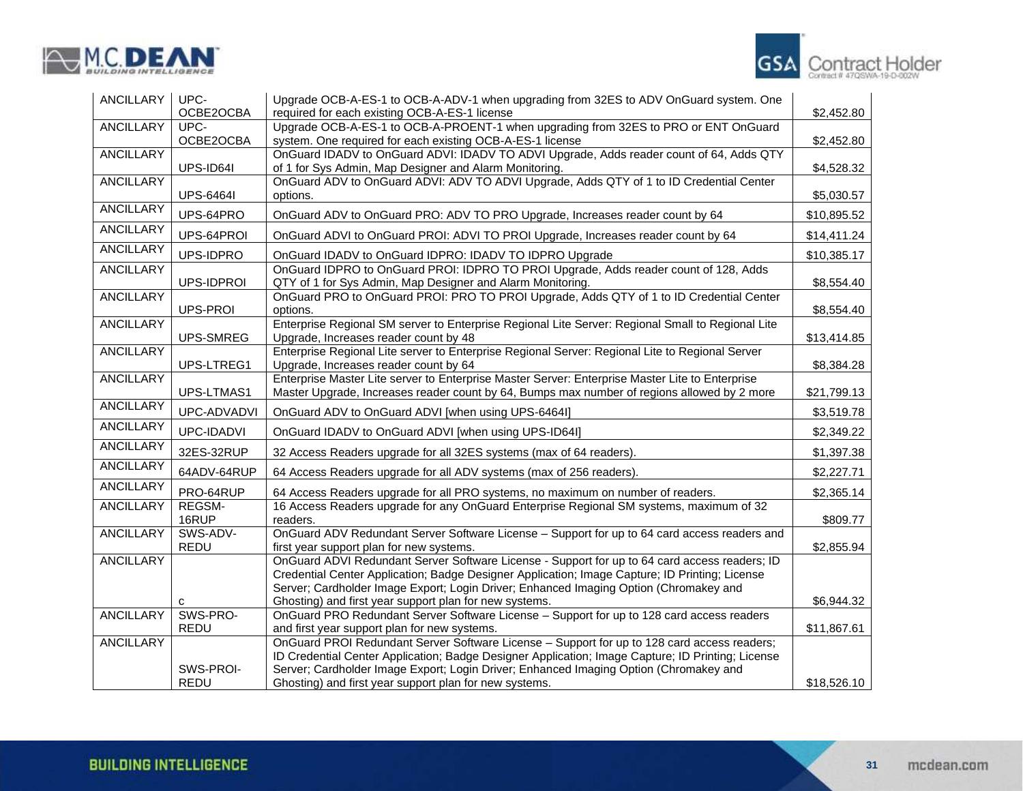



| <b>ANCILLARY</b> | UPC-<br>OCBE2OCBA       | Upgrade OCB-A-ES-1 to OCB-A-ADV-1 when upgrading from 32ES to ADV OnGuard system. One<br>required for each existing OCB-A-ES-1 license                                                                                                                                                    |             |
|------------------|-------------------------|-------------------------------------------------------------------------------------------------------------------------------------------------------------------------------------------------------------------------------------------------------------------------------------------|-------------|
| <b>ANCILLARY</b> | UPC-<br>OCBE2OCBA       | Upgrade OCB-A-ES-1 to OCB-A-PROENT-1 when upgrading from 32ES to PRO or ENT OnGuard<br>system. One required for each existing OCB-A-ES-1 license                                                                                                                                          | \$2,452.80  |
| <b>ANCILLARY</b> | UPS-ID64I               | OnGuard IDADV to OnGuard ADVI: IDADV TO ADVI Upgrade, Adds reader count of 64, Adds QTY<br>of 1 for Sys Admin, Map Designer and Alarm Monitoring.                                                                                                                                         | \$4,528.32  |
| <b>ANCILLARY</b> | <b>UPS-6464I</b>        | OnGuard ADV to OnGuard ADVI: ADV TO ADVI Upgrade, Adds QTY of 1 to ID Credential Center<br>options.                                                                                                                                                                                       | \$5,030.57  |
| <b>ANCILLARY</b> | UPS-64PRO               | OnGuard ADV to OnGuard PRO: ADV TO PRO Upgrade, Increases reader count by 64                                                                                                                                                                                                              | \$10,895.52 |
| <b>ANCILLARY</b> | UPS-64PROI              | OnGuard ADVI to OnGuard PROI: ADVI TO PROI Upgrade, Increases reader count by 64                                                                                                                                                                                                          | \$14,411.24 |
| <b>ANCILLARY</b> | UPS-IDPRO               | OnGuard IDADV to OnGuard IDPRO: IDADV TO IDPRO Upgrade                                                                                                                                                                                                                                    | \$10,385.17 |
| <b>ANCILLARY</b> | UPS-IDPROI              | OnGuard IDPRO to OnGuard PROI: IDPRO TO PROI Upgrade, Adds reader count of 128, Adds<br>QTY of 1 for Sys Admin, Map Designer and Alarm Monitoring.                                                                                                                                        | \$8,554.40  |
| <b>ANCILLARY</b> | UPS-PROI                | OnGuard PRO to OnGuard PROI: PRO TO PROI Upgrade, Adds QTY of 1 to ID Credential Center<br>options.                                                                                                                                                                                       | \$8,554.40  |
| <b>ANCILLARY</b> | <b>UPS-SMREG</b>        | Enterprise Regional SM server to Enterprise Regional Lite Server: Regional Small to Regional Lite<br>Upgrade, Increases reader count by 48                                                                                                                                                | \$13,414.85 |
| <b>ANCILLARY</b> | UPS-LTREG1              | Enterprise Regional Lite server to Enterprise Regional Server: Regional Lite to Regional Server<br>Upgrade, Increases reader count by 64                                                                                                                                                  |             |
| <b>ANCILLARY</b> | UPS-LTMAS1              | Enterprise Master Lite server to Enterprise Master Server: Enterprise Master Lite to Enterprise<br>Master Upgrade, Increases reader count by 64, Bumps max number of regions allowed by 2 more                                                                                            | \$21,799.13 |
| <b>ANCILLARY</b> | UPC-ADVADVI             | OnGuard ADV to OnGuard ADVI [when using UPS-64641]                                                                                                                                                                                                                                        | \$3,519.78  |
| <b>ANCILLARY</b> | UPC-IDADVI              | OnGuard IDADV to OnGuard ADVI [when using UPS-ID64I]                                                                                                                                                                                                                                      | \$2,349.22  |
| <b>ANCILLARY</b> | 32ES-32RUP              | 32 Access Readers upgrade for all 32ES systems (max of 64 readers).                                                                                                                                                                                                                       | \$1,397.38  |
| <b>ANCILLARY</b> | 64ADV-64RUP             | 64 Access Readers upgrade for all ADV systems (max of 256 readers).                                                                                                                                                                                                                       | \$2,227.71  |
| <b>ANCILLARY</b> | PRO-64RUP               | 64 Access Readers upgrade for all PRO systems, no maximum on number of readers.                                                                                                                                                                                                           | \$2,365.14  |
| <b>ANCILLARY</b> | REGSM-<br>16RUP         | 16 Access Readers upgrade for any OnGuard Enterprise Regional SM systems, maximum of 32<br>readers.                                                                                                                                                                                       | \$809.77    |
| <b>ANCILLARY</b> | SWS-ADV-<br><b>REDU</b> | OnGuard ADV Redundant Server Software License - Support for up to 64 card access readers and<br>first year support plan for new systems.                                                                                                                                                  | \$2,855.94  |
| <b>ANCILLARY</b> |                         | OnGuard ADVI Redundant Server Software License - Support for up to 64 card access readers; ID<br>Credential Center Application; Badge Designer Application; Image Capture; ID Printing; License<br>Server; Cardholder Image Export; Login Driver; Enhanced Imaging Option (Chromakey and  |             |
| <b>ANCILLARY</b> | SWS-PRO-                | Ghosting) and first year support plan for new systems.                                                                                                                                                                                                                                    | \$6,944.32  |
|                  | REDU                    | OnGuard PRO Redundant Server Software License - Support for up to 128 card access readers<br>and first year support plan for new systems.                                                                                                                                                 | \$11,867.61 |
| <b>ANCILLARY</b> | SWS-PROI-               | OnGuard PROI Redundant Server Software License - Support for up to 128 card access readers;<br>ID Credential Center Application; Badge Designer Application; Image Capture; ID Printing; License<br>Server; Cardholder Image Export; Login Driver; Enhanced Imaging Option (Chromakey and |             |
|                  | REDU                    | Ghosting) and first year support plan for new systems.                                                                                                                                                                                                                                    | \$18,526.10 |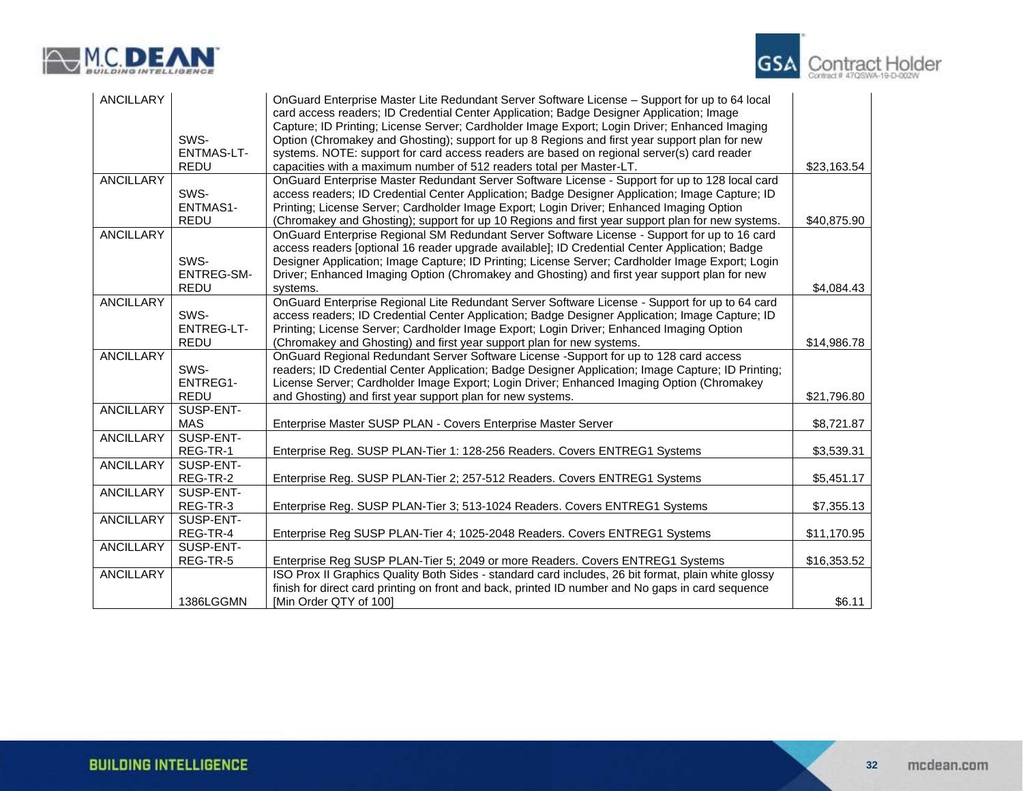



| <b>ANCILLARY</b> | SWS-                                     | OnGuard Enterprise Master Lite Redundant Server Software License - Support for up to 64 local<br>card access readers; ID Credential Center Application; Badge Designer Application; Image<br>Capture; ID Printing; License Server; Cardholder Image Export; Login Driver; Enhanced Imaging<br>Option (Chromakey and Ghosting); support for up 8 Regions and first year support plan for new                    |             |
|------------------|------------------------------------------|----------------------------------------------------------------------------------------------------------------------------------------------------------------------------------------------------------------------------------------------------------------------------------------------------------------------------------------------------------------------------------------------------------------|-------------|
|                  | <b>ENTMAS-LT-</b><br><b>REDU</b>         | systems. NOTE: support for card access readers are based on regional server(s) card reader<br>capacities with a maximum number of 512 readers total per Master-LT.                                                                                                                                                                                                                                             | \$23,163.54 |
| <b>ANCILLARY</b> | SWS-<br>ENTMAS1-<br><b>REDU</b>          | OnGuard Enterprise Master Redundant Server Software License - Support for up to 128 local card<br>access readers; ID Credential Center Application; Badge Designer Application; Image Capture; ID<br>Printing; License Server; Cardholder Image Export; Login Driver; Enhanced Imaging Option<br>(Chromakey and Ghosting); support for up 10 Regions and first year support plan for new systems.              | \$40,875.90 |
| <b>ANCILLARY</b> | SWS-<br>ENTREG-SM-<br><b>REDU</b>        | OnGuard Enterprise Regional SM Redundant Server Software License - Support for up to 16 card<br>access readers [optional 16 reader upgrade available]; ID Credential Center Application; Badge<br>Designer Application; Image Capture; ID Printing; License Server; Cardholder Image Export; Login<br>Driver; Enhanced Imaging Option (Chromakey and Ghosting) and first year support plan for new<br>systems. | \$4,084.43  |
| <b>ANCILLARY</b> | SWS-<br><b>ENTREG-LT-</b><br><b>REDU</b> | OnGuard Enterprise Regional Lite Redundant Server Software License - Support for up to 64 card<br>access readers; ID Credential Center Application; Badge Designer Application; Image Capture; ID<br>Printing; License Server; Cardholder Image Export; Login Driver; Enhanced Imaging Option<br>(Chromakey and Ghosting) and first year support plan for new systems.                                         | \$14,986.78 |
| <b>ANCILLARY</b> | SWS-<br><b>ENTREG1-</b><br><b>REDU</b>   | OnGuard Regional Redundant Server Software License -Support for up to 128 card access<br>readers; ID Credential Center Application; Badge Designer Application; Image Capture; ID Printing;<br>License Server; Cardholder Image Export; Login Driver; Enhanced Imaging Option (Chromakey<br>and Ghosting) and first year support plan for new systems.                                                         | \$21,796.80 |
| <b>ANCILLARY</b> | SUSP-ENT-<br>MAS                         | Enterprise Master SUSP PLAN - Covers Enterprise Master Server                                                                                                                                                                                                                                                                                                                                                  | \$8,721.87  |
| <b>ANCILLARY</b> | SUSP-ENT-<br>REG-TR-1                    | Enterprise Reg. SUSP PLAN-Tier 1: 128-256 Readers. Covers ENTREG1 Systems                                                                                                                                                                                                                                                                                                                                      | \$3,539.31  |
| <b>ANCILLARY</b> | SUSP-ENT-<br>REG-TR-2                    | Enterprise Reg. SUSP PLAN-Tier 2; 257-512 Readers. Covers ENTREG1 Systems                                                                                                                                                                                                                                                                                                                                      | \$5,451.17  |
| <b>ANCILLARY</b> | SUSP-ENT-<br>REG-TR-3                    | Enterprise Reg. SUSP PLAN-Tier 3; 513-1024 Readers. Covers ENTREG1 Systems                                                                                                                                                                                                                                                                                                                                     | \$7,355.13  |
| <b>ANCILLARY</b> | SUSP-ENT-<br>REG-TR-4                    | Enterprise Reg SUSP PLAN-Tier 4; 1025-2048 Readers. Covers ENTREG1 Systems                                                                                                                                                                                                                                                                                                                                     | \$11,170.95 |
| <b>ANCILLARY</b> | SUSP-ENT-<br>REG-TR-5                    | Enterprise Reg SUSP PLAN-Tier 5; 2049 or more Readers. Covers ENTREG1 Systems                                                                                                                                                                                                                                                                                                                                  | \$16,353.52 |
| <b>ANCILLARY</b> | 1386LGGMN                                | ISO Prox II Graphics Quality Both Sides - standard card includes, 26 bit format, plain white glossy<br>finish for direct card printing on front and back, printed ID number and No gaps in card sequence<br>[Min Order QTY of 100]                                                                                                                                                                             | \$6.11      |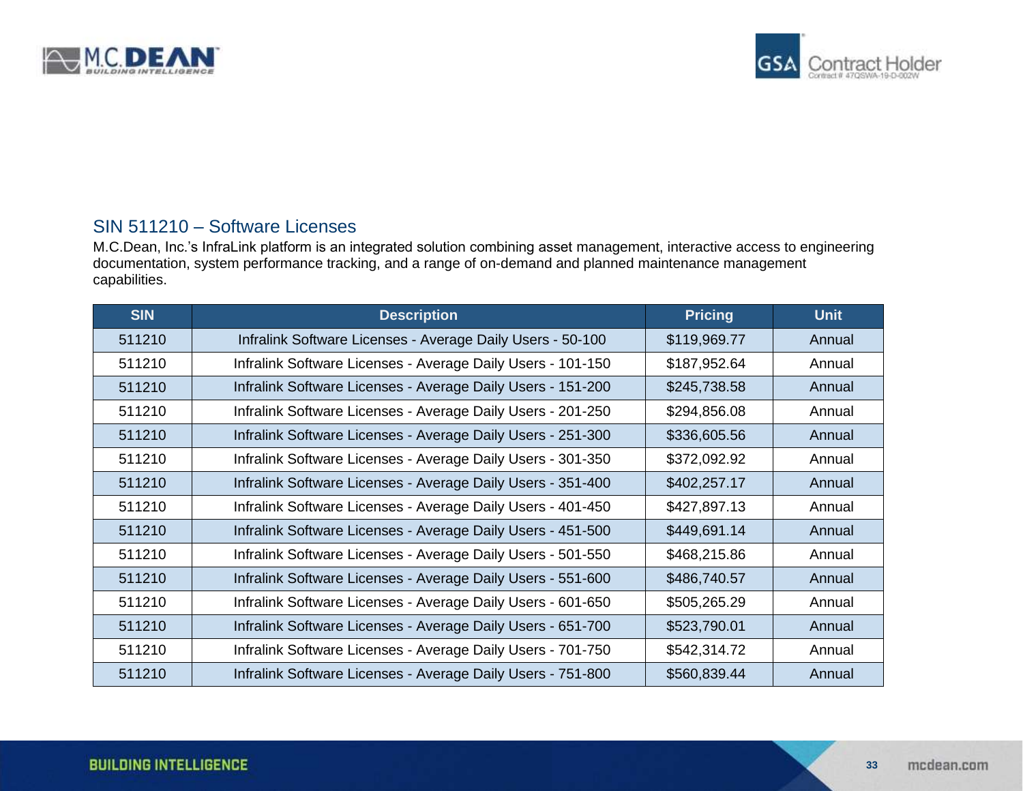



# SIN 511210 – Software Licenses

M.C.Dean, Inc.'s InfraLink platform is an integrated solution combining asset management, interactive access to engineering documentation, system performance tracking, and a range of on-demand and planned maintenance management capabilities.

| <b>SIN</b> | <b>Description</b>                                          | <b>Pricing</b> | <b>Unit</b> |
|------------|-------------------------------------------------------------|----------------|-------------|
| 511210     | Infralink Software Licenses - Average Daily Users - 50-100  | \$119,969.77   | Annual      |
| 511210     | Infralink Software Licenses - Average Daily Users - 101-150 | \$187,952.64   | Annual      |
| 511210     | Infralink Software Licenses - Average Daily Users - 151-200 | \$245,738.58   | Annual      |
| 511210     | Infralink Software Licenses - Average Daily Users - 201-250 | \$294,856.08   | Annual      |
| 511210     | Infralink Software Licenses - Average Daily Users - 251-300 | \$336,605.56   | Annual      |
| 511210     | Infralink Software Licenses - Average Daily Users - 301-350 | \$372,092.92   | Annual      |
| 511210     | Infralink Software Licenses - Average Daily Users - 351-400 | \$402,257.17   | Annual      |
| 511210     | Infralink Software Licenses - Average Daily Users - 401-450 | \$427,897.13   | Annual      |
| 511210     | Infralink Software Licenses - Average Daily Users - 451-500 | \$449,691.14   | Annual      |
| 511210     | Infralink Software Licenses - Average Daily Users - 501-550 | \$468,215.86   | Annual      |
| 511210     | Infralink Software Licenses - Average Daily Users - 551-600 | \$486,740.57   | Annual      |
| 511210     | Infralink Software Licenses - Average Daily Users - 601-650 | \$505,265.29   | Annual      |
| 511210     | Infralink Software Licenses - Average Daily Users - 651-700 | \$523,790.01   | Annual      |
| 511210     | Infralink Software Licenses - Average Daily Users - 701-750 | \$542,314.72   | Annual      |
| 511210     | Infralink Software Licenses - Average Daily Users - 751-800 | \$560,839.44   | Annual      |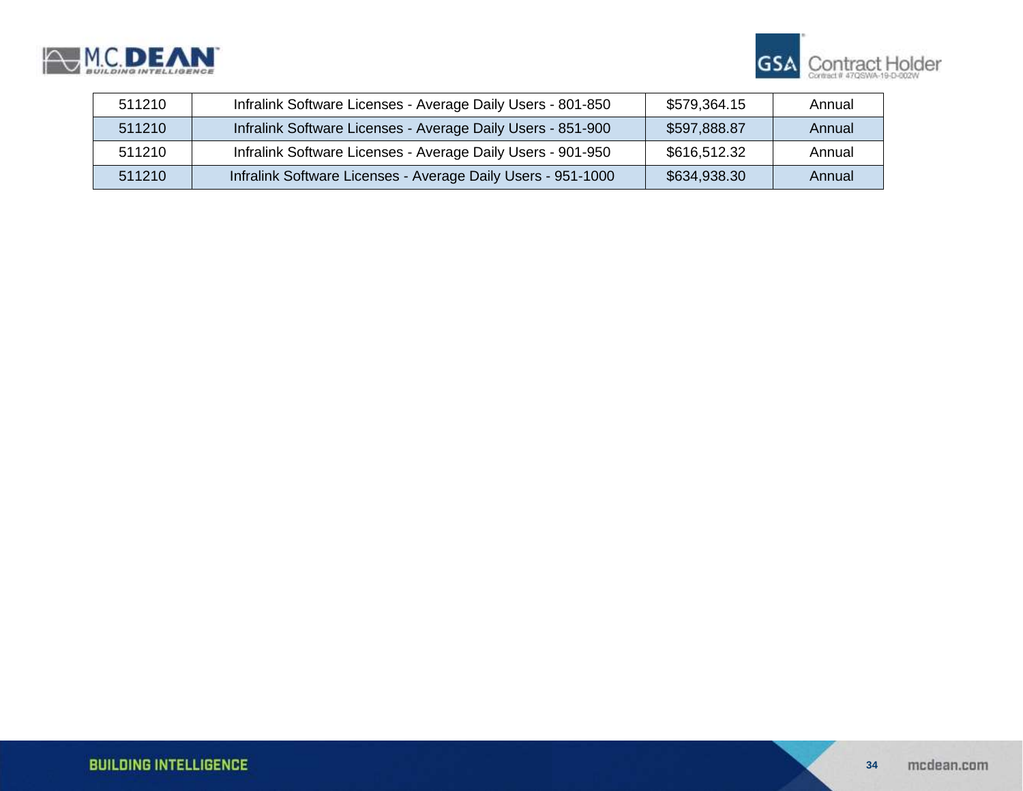



| 511210 | Infralink Software Licenses - Average Daily Users - 801-850  | \$579,364.15 | Annual |
|--------|--------------------------------------------------------------|--------------|--------|
| 511210 | Infralink Software Licenses - Average Daily Users - 851-900  | \$597,888.87 | Annual |
| 511210 | Infralink Software Licenses - Average Daily Users - 901-950  | \$616,512.32 | Annual |
| 511210 | Infralink Software Licenses - Average Daily Users - 951-1000 | \$634,938.30 | Annual |

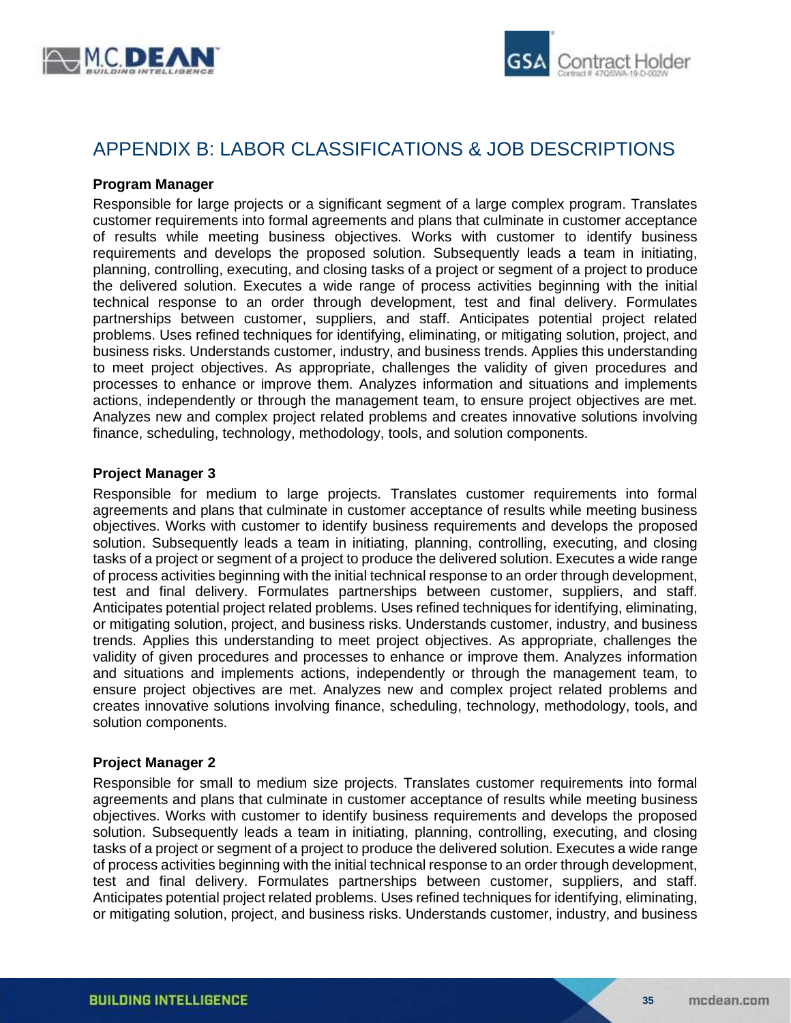



## <span id="page-34-0"></span>APPENDIX B: LABOR CLASSIFICATIONS & JOB DESCRIPTIONS

#### **Program Manager**

Responsible for large projects or a significant segment of a large complex program. Translates customer requirements into formal agreements and plans that culminate in customer acceptance of results while meeting business objectives. Works with customer to identify business requirements and develops the proposed solution. Subsequently leads a team in initiating, planning, controlling, executing, and closing tasks of a project or segment of a project to produce the delivered solution. Executes a wide range of process activities beginning with the initial technical response to an order through development, test and final delivery. Formulates partnerships between customer, suppliers, and staff. Anticipates potential project related problems. Uses refined techniques for identifying, eliminating, or mitigating solution, project, and business risks. Understands customer, industry, and business trends. Applies this understanding to meet project objectives. As appropriate, challenges the validity of given procedures and processes to enhance or improve them. Analyzes information and situations and implements actions, independently or through the management team, to ensure project objectives are met. Analyzes new and complex project related problems and creates innovative solutions involving finance, scheduling, technology, methodology, tools, and solution components.

#### **Project Manager 3**

Responsible for medium to large projects. Translates customer requirements into formal agreements and plans that culminate in customer acceptance of results while meeting business objectives. Works with customer to identify business requirements and develops the proposed solution. Subsequently leads a team in initiating, planning, controlling, executing, and closing tasks of a project or segment of a project to produce the delivered solution. Executes a wide range of process activities beginning with the initial technical response to an order through development, test and final delivery. Formulates partnerships between customer, suppliers, and staff. Anticipates potential project related problems. Uses refined techniques for identifying, eliminating, or mitigating solution, project, and business risks. Understands customer, industry, and business trends. Applies this understanding to meet project objectives. As appropriate, challenges the validity of given procedures and processes to enhance or improve them. Analyzes information and situations and implements actions, independently or through the management team, to ensure project objectives are met. Analyzes new and complex project related problems and creates innovative solutions involving finance, scheduling, technology, methodology, tools, and solution components.

#### **Project Manager 2**

Responsible for small to medium size projects. Translates customer requirements into formal agreements and plans that culminate in customer acceptance of results while meeting business objectives. Works with customer to identify business requirements and develops the proposed solution. Subsequently leads a team in initiating, planning, controlling, executing, and closing tasks of a project or segment of a project to produce the delivered solution. Executes a wide range of process activities beginning with the initial technical response to an order through development, test and final delivery. Formulates partnerships between customer, suppliers, and staff. Anticipates potential project related problems. Uses refined techniques for identifying, eliminating, or mitigating solution, project, and business risks. Understands customer, industry, and business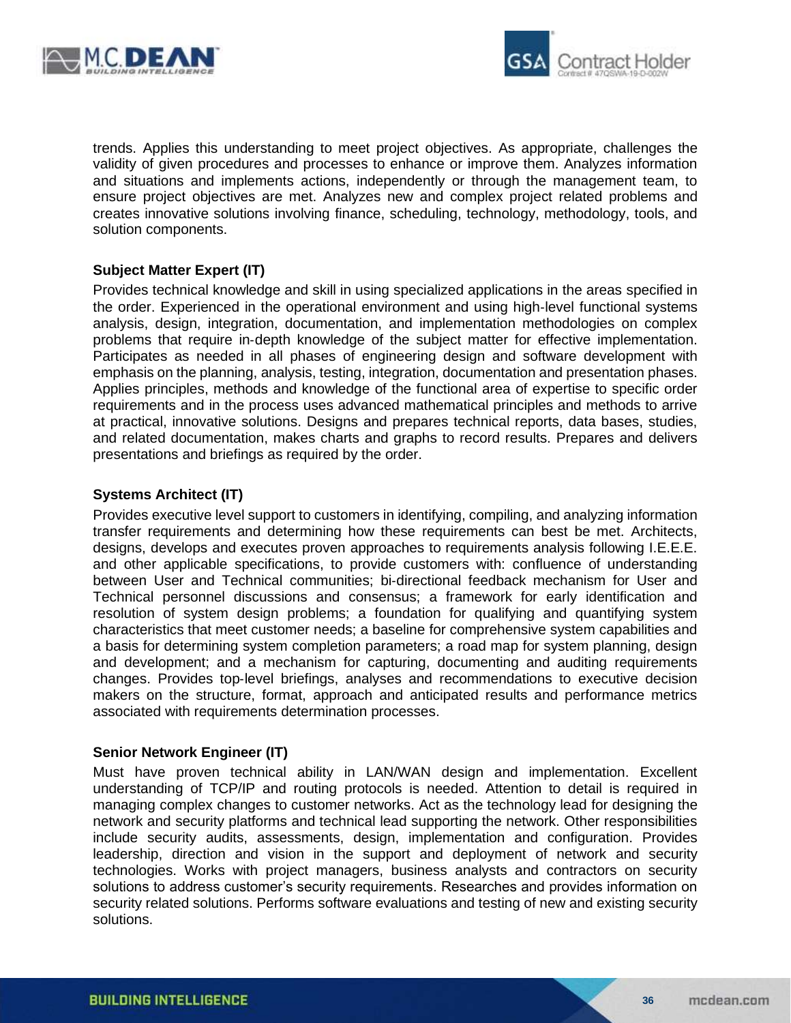



trends. Applies this understanding to meet project objectives. As appropriate, challenges the validity of given procedures and processes to enhance or improve them. Analyzes information and situations and implements actions, independently or through the management team, to ensure project objectives are met. Analyzes new and complex project related problems and creates innovative solutions involving finance, scheduling, technology, methodology, tools, and solution components.

#### **Subject Matter Expert (IT)**

Provides technical knowledge and skill in using specialized applications in the areas specified in the order. Experienced in the operational environment and using high‐level functional systems analysis, design, integration, documentation, and implementation methodologies on complex problems that require in‐depth knowledge of the subject matter for effective implementation. Participates as needed in all phases of engineering design and software development with emphasis on the planning, analysis, testing, integration, documentation and presentation phases. Applies principles, methods and knowledge of the functional area of expertise to specific order requirements and in the process uses advanced mathematical principles and methods to arrive at practical, innovative solutions. Designs and prepares technical reports, data bases, studies, and related documentation, makes charts and graphs to record results. Prepares and delivers presentations and briefings as required by the order.

#### **Systems Architect (IT)**

Provides executive level support to customers in identifying, compiling, and analyzing information transfer requirements and determining how these requirements can best be met. Architects, designs, develops and executes proven approaches to requirements analysis following I.E.E.E. and other applicable specifications, to provide customers with: confluence of understanding between User and Technical communities; bi‐directional feedback mechanism for User and Technical personnel discussions and consensus; a framework for early identification and resolution of system design problems; a foundation for qualifying and quantifying system characteristics that meet customer needs; a baseline for comprehensive system capabilities and a basis for determining system completion parameters; a road map for system planning, design and development; and a mechanism for capturing, documenting and auditing requirements changes. Provides top‐level briefings, analyses and recommendations to executive decision makers on the structure, format, approach and anticipated results and performance metrics associated with requirements determination processes.

#### **Senior Network Engineer (IT)**

Must have proven technical ability in LAN/WAN design and implementation. Excellent understanding of TCP/IP and routing protocols is needed. Attention to detail is required in managing complex changes to customer networks. Act as the technology lead for designing the network and security platforms and technical lead supporting the network. Other responsibilities include security audits, assessments, design, implementation and configuration. Provides leadership, direction and vision in the support and deployment of network and security technologies. Works with project managers, business analysts and contractors on security solutions to address customer's security requirements. Researches and provides information on security related solutions. Performs software evaluations and testing of new and existing security solutions.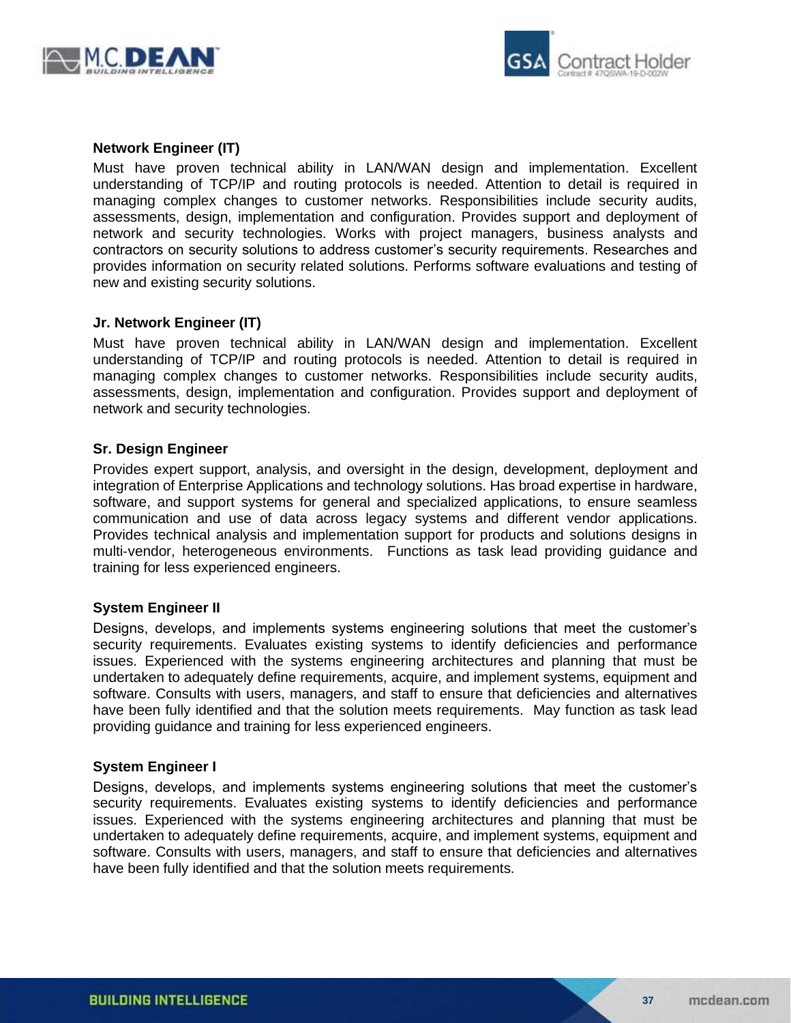



# **Network Engineer (IT)**

Must have proven technical ability in LAN/WAN design and implementation. Excellent understanding of TCP/IP and routing protocols is needed. Attention to detail is required in managing complex changes to customer networks. Responsibilities include security audits, assessments, design, implementation and configuration. Provides support and deployment of network and security technologies. Works with project managers, business analysts and contractors on security solutions to address customer's security requirements. Researches and provides information on security related solutions. Performs software evaluations and testing of new and existing security solutions.

### **Jr. Network Engineer (IT)**

Must have proven technical ability in LAN/WAN design and implementation. Excellent understanding of TCP/IP and routing protocols is needed. Attention to detail is required in managing complex changes to customer networks. Responsibilities include security audits, assessments, design, implementation and configuration. Provides support and deployment of network and security technologies.

### **Sr. Design Engineer**

Provides expert support, analysis, and oversight in the design, development, deployment and integration of Enterprise Applications and technology solutions. Has broad expertise in hardware, software, and support systems for general and specialized applications, to ensure seamless communication and use of data across legacy systems and different vendor applications. Provides technical analysis and implementation support for products and solutions designs in multi-vendor, heterogeneous environments. Functions as task lead providing guidance and training for less experienced engineers.

# **System Engineer II**

Designs, develops, and implements systems engineering solutions that meet the customer's security requirements. Evaluates existing systems to identify deficiencies and performance issues. Experienced with the systems engineering architectures and planning that must be undertaken to adequately define requirements, acquire, and implement systems, equipment and software. Consults with users, managers, and staff to ensure that deficiencies and alternatives have been fully identified and that the solution meets requirements. May function as task lead providing guidance and training for less experienced engineers.

### **System Engineer I**

Designs, develops, and implements systems engineering solutions that meet the customer's security requirements. Evaluates existing systems to identify deficiencies and performance issues. Experienced with the systems engineering architectures and planning that must be undertaken to adequately define requirements, acquire, and implement systems, equipment and software. Consults with users, managers, and staff to ensure that deficiencies and alternatives have been fully identified and that the solution meets requirements.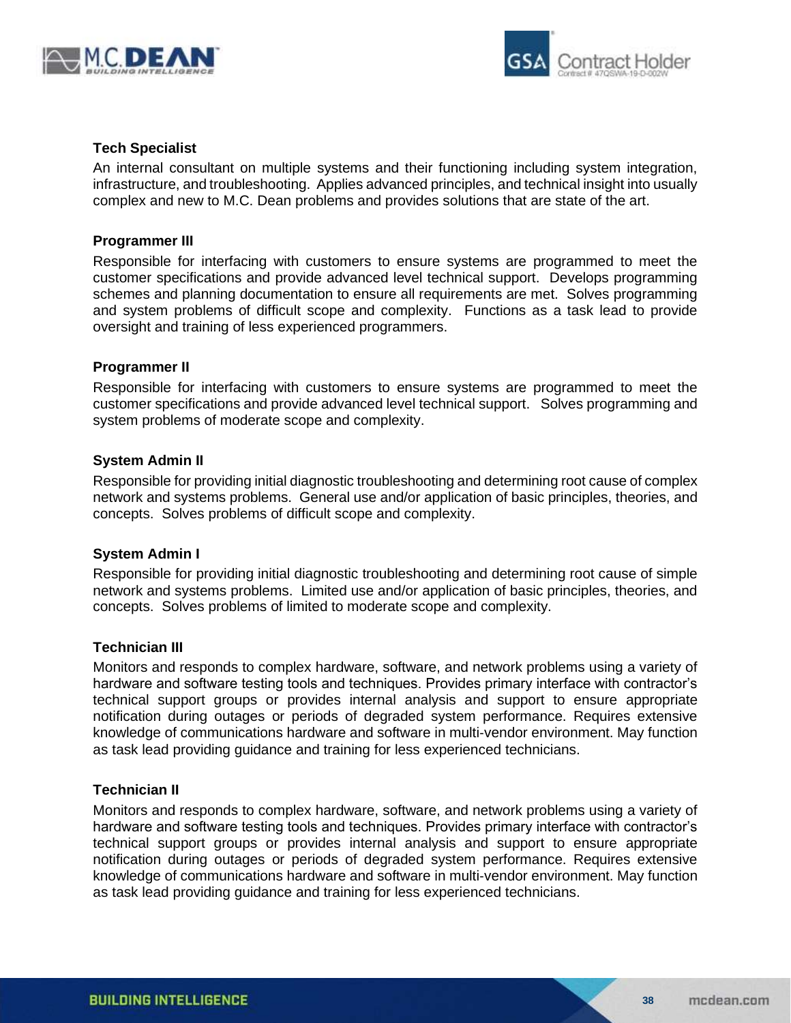



#### **Tech Specialist**

An internal consultant on multiple systems and their functioning including system integration, infrastructure, and troubleshooting. Applies advanced principles, and technical insight into usually complex and new to M.C. Dean problems and provides solutions that are state of the art.

#### **Programmer III**

Responsible for interfacing with customers to ensure systems are programmed to meet the customer specifications and provide advanced level technical support. Develops programming schemes and planning documentation to ensure all requirements are met. Solves programming and system problems of difficult scope and complexity. Functions as a task lead to provide oversight and training of less experienced programmers.

#### **Programmer II**

Responsible for interfacing with customers to ensure systems are programmed to meet the customer specifications and provide advanced level technical support. Solves programming and system problems of moderate scope and complexity.

#### **System Admin II**

Responsible for providing initial diagnostic troubleshooting and determining root cause of complex network and systems problems. General use and/or application of basic principles, theories, and concepts. Solves problems of difficult scope and complexity.

### **System Admin I**

Responsible for providing initial diagnostic troubleshooting and determining root cause of simple network and systems problems. Limited use and/or application of basic principles, theories, and concepts. Solves problems of limited to moderate scope and complexity.

#### **Technician III**

Monitors and responds to complex hardware, software, and network problems using a variety of hardware and software testing tools and techniques. Provides primary interface with contractor's technical support groups or provides internal analysis and support to ensure appropriate notification during outages or periods of degraded system performance. Requires extensive knowledge of communications hardware and software in multi‐vendor environment. May function as task lead providing guidance and training for less experienced technicians.

### **Technician II**

Monitors and responds to complex hardware, software, and network problems using a variety of hardware and software testing tools and techniques. Provides primary interface with contractor's technical support groups or provides internal analysis and support to ensure appropriate notification during outages or periods of degraded system performance. Requires extensive knowledge of communications hardware and software in multi‐vendor environment. May function as task lead providing guidance and training for less experienced technicians.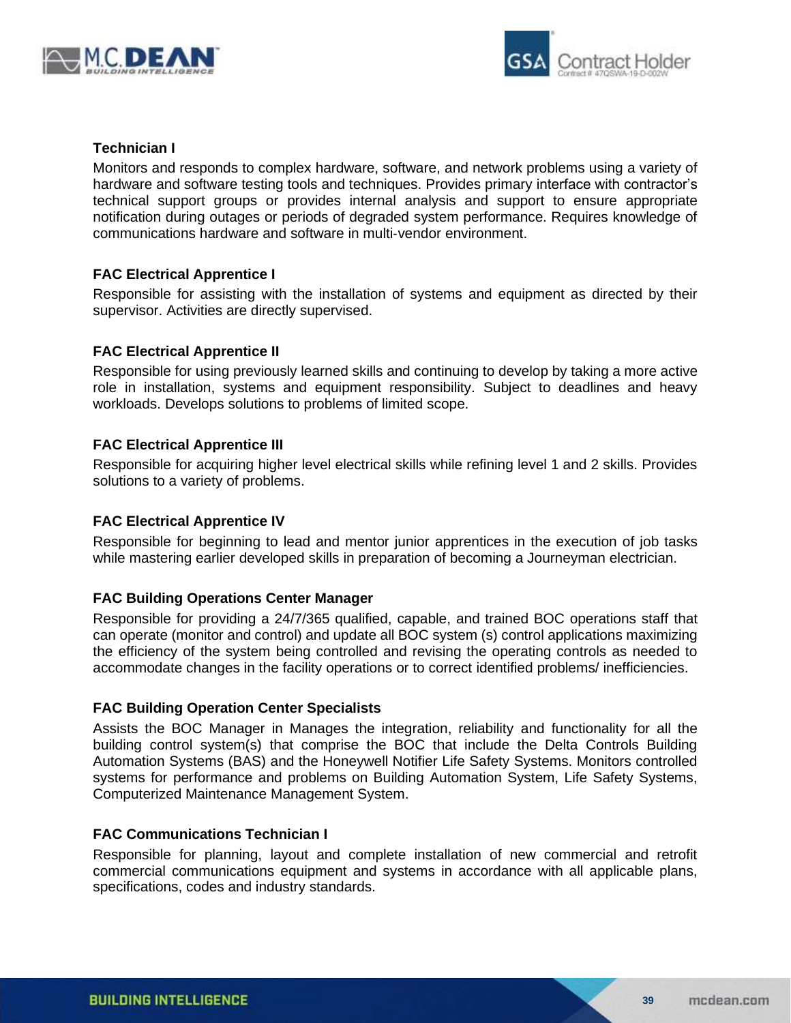



### **Technician I**

Monitors and responds to complex hardware, software, and network problems using a variety of hardware and software testing tools and techniques. Provides primary interface with contractor's technical support groups or provides internal analysis and support to ensure appropriate notification during outages or periods of degraded system performance. Requires knowledge of communications hardware and software in multi‐vendor environment.

# **FAC Electrical Apprentice I**

Responsible for assisting with the installation of systems and equipment as directed by their supervisor. Activities are directly supervised.

# **FAC Electrical Apprentice II**

Responsible for using previously learned skills and continuing to develop by taking a more active role in installation, systems and equipment responsibility. Subject to deadlines and heavy workloads. Develops solutions to problems of limited scope.

# **FAC Electrical Apprentice III**

Responsible for acquiring higher level electrical skills while refining level 1 and 2 skills. Provides solutions to a variety of problems.

### **FAC Electrical Apprentice IV**

Responsible for beginning to lead and mentor junior apprentices in the execution of job tasks while mastering earlier developed skills in preparation of becoming a Journeyman electrician.

### **FAC Building Operations Center Manager**

Responsible for providing a 24/7/365 qualified, capable, and trained BOC operations staff that can operate (monitor and control) and update all BOC system (s) control applications maximizing the efficiency of the system being controlled and revising the operating controls as needed to accommodate changes in the facility operations or to correct identified problems/ inefficiencies.

### **FAC Building Operation Center Specialists**

Assists the BOC Manager in Manages the integration, reliability and functionality for all the building control system(s) that comprise the BOC that include the Delta Controls Building Automation Systems (BAS) and the Honeywell Notifier Life Safety Systems. Monitors controlled systems for performance and problems on Building Automation System, Life Safety Systems, Computerized Maintenance Management System.

### **FAC Communications Technician I**

Responsible for planning, layout and complete installation of new commercial and retrofit commercial communications equipment and systems in accordance with all applicable plans, specifications, codes and industry standards.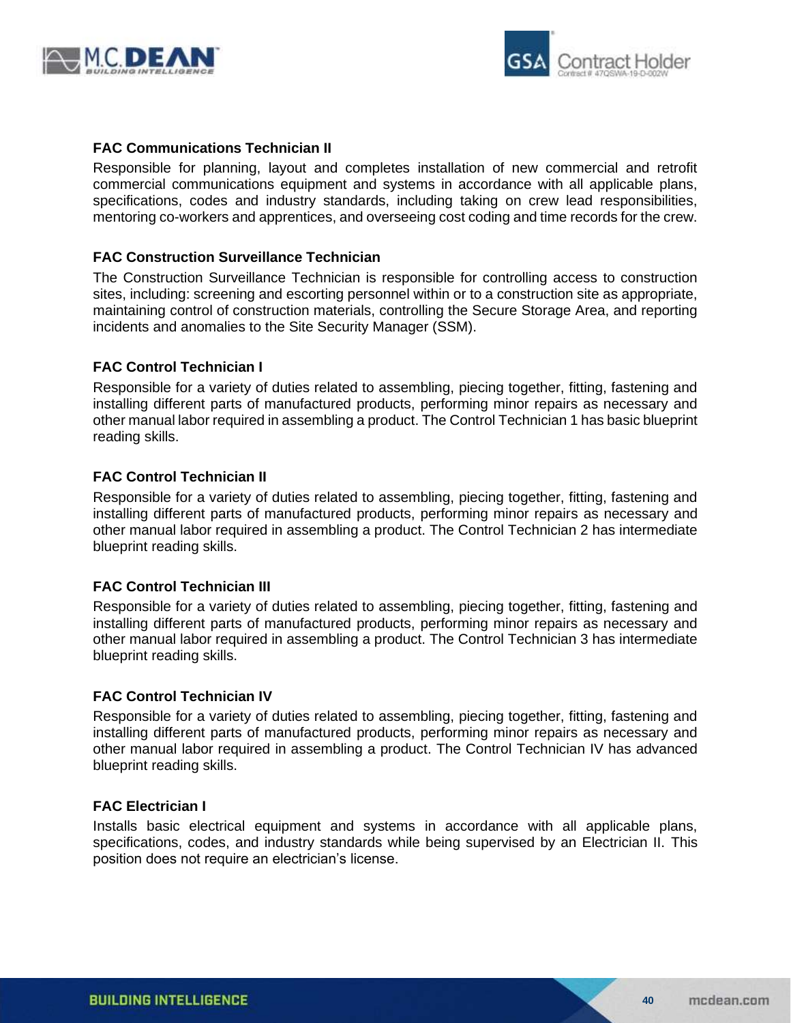



# **FAC Communications Technician II**

Responsible for planning, layout and completes installation of new commercial and retrofit commercial communications equipment and systems in accordance with all applicable plans, specifications, codes and industry standards, including taking on crew lead responsibilities, mentoring co-workers and apprentices, and overseeing cost coding and time records for the crew.

### **FAC Construction Surveillance Technician**

The Construction Surveillance Technician is responsible for controlling access to construction sites, including: screening and escorting personnel within or to a construction site as appropriate, maintaining control of construction materials, controlling the Secure Storage Area, and reporting incidents and anomalies to the Site Security Manager (SSM).

### **FAC Control Technician I**

Responsible for a variety of duties related to assembling, piecing together, fitting, fastening and installing different parts of manufactured products, performing minor repairs as necessary and other manual labor required in assembling a product. The Control Technician 1 has basic blueprint reading skills.

### **FAC Control Technician II**

Responsible for a variety of duties related to assembling, piecing together, fitting, fastening and installing different parts of manufactured products, performing minor repairs as necessary and other manual labor required in assembling a product. The Control Technician 2 has intermediate blueprint reading skills.

### **FAC Control Technician III**

Responsible for a variety of duties related to assembling, piecing together, fitting, fastening and installing different parts of manufactured products, performing minor repairs as necessary and other manual labor required in assembling a product. The Control Technician 3 has intermediate blueprint reading skills.

### **FAC Control Technician IV**

Responsible for a variety of duties related to assembling, piecing together, fitting, fastening and installing different parts of manufactured products, performing minor repairs as necessary and other manual labor required in assembling a product. The Control Technician IV has advanced blueprint reading skills.

#### **FAC Electrician I**

Installs basic electrical equipment and systems in accordance with all applicable plans, specifications, codes, and industry standards while being supervised by an Electrician II. This position does not require an electrician's license.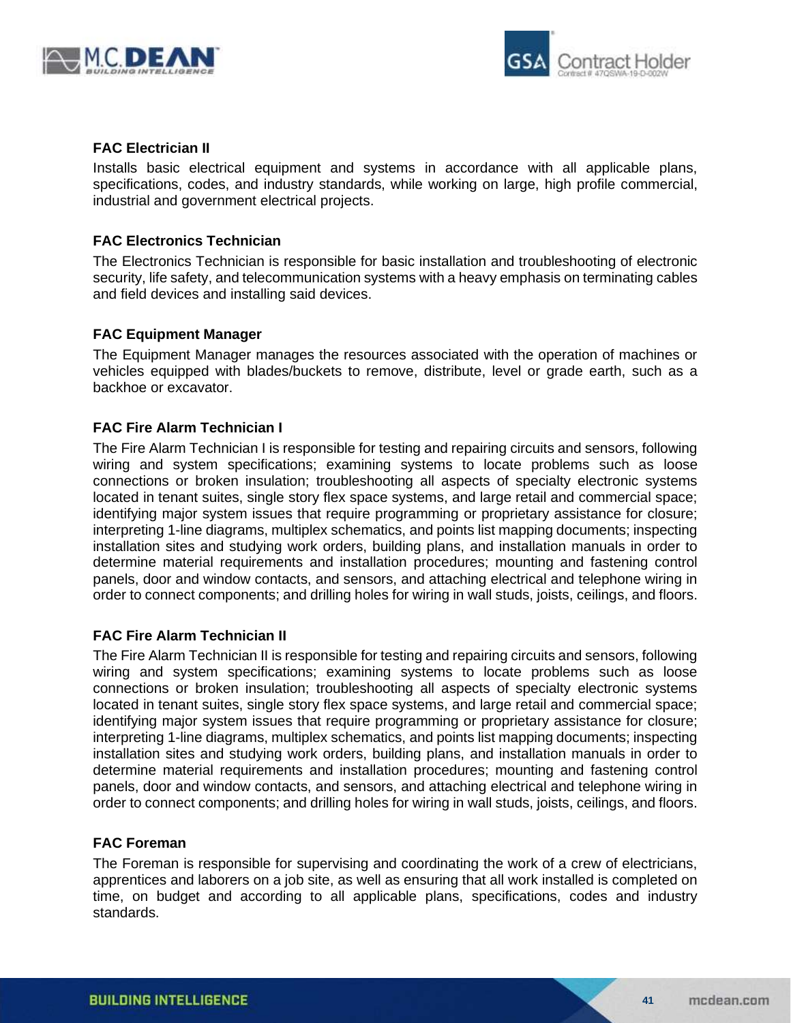



### **FAC Electrician II**

Installs basic electrical equipment and systems in accordance with all applicable plans, specifications, codes, and industry standards, while working on large, high profile commercial, industrial and government electrical projects.

# **FAC Electronics Technician**

The Electronics Technician is responsible for basic installation and troubleshooting of electronic security, life safety, and telecommunication systems with a heavy emphasis on terminating cables and field devices and installing said devices.

# **FAC Equipment Manager**

The Equipment Manager manages the resources associated with the operation of machines or vehicles equipped with blades/buckets to remove, distribute, level or grade earth, such as a backhoe or excavator.

### **FAC Fire Alarm Technician I**

The Fire Alarm Technician I is responsible for testing and repairing circuits and sensors, following wiring and system specifications; examining systems to locate problems such as loose connections or broken insulation; troubleshooting all aspects of specialty electronic systems located in tenant suites, single story flex space systems, and large retail and commercial space; identifying major system issues that require programming or proprietary assistance for closure; interpreting 1-line diagrams, multiplex schematics, and points list mapping documents; inspecting installation sites and studying work orders, building plans, and installation manuals in order to determine material requirements and installation procedures; mounting and fastening control panels, door and window contacts, and sensors, and attaching electrical and telephone wiring in order to connect components; and drilling holes for wiring in wall studs, joists, ceilings, and floors.

### **FAC Fire Alarm Technician II**

The Fire Alarm Technician II is responsible for testing and repairing circuits and sensors, following wiring and system specifications; examining systems to locate problems such as loose connections or broken insulation; troubleshooting all aspects of specialty electronic systems located in tenant suites, single story flex space systems, and large retail and commercial space; identifying major system issues that require programming or proprietary assistance for closure; interpreting 1-line diagrams, multiplex schematics, and points list mapping documents; inspecting installation sites and studying work orders, building plans, and installation manuals in order to determine material requirements and installation procedures; mounting and fastening control panels, door and window contacts, and sensors, and attaching electrical and telephone wiring in order to connect components; and drilling holes for wiring in wall studs, joists, ceilings, and floors.

### **FAC Foreman**

The Foreman is responsible for supervising and coordinating the work of a crew of electricians, apprentices and laborers on a job site, as well as ensuring that all work installed is completed on time, on budget and according to all applicable plans, specifications, codes and industry standards.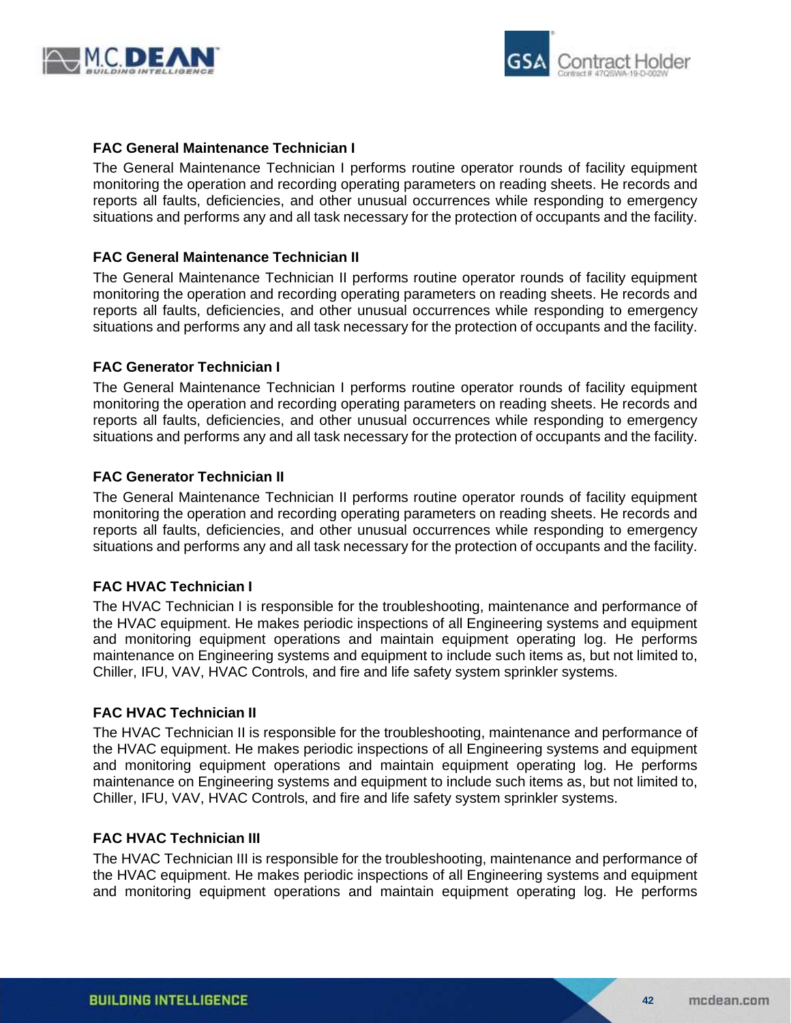



# **FAC General Maintenance Technician I**

The General Maintenance Technician I performs routine operator rounds of facility equipment monitoring the operation and recording operating parameters on reading sheets. He records and reports all faults, deficiencies, and other unusual occurrences while responding to emergency situations and performs any and all task necessary for the protection of occupants and the facility.

### **FAC General Maintenance Technician II**

The General Maintenance Technician II performs routine operator rounds of facility equipment monitoring the operation and recording operating parameters on reading sheets. He records and reports all faults, deficiencies, and other unusual occurrences while responding to emergency situations and performs any and all task necessary for the protection of occupants and the facility.

#### **FAC Generator Technician I**

The General Maintenance Technician I performs routine operator rounds of facility equipment monitoring the operation and recording operating parameters on reading sheets. He records and reports all faults, deficiencies, and other unusual occurrences while responding to emergency situations and performs any and all task necessary for the protection of occupants and the facility.

#### **FAC Generator Technician II**

The General Maintenance Technician II performs routine operator rounds of facility equipment monitoring the operation and recording operating parameters on reading sheets. He records and reports all faults, deficiencies, and other unusual occurrences while responding to emergency situations and performs any and all task necessary for the protection of occupants and the facility.

### **FAC HVAC Technician I**

The HVAC Technician I is responsible for the troubleshooting, maintenance and performance of the HVAC equipment. He makes periodic inspections of all Engineering systems and equipment and monitoring equipment operations and maintain equipment operating log. He performs maintenance on Engineering systems and equipment to include such items as, but not limited to, Chiller, IFU, VAV, HVAC Controls, and fire and life safety system sprinkler systems.

#### **FAC HVAC Technician II**

The HVAC Technician II is responsible for the troubleshooting, maintenance and performance of the HVAC equipment. He makes periodic inspections of all Engineering systems and equipment and monitoring equipment operations and maintain equipment operating log. He performs maintenance on Engineering systems and equipment to include such items as, but not limited to, Chiller, IFU, VAV, HVAC Controls, and fire and life safety system sprinkler systems.

### **FAC HVAC Technician III**

The HVAC Technician III is responsible for the troubleshooting, maintenance and performance of the HVAC equipment. He makes periodic inspections of all Engineering systems and equipment and monitoring equipment operations and maintain equipment operating log. He performs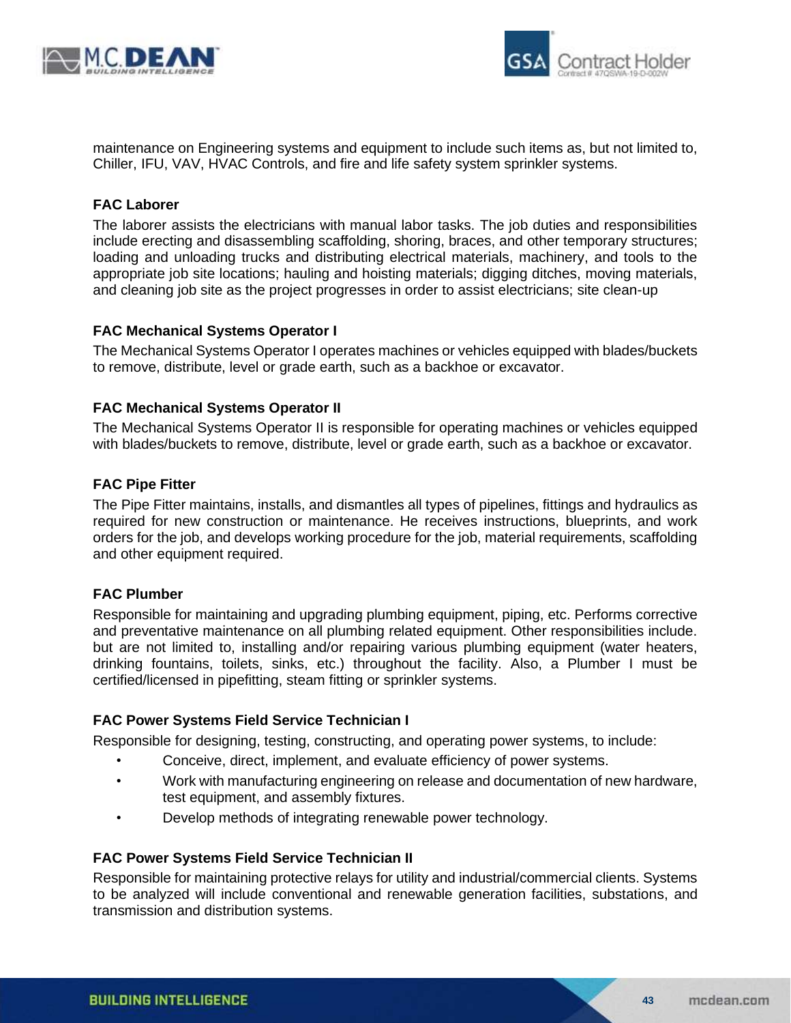



maintenance on Engineering systems and equipment to include such items as, but not limited to, Chiller, IFU, VAV, HVAC Controls, and fire and life safety system sprinkler systems.

### **FAC Laborer**

The laborer assists the electricians with manual labor tasks. The job duties and responsibilities include erecting and disassembling scaffolding, shoring, braces, and other temporary structures; loading and unloading trucks and distributing electrical materials, machinery, and tools to the appropriate job site locations; hauling and hoisting materials; digging ditches, moving materials, and cleaning job site as the project progresses in order to assist electricians; site clean-up

# **FAC Mechanical Systems Operator I**

The Mechanical Systems Operator I operates machines or vehicles equipped with blades/buckets to remove, distribute, level or grade earth, such as a backhoe or excavator.

# **FAC Mechanical Systems Operator II**

The Mechanical Systems Operator II is responsible for operating machines or vehicles equipped with blades/buckets to remove, distribute, level or grade earth, such as a backhoe or excavator.

### **FAC Pipe Fitter**

The Pipe Fitter maintains, installs, and dismantles all types of pipelines, fittings and hydraulics as required for new construction or maintenance. He receives instructions, blueprints, and work orders for the job, and develops working procedure for the job, material requirements, scaffolding and other equipment required.

### **FAC Plumber**

Responsible for maintaining and upgrading plumbing equipment, piping, etc. Performs corrective and preventative maintenance on all plumbing related equipment. Other responsibilities include. but are not limited to, installing and/or repairing various plumbing equipment (water heaters, drinking fountains, toilets, sinks, etc.) throughout the facility. Also, a Plumber I must be certified/licensed in pipefitting, steam fitting or sprinkler systems.

### **FAC Power Systems Field Service Technician I**

Responsible for designing, testing, constructing, and operating power systems, to include:

- Conceive, direct, implement, and evaluate efficiency of power systems.
- Work with manufacturing engineering on release and documentation of new hardware, test equipment, and assembly fixtures.
- Develop methods of integrating renewable power technology.

### **FAC Power Systems Field Service Technician II**

Responsible for maintaining protective relays for utility and industrial/commercial clients. Systems to be analyzed will include conventional and renewable generation facilities, substations, and transmission and distribution systems.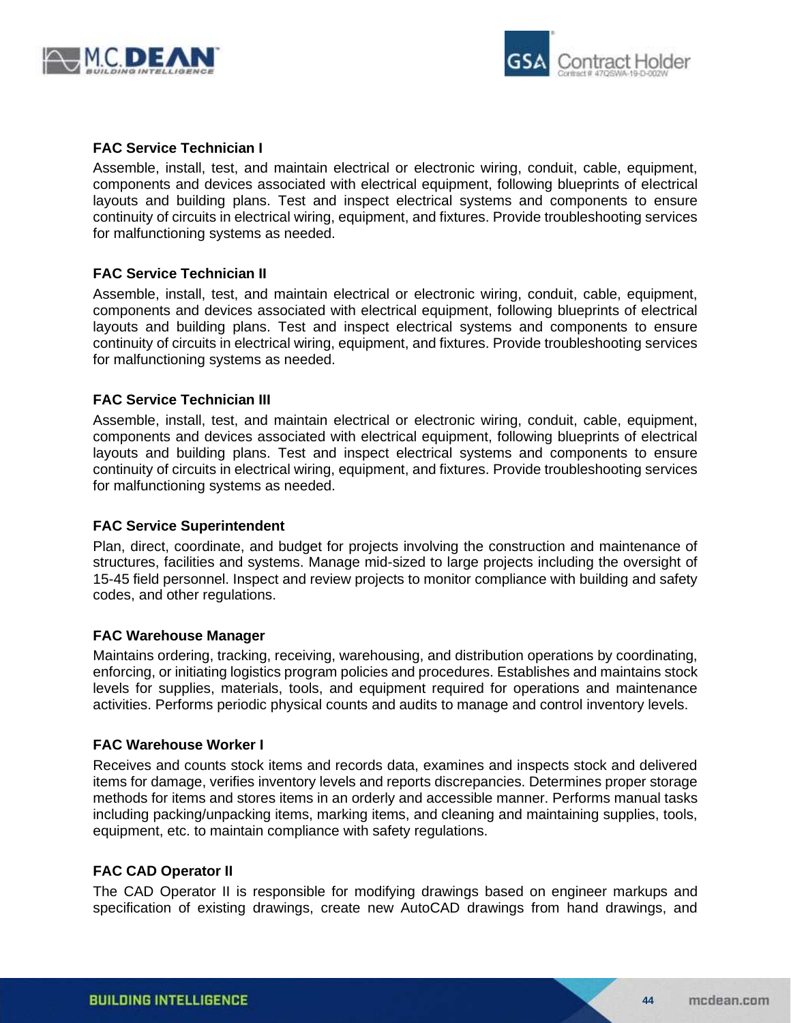



# **FAC Service Technician I**

Assemble, install, test, and maintain electrical or electronic wiring, conduit, cable, equipment, components and devices associated with electrical equipment, following blueprints of electrical layouts and building plans. Test and inspect electrical systems and components to ensure continuity of circuits in electrical wiring, equipment, and fixtures. Provide troubleshooting services for malfunctioning systems as needed.

# **FAC Service Technician II**

Assemble, install, test, and maintain electrical or electronic wiring, conduit, cable, equipment, components and devices associated with electrical equipment, following blueprints of electrical layouts and building plans. Test and inspect electrical systems and components to ensure continuity of circuits in electrical wiring, equipment, and fixtures. Provide troubleshooting services for malfunctioning systems as needed.

# **FAC Service Technician III**

Assemble, install, test, and maintain electrical or electronic wiring, conduit, cable, equipment, components and devices associated with electrical equipment, following blueprints of electrical layouts and building plans. Test and inspect electrical systems and components to ensure continuity of circuits in electrical wiring, equipment, and fixtures. Provide troubleshooting services for malfunctioning systems as needed.

### **FAC Service Superintendent**

Plan, direct, coordinate, and budget for projects involving the construction and maintenance of structures, facilities and systems. Manage mid-sized to large projects including the oversight of 15-45 field personnel. Inspect and review projects to monitor compliance with building and safety codes, and other regulations.

### **FAC Warehouse Manager**

Maintains ordering, tracking, receiving, warehousing, and distribution operations by coordinating, enforcing, or initiating logistics program policies and procedures. Establishes and maintains stock levels for supplies, materials, tools, and equipment required for operations and maintenance activities. Performs periodic physical counts and audits to manage and control inventory levels.

### **FAC Warehouse Worker I**

Receives and counts stock items and records data, examines and inspects stock and delivered items for damage, verifies inventory levels and reports discrepancies. Determines proper storage methods for items and stores items in an orderly and accessible manner. Performs manual tasks including packing/unpacking items, marking items, and cleaning and maintaining supplies, tools, equipment, etc. to maintain compliance with safety regulations.

### **FAC CAD Operator II**

The CAD Operator II is responsible for modifying drawings based on engineer markups and specification of existing drawings, create new AutoCAD drawings from hand drawings, and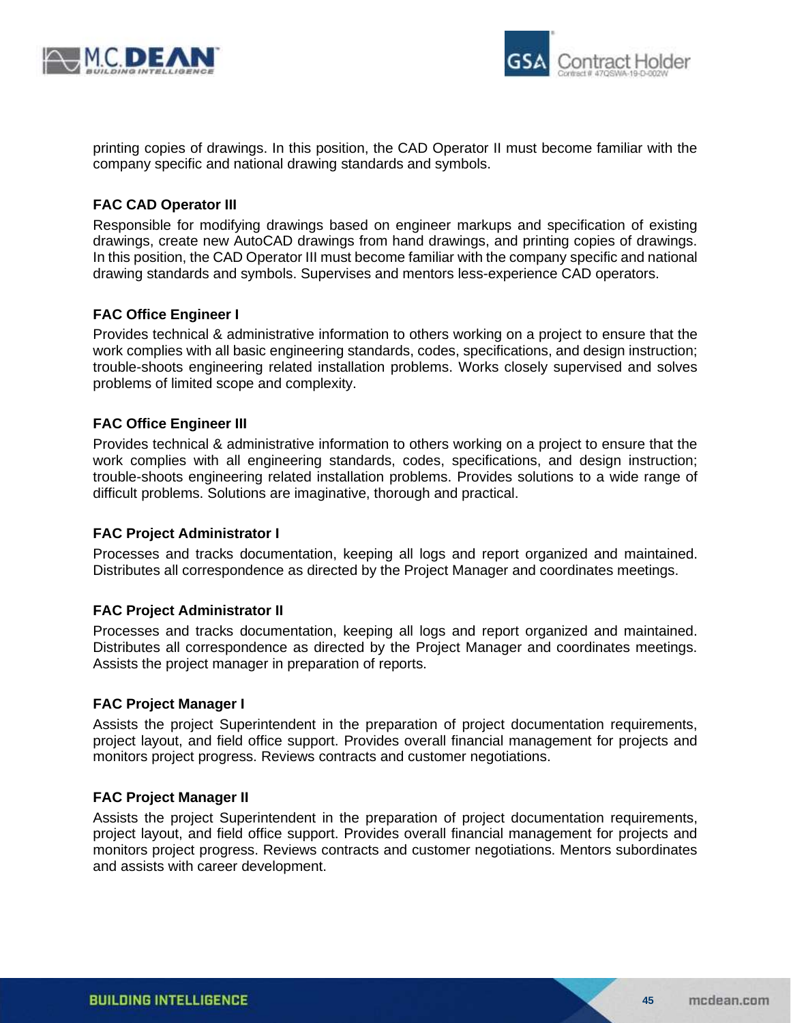



printing copies of drawings. In this position, the CAD Operator II must become familiar with the company specific and national drawing standards and symbols.

# **FAC CAD Operator III**

Responsible for modifying drawings based on engineer markups and specification of existing drawings, create new AutoCAD drawings from hand drawings, and printing copies of drawings. In this position, the CAD Operator III must become familiar with the company specific and national drawing standards and symbols. Supervises and mentors less-experience CAD operators.

# **FAC Office Engineer I**

Provides technical & administrative information to others working on a project to ensure that the work complies with all basic engineering standards, codes, specifications, and design instruction; trouble-shoots engineering related installation problems. Works closely supervised and solves problems of limited scope and complexity.

# **FAC Office Engineer III**

Provides technical & administrative information to others working on a project to ensure that the work complies with all engineering standards, codes, specifications, and design instruction; trouble-shoots engineering related installation problems. Provides solutions to a wide range of difficult problems. Solutions are imaginative, thorough and practical.

### **FAC Project Administrator I**

Processes and tracks documentation, keeping all logs and report organized and maintained. Distributes all correspondence as directed by the Project Manager and coordinates meetings.

### **FAC Project Administrator II**

Processes and tracks documentation, keeping all logs and report organized and maintained. Distributes all correspondence as directed by the Project Manager and coordinates meetings. Assists the project manager in preparation of reports.

### **FAC Project Manager I**

Assists the project Superintendent in the preparation of project documentation requirements, project layout, and field office support. Provides overall financial management for projects and monitors project progress. Reviews contracts and customer negotiations.

### **FAC Project Manager II**

Assists the project Superintendent in the preparation of project documentation requirements, project layout, and field office support. Provides overall financial management for projects and monitors project progress. Reviews contracts and customer negotiations. Mentors subordinates and assists with career development.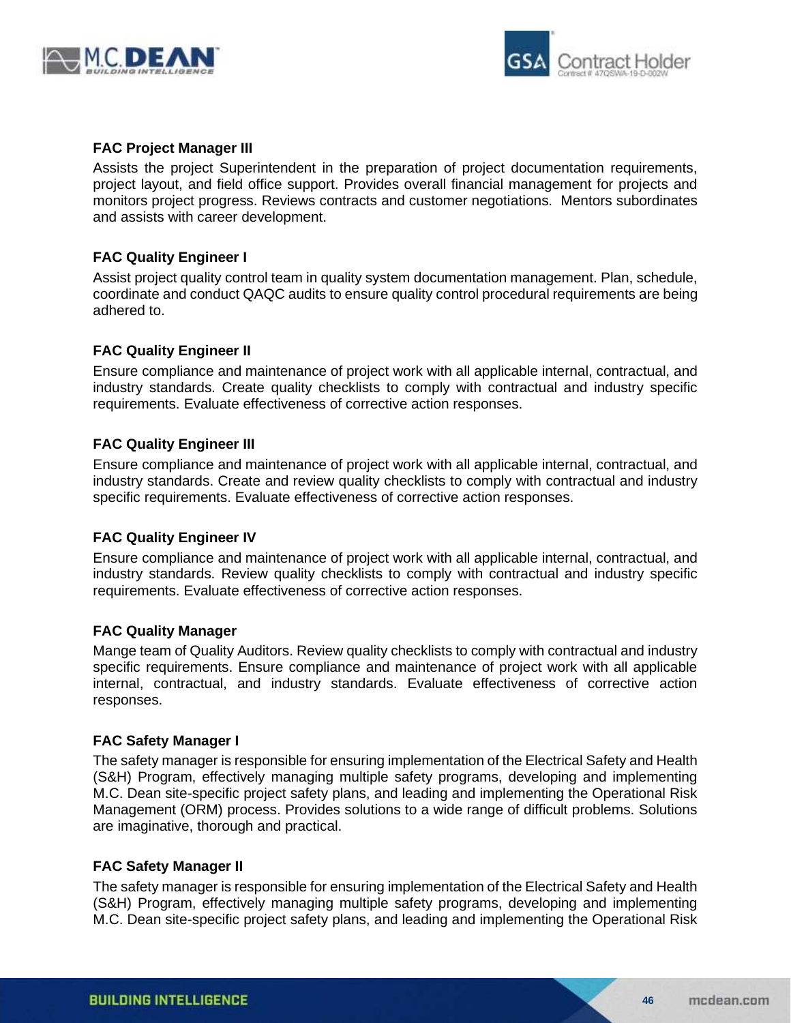



# **FAC Project Manager III**

Assists the project Superintendent in the preparation of project documentation requirements, project layout, and field office support. Provides overall financial management for projects and monitors project progress. Reviews contracts and customer negotiations. Mentors subordinates and assists with career development.

### **FAC Quality Engineer I**

Assist project quality control team in quality system documentation management. Plan, schedule, coordinate and conduct QAQC audits to ensure quality control procedural requirements are being adhered to.

### **FAC Quality Engineer II**

Ensure compliance and maintenance of project work with all applicable internal, contractual, and industry standards. Create quality checklists to comply with contractual and industry specific requirements. Evaluate effectiveness of corrective action responses.

# **FAC Quality Engineer III**

Ensure compliance and maintenance of project work with all applicable internal, contractual, and industry standards. Create and review quality checklists to comply with contractual and industry specific requirements. Evaluate effectiveness of corrective action responses.

### **FAC Quality Engineer IV**

Ensure compliance and maintenance of project work with all applicable internal, contractual, and industry standards. Review quality checklists to comply with contractual and industry specific requirements. Evaluate effectiveness of corrective action responses.

### **FAC Quality Manager**

Mange team of Quality Auditors. Review quality checklists to comply with contractual and industry specific requirements. Ensure compliance and maintenance of project work with all applicable internal, contractual, and industry standards. Evaluate effectiveness of corrective action responses.

### **FAC Safety Manager I**

The safety manager is responsible for ensuring implementation of the Electrical Safety and Health (S&H) Program, effectively managing multiple safety programs, developing and implementing M.C. Dean site-specific project safety plans, and leading and implementing the Operational Risk Management (ORM) process. Provides solutions to a wide range of difficult problems. Solutions are imaginative, thorough and practical.

### **FAC Safety Manager II**

The safety manager is responsible for ensuring implementation of the Electrical Safety and Health (S&H) Program, effectively managing multiple safety programs, developing and implementing M.C. Dean site-specific project safety plans, and leading and implementing the Operational Risk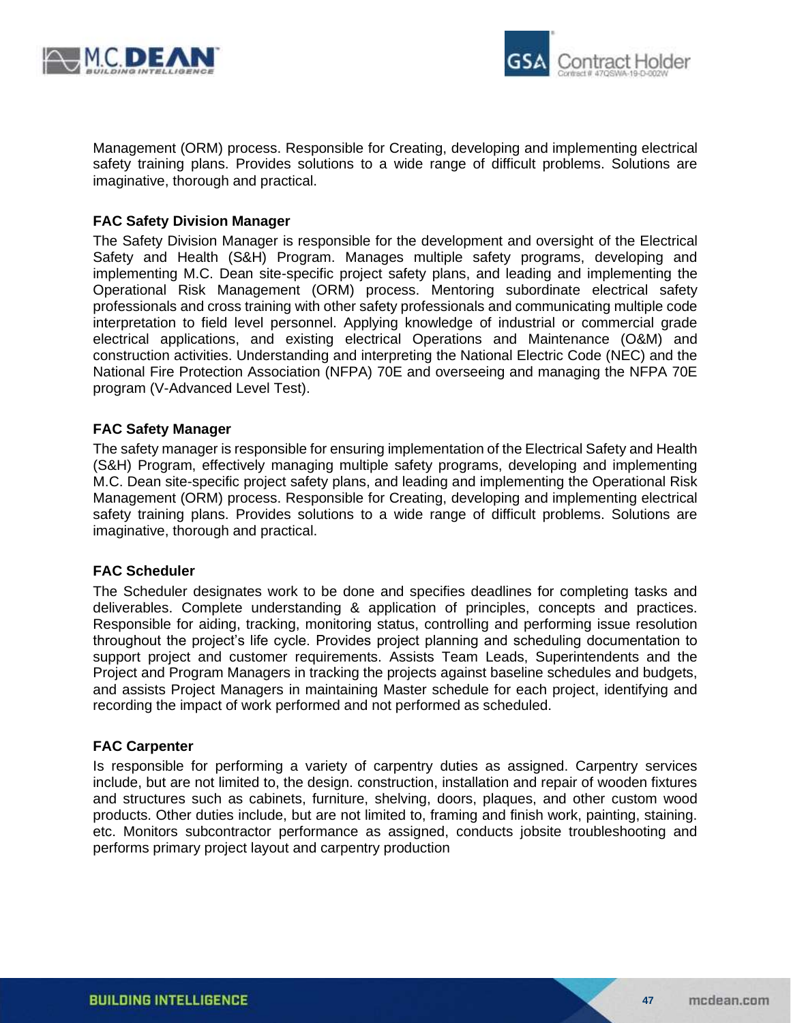



Management (ORM) process. Responsible for Creating, developing and implementing electrical safety training plans. Provides solutions to a wide range of difficult problems. Solutions are imaginative, thorough and practical.

# **FAC Safety Division Manager**

The Safety Division Manager is responsible for the development and oversight of the Electrical Safety and Health (S&H) Program. Manages multiple safety programs, developing and implementing M.C. Dean site-specific project safety plans, and leading and implementing the Operational Risk Management (ORM) process. Mentoring subordinate electrical safety professionals and cross training with other safety professionals and communicating multiple code interpretation to field level personnel. Applying knowledge of industrial or commercial grade electrical applications, and existing electrical Operations and Maintenance (O&M) and construction activities. Understanding and interpreting the National Electric Code (NEC) and the National Fire Protection Association (NFPA) 70E and overseeing and managing the NFPA 70E program (V-Advanced Level Test).

### **FAC Safety Manager**

The safety manager is responsible for ensuring implementation of the Electrical Safety and Health (S&H) Program, effectively managing multiple safety programs, developing and implementing M.C. Dean site-specific project safety plans, and leading and implementing the Operational Risk Management (ORM) process. Responsible for Creating, developing and implementing electrical safety training plans. Provides solutions to a wide range of difficult problems. Solutions are imaginative, thorough and practical.

#### **FAC Scheduler**

The Scheduler designates work to be done and specifies deadlines for completing tasks and deliverables. Complete understanding & application of principles, concepts and practices. Responsible for aiding, tracking, monitoring status, controlling and performing issue resolution throughout the project's life cycle. Provides project planning and scheduling documentation to support project and customer requirements. Assists Team Leads, Superintendents and the Project and Program Managers in tracking the projects against baseline schedules and budgets, and assists Project Managers in maintaining Master schedule for each project, identifying and recording the impact of work performed and not performed as scheduled.

#### **FAC Carpenter**

Is responsible for performing a variety of carpentry duties as assigned. Carpentry services include, but are not limited to, the design. construction, installation and repair of wooden fixtures and structures such as cabinets, furniture, shelving, doors, plaques, and other custom wood products. Other duties include, but are not limited to, framing and finish work, painting, staining. etc. Monitors subcontractor performance as assigned, conducts jobsite troubleshooting and performs primary project layout and carpentry production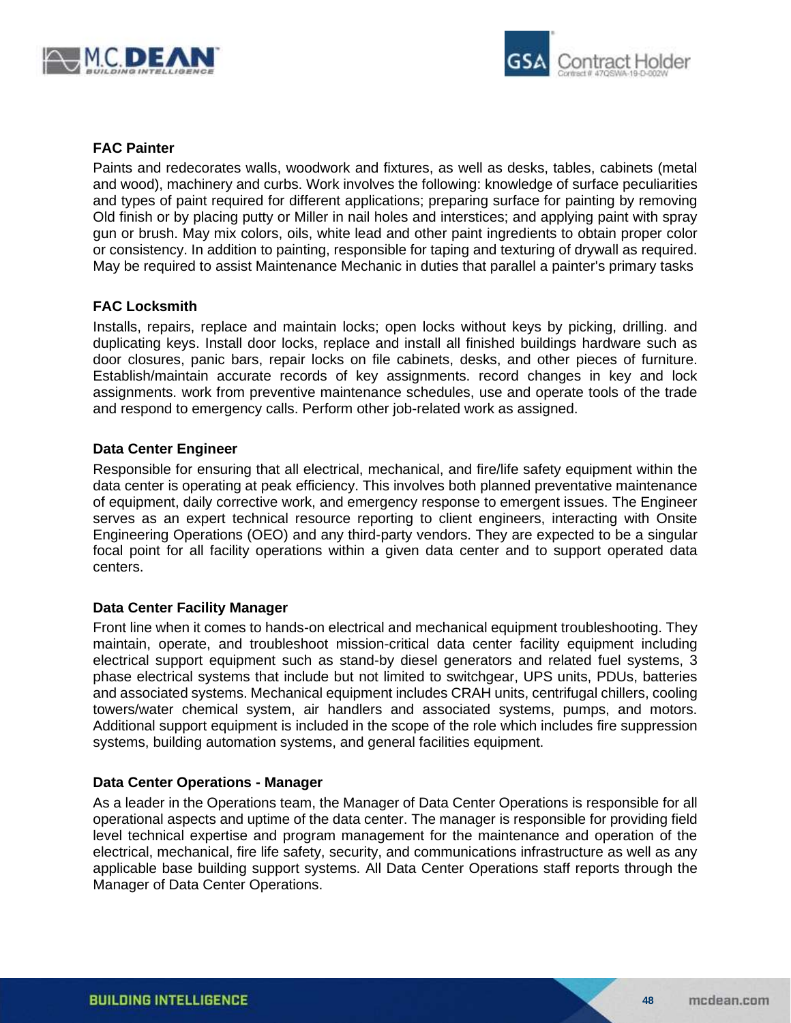



### **FAC Painter**

Paints and redecorates walls, woodwork and fixtures, as well as desks, tables, cabinets (metal and wood), machinery and curbs. Work involves the following: knowledge of surface peculiarities and types of paint required for different applications; preparing surface for painting by removing Old finish or by placing putty or Miller in nail holes and interstices; and applying paint with spray gun or brush. May mix colors, oils, white lead and other paint ingredients to obtain proper color or consistency. In addition to painting, responsible for taping and texturing of drywall as required. May be required to assist Maintenance Mechanic in duties that parallel a painter's primary tasks

#### **FAC Locksmith**

Installs, repairs, replace and maintain locks; open locks without keys by picking, drilling. and duplicating keys. Install door locks, replace and install all finished buildings hardware such as door closures, panic bars, repair locks on file cabinets, desks, and other pieces of furniture. Establish/maintain accurate records of key assignments. record changes in key and lock assignments. work from preventive maintenance schedules, use and operate tools of the trade and respond to emergency calls. Perform other job-related work as assigned.

#### **Data Center Engineer**

Responsible for ensuring that all electrical, mechanical, and fire/life safety equipment within the data center is operating at peak efficiency. This involves both planned preventative maintenance of equipment, daily corrective work, and emergency response to emergent issues. The Engineer serves as an expert technical resource reporting to client engineers, interacting with Onsite Engineering Operations (OEO) and any third-party vendors. They are expected to be a singular focal point for all facility operations within a given data center and to support operated data centers.

### **Data Center Facility Manager**

Front line when it comes to hands-on electrical and mechanical equipment troubleshooting. They maintain, operate, and troubleshoot mission-critical data center facility equipment including electrical support equipment such as stand-by diesel generators and related fuel systems, 3 phase electrical systems that include but not limited to switchgear, UPS units, PDUs, batteries and associated systems. Mechanical equipment includes CRAH units, centrifugal chillers, cooling towers/water chemical system, air handlers and associated systems, pumps, and motors. Additional support equipment is included in the scope of the role which includes fire suppression systems, building automation systems, and general facilities equipment.

### **Data Center Operations - Manager**

As a leader in the Operations team, the Manager of Data Center Operations is responsible for all operational aspects and uptime of the data center. The manager is responsible for providing field level technical expertise and program management for the maintenance and operation of the electrical, mechanical, fire life safety, security, and communications infrastructure as well as any applicable base building support systems. All Data Center Operations staff reports through the Manager of Data Center Operations.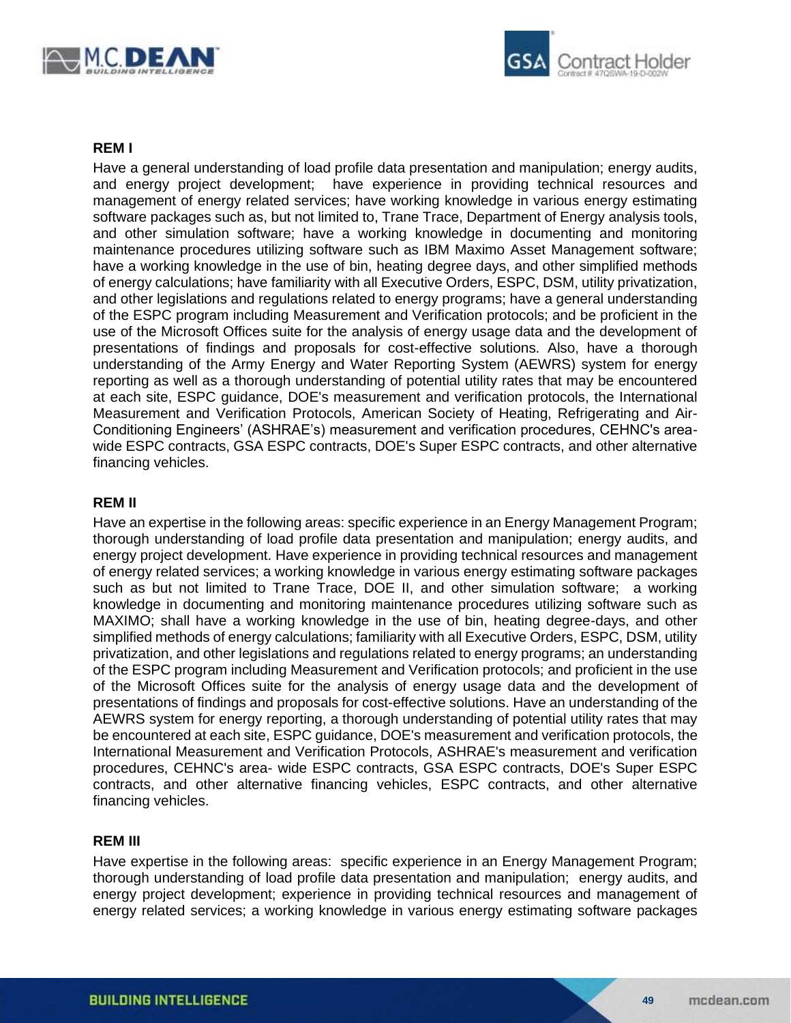



#### **REM I**

Have a general understanding of load profile data presentation and manipulation; energy audits, and energy project development; have experience in providing technical resources and management of energy related services; have working knowledge in various energy estimating software packages such as, but not limited to, Trane Trace, Department of Energy analysis tools, and other simulation software; have a working knowledge in documenting and monitoring maintenance procedures utilizing software such as IBM Maximo Asset Management software; have a working knowledge in the use of bin, heating degree days, and other simplified methods of energy calculations; have familiarity with all Executive Orders, ESPC, DSM, utility privatization, and other legislations and regulations related to energy programs; have a general understanding of the ESPC program including Measurement and Verification protocols; and be proficient in the use of the Microsoft Offices suite for the analysis of energy usage data and the development of presentations of findings and proposals for cost-effective solutions. Also, have a thorough understanding of the Army Energy and Water Reporting System (AEWRS) system for energy reporting as well as a thorough understanding of potential utility rates that may be encountered at each site, ESPC guidance, DOE's measurement and verification protocols, the International Measurement and Verification Protocols, American Society of Heating, Refrigerating and Air-Conditioning Engineers' (ASHRAE's) measurement and verification procedures, CEHNC's areawide ESPC contracts, GSA ESPC contracts, DOE's Super ESPC contracts, and other alternative financing vehicles.

#### **REM II**

Have an expertise in the following areas: specific experience in an Energy Management Program; thorough understanding of load profile data presentation and manipulation; energy audits, and energy project development. Have experience in providing technical resources and management of energy related services; a working knowledge in various energy estimating software packages such as but not limited to Trane Trace, DOE II, and other simulation software; a working knowledge in documenting and monitoring maintenance procedures utilizing software such as MAXIMO; shall have a working knowledge in the use of bin, heating degree-days, and other simplified methods of energy calculations; familiarity with all Executive Orders, ESPC, DSM, utility privatization, and other legislations and regulations related to energy programs; an understanding of the ESPC program including Measurement and Verification protocols; and proficient in the use of the Microsoft Offices suite for the analysis of energy usage data and the development of presentations of findings and proposals for cost-effective solutions. Have an understanding of the AEWRS system for energy reporting, a thorough understanding of potential utility rates that may be encountered at each site, ESPC guidance, DOE's measurement and verification protocols, the International Measurement and Verification Protocols, ASHRAE's measurement and verification procedures, CEHNC's area- wide ESPC contracts, GSA ESPC contracts, DOE's Super ESPC contracts, and other alternative financing vehicles, ESPC contracts, and other alternative financing vehicles.

### **REM III**

Have expertise in the following areas: specific experience in an Energy Management Program; thorough understanding of load profile data presentation and manipulation; energy audits, and energy project development; experience in providing technical resources and management of energy related services; a working knowledge in various energy estimating software packages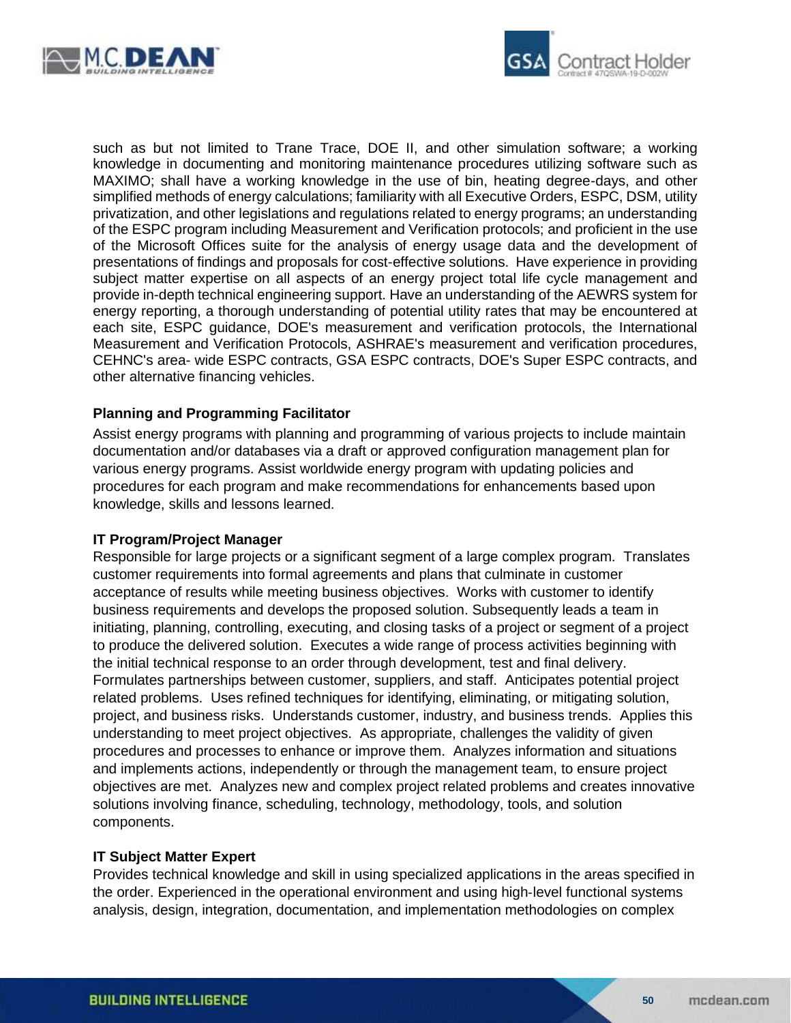



such as but not limited to Trane Trace, DOE II, and other simulation software; a working knowledge in documenting and monitoring maintenance procedures utilizing software such as MAXIMO; shall have a working knowledge in the use of bin, heating degree-days, and other simplified methods of energy calculations; familiarity with all Executive Orders, ESPC, DSM, utility privatization, and other legislations and regulations related to energy programs; an understanding of the ESPC program including Measurement and Verification protocols; and proficient in the use of the Microsoft Offices suite for the analysis of energy usage data and the development of presentations of findings and proposals for cost-effective solutions. Have experience in providing subject matter expertise on all aspects of an energy project total life cycle management and provide in-depth technical engineering support. Have an understanding of the AEWRS system for energy reporting, a thorough understanding of potential utility rates that may be encountered at each site, ESPC guidance, DOE's measurement and verification protocols, the International Measurement and Verification Protocols, ASHRAE's measurement and verification procedures, CEHNC's area- wide ESPC contracts, GSA ESPC contracts, DOE's Super ESPC contracts, and other alternative financing vehicles.

# **Planning and Programming Facilitator**

Assist energy programs with planning and programming of various projects to include maintain documentation and/or databases via a draft or approved configuration management plan for various energy programs. Assist worldwide energy program with updating policies and procedures for each program and make recommendations for enhancements based upon knowledge, skills and lessons learned.

### **IT Program/Project Manager**

Responsible for large projects or a significant segment of a large complex program. Translates customer requirements into formal agreements and plans that culminate in customer acceptance of results while meeting business objectives. Works with customer to identify business requirements and develops the proposed solution. Subsequently leads a team in initiating, planning, controlling, executing, and closing tasks of a project or segment of a project to produce the delivered solution. Executes a wide range of process activities beginning with the initial technical response to an order through development, test and final delivery. Formulates partnerships between customer, suppliers, and staff. Anticipates potential project related problems. Uses refined techniques for identifying, eliminating, or mitigating solution, project, and business risks. Understands customer, industry, and business trends. Applies this understanding to meet project objectives. As appropriate, challenges the validity of given procedures and processes to enhance or improve them. Analyzes information and situations and implements actions, independently or through the management team, to ensure project objectives are met. Analyzes new and complex project related problems and creates innovative solutions involving finance, scheduling, technology, methodology, tools, and solution components.

### **IT Subject Matter Expert**

Provides technical knowledge and skill in using specialized applications in the areas specified in the order. Experienced in the operational environment and using high‐level functional systems analysis, design, integration, documentation, and implementation methodologies on complex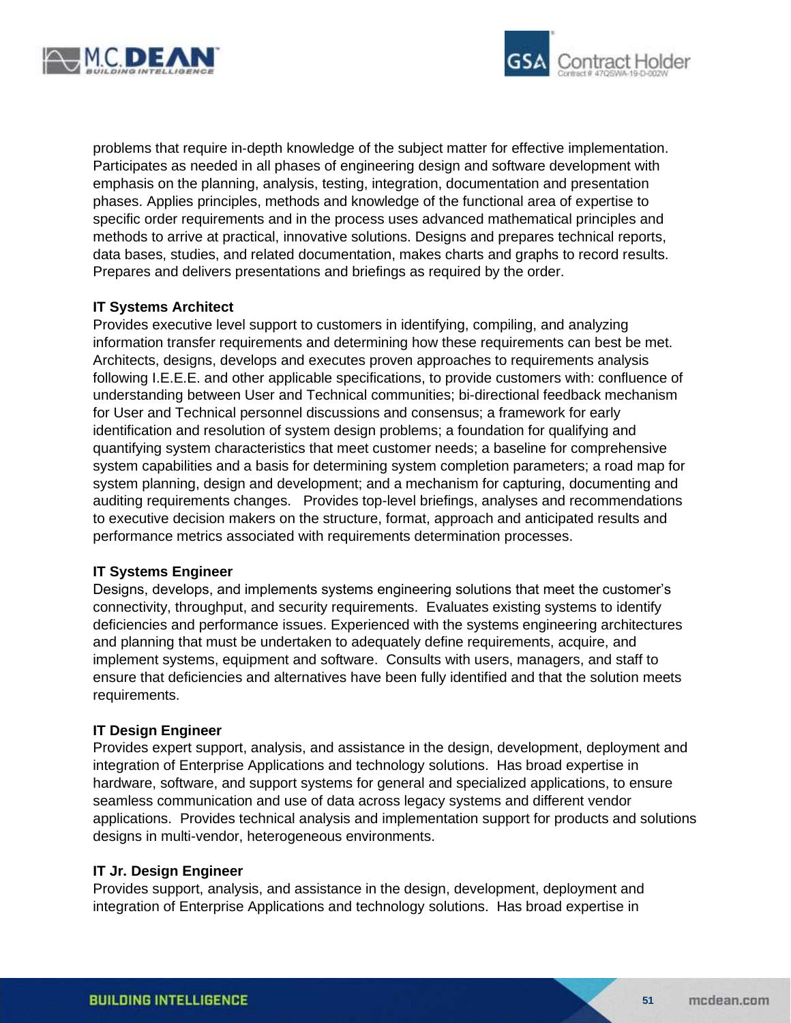



problems that require in‐depth knowledge of the subject matter for effective implementation. Participates as needed in all phases of engineering design and software development with emphasis on the planning, analysis, testing, integration, documentation and presentation phases. Applies principles, methods and knowledge of the functional area of expertise to specific order requirements and in the process uses advanced mathematical principles and methods to arrive at practical, innovative solutions. Designs and prepares technical reports, data bases, studies, and related documentation, makes charts and graphs to record results. Prepares and delivers presentations and briefings as required by the order.

# **IT Systems Architect**

Provides executive level support to customers in identifying, compiling, and analyzing information transfer requirements and determining how these requirements can best be met. Architects, designs, develops and executes proven approaches to requirements analysis following I.E.E.E. and other applicable specifications, to provide customers with: confluence of understanding between User and Technical communities; bi-directional feedback mechanism for User and Technical personnel discussions and consensus; a framework for early identification and resolution of system design problems; a foundation for qualifying and quantifying system characteristics that meet customer needs; a baseline for comprehensive system capabilities and a basis for determining system completion parameters; a road map for system planning, design and development; and a mechanism for capturing, documenting and auditing requirements changes. Provides top-level briefings, analyses and recommendations to executive decision makers on the structure, format, approach and anticipated results and performance metrics associated with requirements determination processes.

### **IT Systems Engineer**

Designs, develops, and implements systems engineering solutions that meet the customer's connectivity, throughput, and security requirements. Evaluates existing systems to identify deficiencies and performance issues. Experienced with the systems engineering architectures and planning that must be undertaken to adequately define requirements, acquire, and implement systems, equipment and software. Consults with users, managers, and staff to ensure that deficiencies and alternatives have been fully identified and that the solution meets requirements.

### **IT Design Engineer**

Provides expert support, analysis, and assistance in the design, development, deployment and integration of Enterprise Applications and technology solutions. Has broad expertise in hardware, software, and support systems for general and specialized applications, to ensure seamless communication and use of data across legacy systems and different vendor applications. Provides technical analysis and implementation support for products and solutions designs in multi-vendor, heterogeneous environments.

### **IT Jr. Design Engineer**

Provides support, analysis, and assistance in the design, development, deployment and integration of Enterprise Applications and technology solutions. Has broad expertise in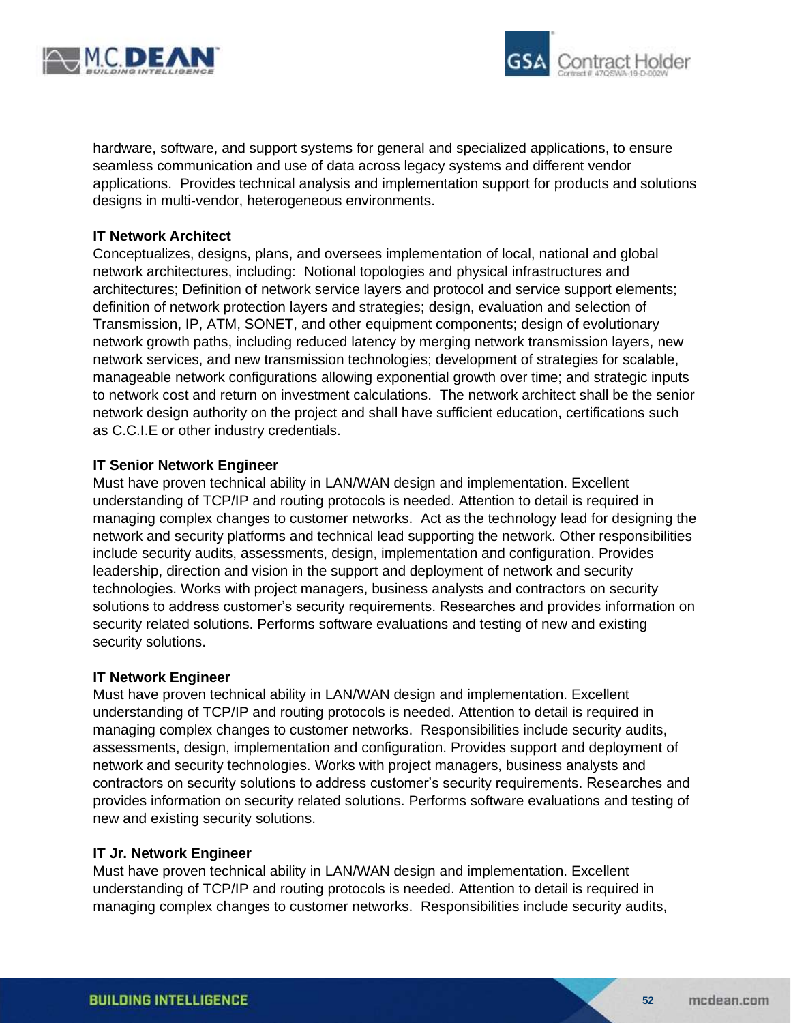



hardware, software, and support systems for general and specialized applications, to ensure seamless communication and use of data across legacy systems and different vendor applications. Provides technical analysis and implementation support for products and solutions designs in multi-vendor, heterogeneous environments.

# **IT Network Architect**

Conceptualizes, designs, plans, and oversees implementation of local, national and global network architectures, including: Notional topologies and physical infrastructures and architectures; Definition of network service layers and protocol and service support elements; definition of network protection layers and strategies; design, evaluation and selection of Transmission, IP, ATM, SONET, and other equipment components; design of evolutionary network growth paths, including reduced latency by merging network transmission layers, new network services, and new transmission technologies; development of strategies for scalable, manageable network configurations allowing exponential growth over time; and strategic inputs to network cost and return on investment calculations. The network architect shall be the senior network design authority on the project and shall have sufficient education, certifications such as C.C.I.E or other industry credentials.

# **IT Senior Network Engineer**

Must have proven technical ability in LAN/WAN design and implementation. Excellent understanding of TCP/IP and routing protocols is needed. Attention to detail is required in managing complex changes to customer networks. Act as the technology lead for designing the network and security platforms and technical lead supporting the network. Other responsibilities include security audits, assessments, design, implementation and configuration. Provides leadership, direction and vision in the support and deployment of network and security technologies. Works with project managers, business analysts and contractors on security solutions to address customer's security requirements. Researches and provides information on security related solutions. Performs software evaluations and testing of new and existing security solutions.

### **IT Network Engineer**

Must have proven technical ability in LAN/WAN design and implementation. Excellent understanding of TCP/IP and routing protocols is needed. Attention to detail is required in managing complex changes to customer networks. Responsibilities include security audits, assessments, design, implementation and configuration. Provides support and deployment of network and security technologies. Works with project managers, business analysts and contractors on security solutions to address customer's security requirements. Researches and provides information on security related solutions. Performs software evaluations and testing of new and existing security solutions.

### **IT Jr. Network Engineer**

Must have proven technical ability in LAN/WAN design and implementation. Excellent understanding of TCP/IP and routing protocols is needed. Attention to detail is required in managing complex changes to customer networks. Responsibilities include security audits,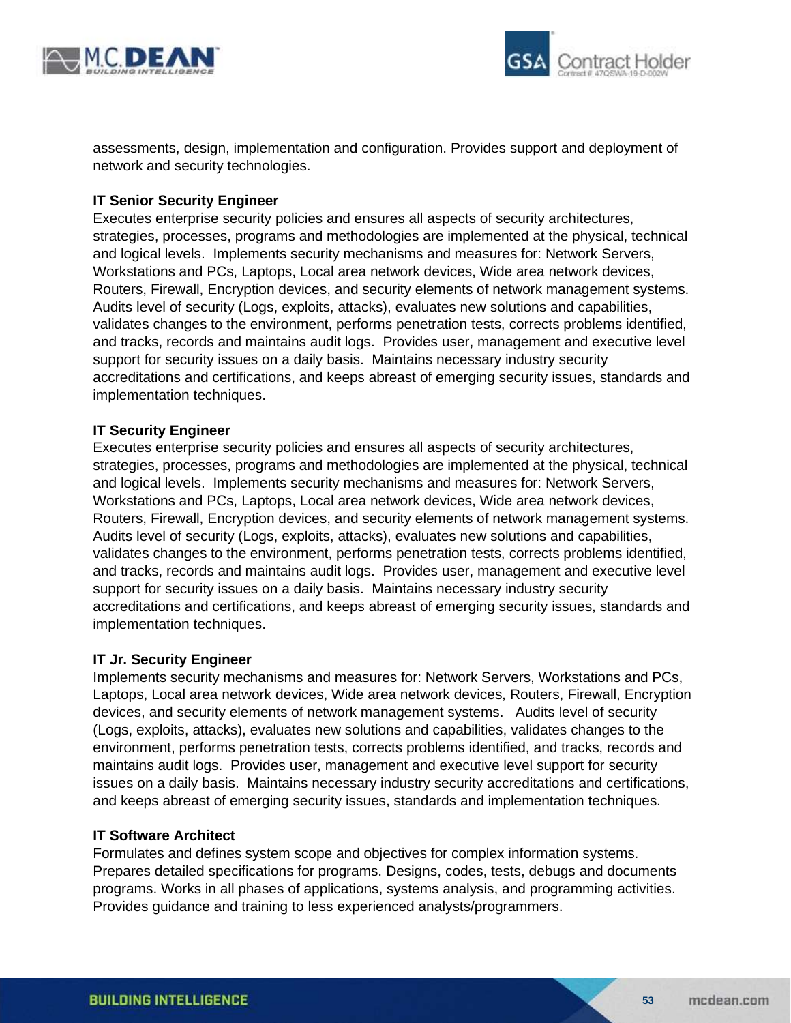



assessments, design, implementation and configuration. Provides support and deployment of network and security technologies.

# **IT Senior Security Engineer**

Executes enterprise security policies and ensures all aspects of security architectures, strategies, processes, programs and methodologies are implemented at the physical, technical and logical levels. Implements security mechanisms and measures for: Network Servers, Workstations and PCs, Laptops, Local area network devices, Wide area network devices, Routers, Firewall, Encryption devices, and security elements of network management systems. Audits level of security (Logs, exploits, attacks), evaluates new solutions and capabilities, validates changes to the environment, performs penetration tests, corrects problems identified, and tracks, records and maintains audit logs. Provides user, management and executive level support for security issues on a daily basis. Maintains necessary industry security accreditations and certifications, and keeps abreast of emerging security issues, standards and implementation techniques.

# **IT Security Engineer**

Executes enterprise security policies and ensures all aspects of security architectures, strategies, processes, programs and methodologies are implemented at the physical, technical and logical levels. Implements security mechanisms and measures for: Network Servers, Workstations and PCs, Laptops, Local area network devices, Wide area network devices, Routers, Firewall, Encryption devices, and security elements of network management systems. Audits level of security (Logs, exploits, attacks), evaluates new solutions and capabilities, validates changes to the environment, performs penetration tests, corrects problems identified, and tracks, records and maintains audit logs. Provides user, management and executive level support for security issues on a daily basis. Maintains necessary industry security accreditations and certifications, and keeps abreast of emerging security issues, standards and implementation techniques.

### **IT Jr. Security Engineer**

Implements security mechanisms and measures for: Network Servers, Workstations and PCs, Laptops, Local area network devices, Wide area network devices, Routers, Firewall, Encryption devices, and security elements of network management systems. Audits level of security (Logs, exploits, attacks), evaluates new solutions and capabilities, validates changes to the environment, performs penetration tests, corrects problems identified, and tracks, records and maintains audit logs. Provides user, management and executive level support for security issues on a daily basis. Maintains necessary industry security accreditations and certifications, and keeps abreast of emerging security issues, standards and implementation techniques.

### **IT Software Architect**

Formulates and defines system scope and objectives for complex information systems. Prepares detailed specifications for programs. Designs, codes, tests, debugs and documents programs. Works in all phases of applications, systems analysis, and programming activities. Provides guidance and training to less experienced analysts/programmers.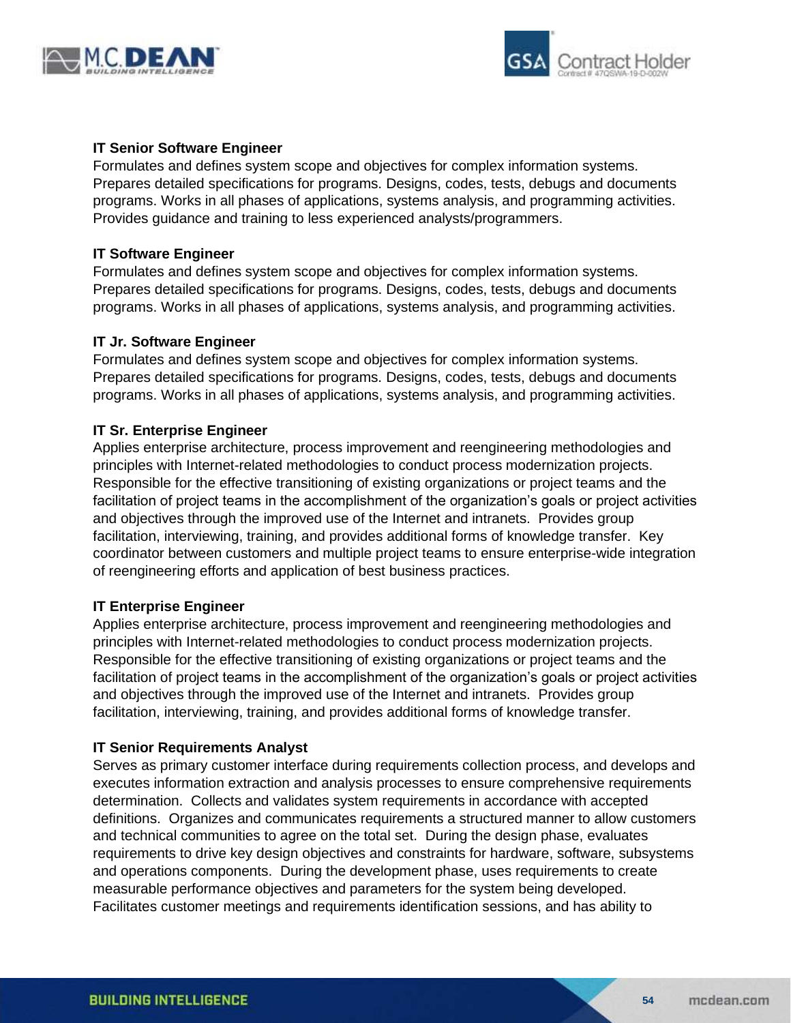



# **IT Senior Software Engineer**

Formulates and defines system scope and objectives for complex information systems. Prepares detailed specifications for programs. Designs, codes, tests, debugs and documents programs. Works in all phases of applications, systems analysis, and programming activities. Provides guidance and training to less experienced analysts/programmers.

### **IT Software Engineer**

Formulates and defines system scope and objectives for complex information systems. Prepares detailed specifications for programs. Designs, codes, tests, debugs and documents programs. Works in all phases of applications, systems analysis, and programming activities.

#### **IT Jr. Software Engineer**

Formulates and defines system scope and objectives for complex information systems. Prepares detailed specifications for programs. Designs, codes, tests, debugs and documents programs. Works in all phases of applications, systems analysis, and programming activities.

### **IT Sr. Enterprise Engineer**

Applies enterprise architecture, process improvement and reengineering methodologies and principles with Internet-related methodologies to conduct process modernization projects. Responsible for the effective transitioning of existing organizations or project teams and the facilitation of project teams in the accomplishment of the organization's goals or project activities and objectives through the improved use of the Internet and intranets. Provides group facilitation, interviewing, training, and provides additional forms of knowledge transfer. Key coordinator between customers and multiple project teams to ensure enterprise-wide integration of reengineering efforts and application of best business practices.

### **IT Enterprise Engineer**

Applies enterprise architecture, process improvement and reengineering methodologies and principles with Internet-related methodologies to conduct process modernization projects. Responsible for the effective transitioning of existing organizations or project teams and the facilitation of project teams in the accomplishment of the organization's goals or project activities and objectives through the improved use of the Internet and intranets. Provides group facilitation, interviewing, training, and provides additional forms of knowledge transfer.

#### **IT Senior Requirements Analyst**

Serves as primary customer interface during requirements collection process, and develops and executes information extraction and analysis processes to ensure comprehensive requirements determination. Collects and validates system requirements in accordance with accepted definitions. Organizes and communicates requirements a structured manner to allow customers and technical communities to agree on the total set. During the design phase, evaluates requirements to drive key design objectives and constraints for hardware, software, subsystems and operations components. During the development phase, uses requirements to create measurable performance objectives and parameters for the system being developed. Facilitates customer meetings and requirements identification sessions, and has ability to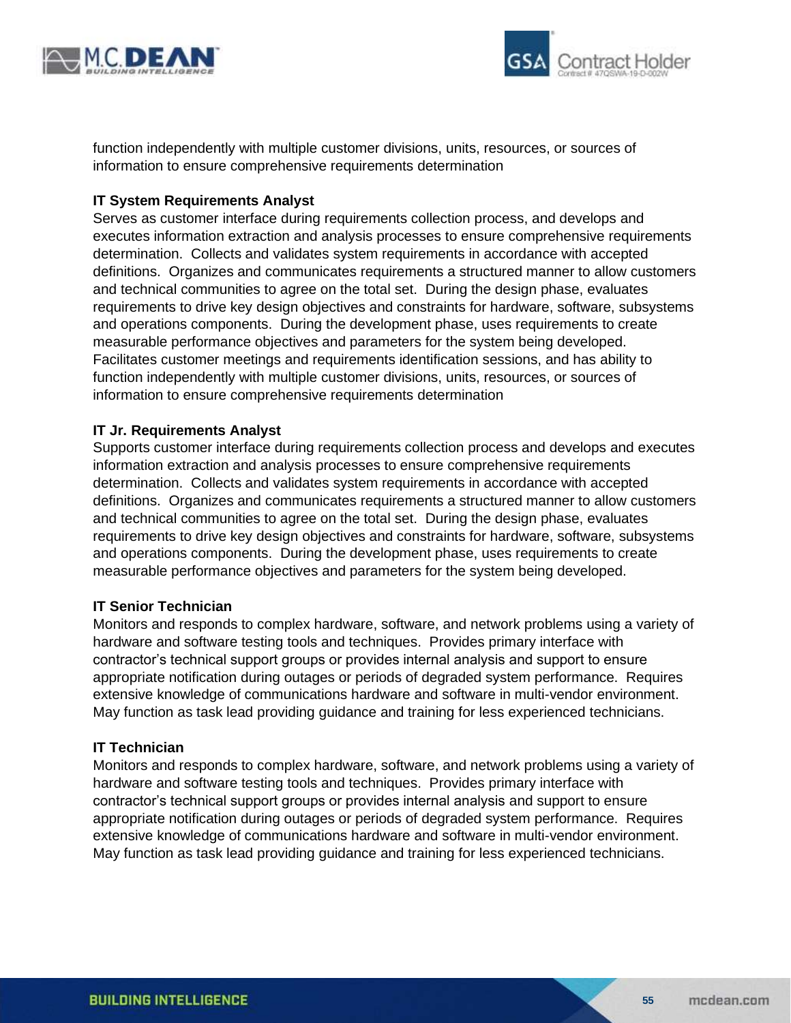



function independently with multiple customer divisions, units, resources, or sources of information to ensure comprehensive requirements determination

# **IT System Requirements Analyst**

Serves as customer interface during requirements collection process, and develops and executes information extraction and analysis processes to ensure comprehensive requirements determination. Collects and validates system requirements in accordance with accepted definitions. Organizes and communicates requirements a structured manner to allow customers and technical communities to agree on the total set. During the design phase, evaluates requirements to drive key design objectives and constraints for hardware, software, subsystems and operations components. During the development phase, uses requirements to create measurable performance objectives and parameters for the system being developed. Facilitates customer meetings and requirements identification sessions, and has ability to function independently with multiple customer divisions, units, resources, or sources of information to ensure comprehensive requirements determination

# **IT Jr. Requirements Analyst**

Supports customer interface during requirements collection process and develops and executes information extraction and analysis processes to ensure comprehensive requirements determination. Collects and validates system requirements in accordance with accepted definitions. Organizes and communicates requirements a structured manner to allow customers and technical communities to agree on the total set. During the design phase, evaluates requirements to drive key design objectives and constraints for hardware, software, subsystems and operations components. During the development phase, uses requirements to create measurable performance objectives and parameters for the system being developed.

### **IT Senior Technician**

Monitors and responds to complex hardware, software, and network problems using a variety of hardware and software testing tools and techniques. Provides primary interface with contractor's technical support groups or provides internal analysis and support to ensure appropriate notification during outages or periods of degraded system performance. Requires extensive knowledge of communications hardware and software in multi-vendor environment. May function as task lead providing guidance and training for less experienced technicians.

### **IT Technician**

Monitors and responds to complex hardware, software, and network problems using a variety of hardware and software testing tools and techniques. Provides primary interface with contractor's technical support groups or provides internal analysis and support to ensure appropriate notification during outages or periods of degraded system performance. Requires extensive knowledge of communications hardware and software in multi-vendor environment. May function as task lead providing guidance and training for less experienced technicians.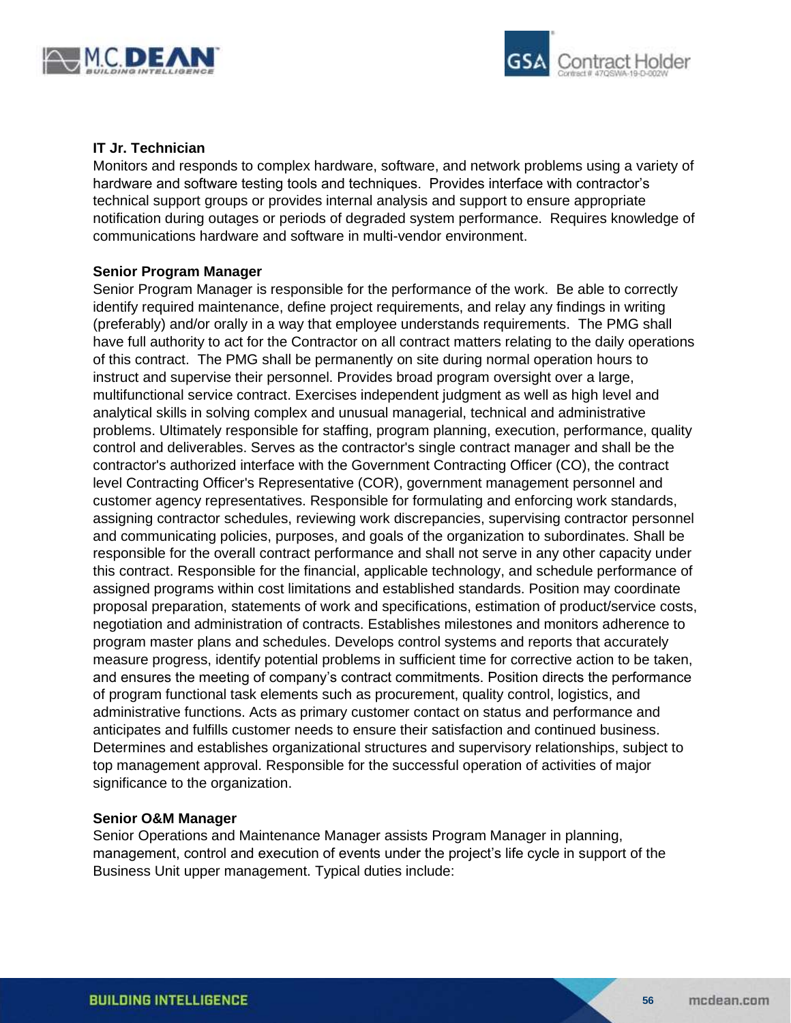



# **IT Jr. Technician**

Monitors and responds to complex hardware, software, and network problems using a variety of hardware and software testing tools and techniques. Provides interface with contractor's technical support groups or provides internal analysis and support to ensure appropriate notification during outages or periods of degraded system performance. Requires knowledge of communications hardware and software in multi-vendor environment.

# **Senior Program Manager**

Senior Program Manager is responsible for the performance of the work. Be able to correctly identify required maintenance, define project requirements, and relay any findings in writing (preferably) and/or orally in a way that employee understands requirements. The PMG shall have full authority to act for the Contractor on all contract matters relating to the daily operations of this contract. The PMG shall be permanently on site during normal operation hours to instruct and supervise their personnel. Provides broad program oversight over a large, multifunctional service contract. Exercises independent judgment as well as high level and analytical skills in solving complex and unusual managerial, technical and administrative problems. Ultimately responsible for staffing, program planning, execution, performance, quality control and deliverables. Serves as the contractor's single contract manager and shall be the contractor's authorized interface with the Government Contracting Officer (CO), the contract level Contracting Officer's Representative (COR), government management personnel and customer agency representatives. Responsible for formulating and enforcing work standards, assigning contractor schedules, reviewing work discrepancies, supervising contractor personnel and communicating policies, purposes, and goals of the organization to subordinates. Shall be responsible for the overall contract performance and shall not serve in any other capacity under this contract. Responsible for the financial, applicable technology, and schedule performance of assigned programs within cost limitations and established standards. Position may coordinate proposal preparation, statements of work and specifications, estimation of product/service costs, negotiation and administration of contracts. Establishes milestones and monitors adherence to program master plans and schedules. Develops control systems and reports that accurately measure progress, identify potential problems in sufficient time for corrective action to be taken, and ensures the meeting of company's contract commitments. Position directs the performance of program functional task elements such as procurement, quality control, logistics, and administrative functions. Acts as primary customer contact on status and performance and anticipates and fulfills customer needs to ensure their satisfaction and continued business. Determines and establishes organizational structures and supervisory relationships, subject to top management approval. Responsible for the successful operation of activities of major significance to the organization.

# **Senior O&M Manager**

Senior Operations and Maintenance Manager assists Program Manager in planning, management, control and execution of events under the project's life cycle in support of the Business Unit upper management. Typical duties include: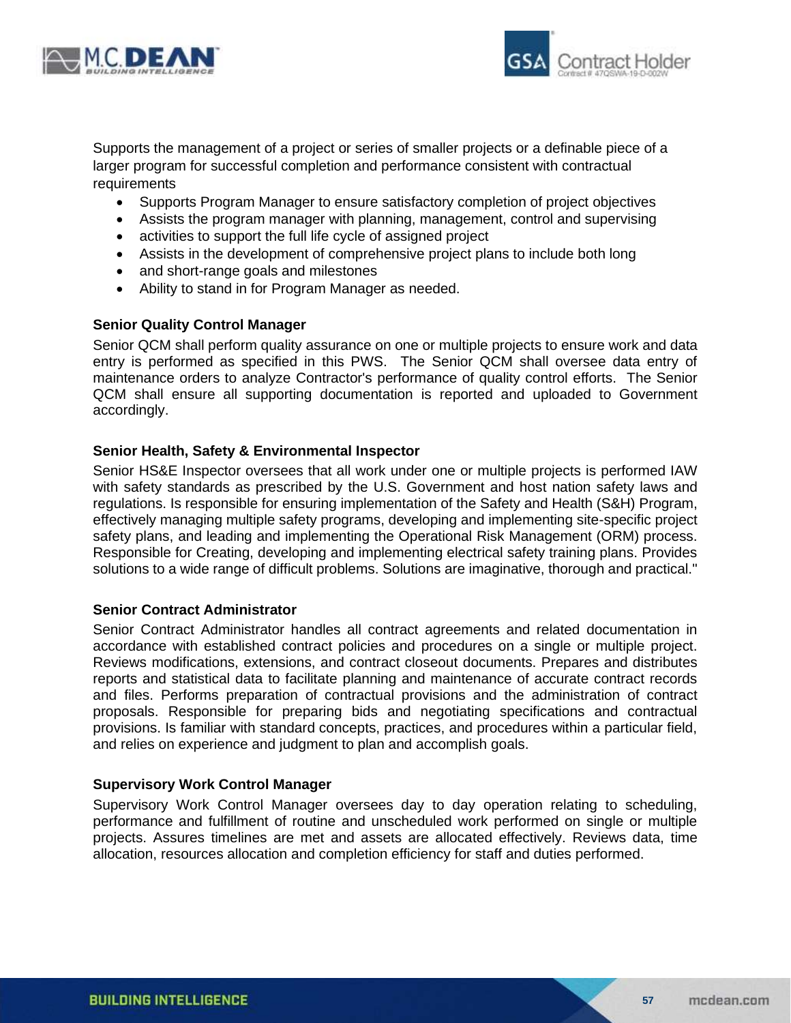



Supports the management of a project or series of smaller projects or a definable piece of a larger program for successful completion and performance consistent with contractual requirements

- Supports Program Manager to ensure satisfactory completion of project objectives
- Assists the program manager with planning, management, control and supervising
- activities to support the full life cycle of assigned project
- Assists in the development of comprehensive project plans to include both long
- and short-range goals and milestones
- Ability to stand in for Program Manager as needed.

# **Senior Quality Control Manager**

Senior QCM shall perform quality assurance on one or multiple projects to ensure work and data entry is performed as specified in this PWS. The Senior QCM shall oversee data entry of maintenance orders to analyze Contractor's performance of quality control efforts. The Senior QCM shall ensure all supporting documentation is reported and uploaded to Government accordingly.

# **Senior Health, Safety & Environmental Inspector**

Senior HS&E Inspector oversees that all work under one or multiple projects is performed IAW with safety standards as prescribed by the U.S. Government and host nation safety laws and regulations. Is responsible for ensuring implementation of the Safety and Health (S&H) Program, effectively managing multiple safety programs, developing and implementing site-specific project safety plans, and leading and implementing the Operational Risk Management (ORM) process. Responsible for Creating, developing and implementing electrical safety training plans. Provides solutions to a wide range of difficult problems. Solutions are imaginative, thorough and practical."

### **Senior Contract Administrator**

Senior Contract Administrator handles all contract agreements and related documentation in accordance with established contract policies and procedures on a single or multiple project. Reviews modifications, extensions, and contract closeout documents. Prepares and distributes reports and statistical data to facilitate planning and maintenance of accurate contract records and files. Performs preparation of contractual provisions and the administration of contract proposals. Responsible for preparing bids and negotiating specifications and contractual provisions. Is familiar with standard concepts, practices, and procedures within a particular field, and relies on experience and judgment to plan and accomplish goals.

### **Supervisory Work Control Manager**

Supervisory Work Control Manager oversees day to day operation relating to scheduling, performance and fulfillment of routine and unscheduled work performed on single or multiple projects. Assures timelines are met and assets are allocated effectively. Reviews data, time allocation, resources allocation and completion efficiency for staff and duties performed.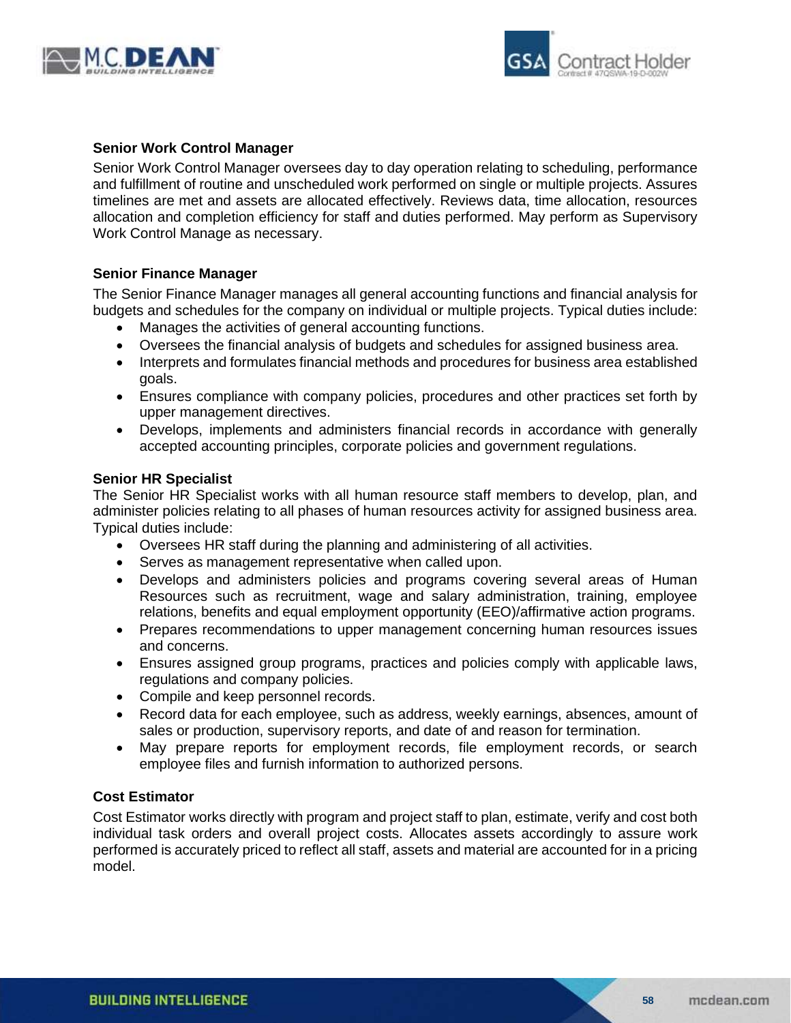



# **Senior Work Control Manager**

Senior Work Control Manager oversees day to day operation relating to scheduling, performance and fulfillment of routine and unscheduled work performed on single or multiple projects. Assures timelines are met and assets are allocated effectively. Reviews data, time allocation, resources allocation and completion efficiency for staff and duties performed. May perform as Supervisory Work Control Manage as necessary.

### **Senior Finance Manager**

The Senior Finance Manager manages all general accounting functions and financial analysis for budgets and schedules for the company on individual or multiple projects. Typical duties include:

- Manages the activities of general accounting functions.
- Oversees the financial analysis of budgets and schedules for assigned business area.
- Interprets and formulates financial methods and procedures for business area established goals.
- Ensures compliance with company policies, procedures and other practices set forth by upper management directives.
- Develops, implements and administers financial records in accordance with generally accepted accounting principles, corporate policies and government regulations.

### **Senior HR Specialist**

The Senior HR Specialist works with all human resource staff members to develop, plan, and administer policies relating to all phases of human resources activity for assigned business area. Typical duties include:

- Oversees HR staff during the planning and administering of all activities.
- Serves as management representative when called upon.
- Develops and administers policies and programs covering several areas of Human Resources such as recruitment, wage and salary administration, training, employee relations, benefits and equal employment opportunity (EEO)/affirmative action programs.
- Prepares recommendations to upper management concerning human resources issues and concerns.
- Ensures assigned group programs, practices and policies comply with applicable laws, regulations and company policies.
- Compile and keep personnel records.
- Record data for each employee, such as address, weekly earnings, absences, amount of sales or production, supervisory reports, and date of and reason for termination.
- May prepare reports for employment records, file employment records, or search employee files and furnish information to authorized persons.

### **Cost Estimator**

Cost Estimator works directly with program and project staff to plan, estimate, verify and cost both individual task orders and overall project costs. Allocates assets accordingly to assure work performed is accurately priced to reflect all staff, assets and material are accounted for in a pricing model.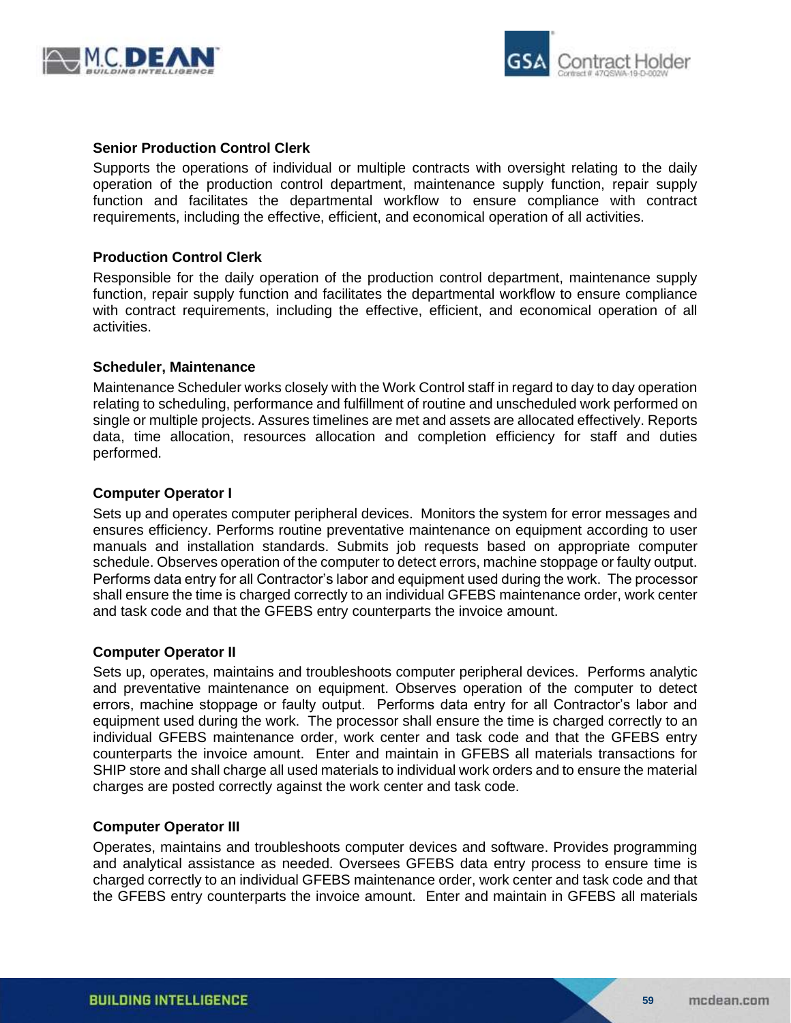



### **Senior Production Control Clerk**

Supports the operations of individual or multiple contracts with oversight relating to the daily operation of the production control department, maintenance supply function, repair supply function and facilitates the departmental workflow to ensure compliance with contract requirements, including the effective, efficient, and economical operation of all activities.

#### **Production Control Clerk**

Responsible for the daily operation of the production control department, maintenance supply function, repair supply function and facilitates the departmental workflow to ensure compliance with contract requirements, including the effective, efficient, and economical operation of all activities.

#### **Scheduler, Maintenance**

Maintenance Scheduler works closely with the Work Control staff in regard to day to day operation relating to scheduling, performance and fulfillment of routine and unscheduled work performed on single or multiple projects. Assures timelines are met and assets are allocated effectively. Reports data, time allocation, resources allocation and completion efficiency for staff and duties performed.

### **Computer Operator I**

Sets up and operates computer peripheral devices. Monitors the system for error messages and ensures efficiency. Performs routine preventative maintenance on equipment according to user manuals and installation standards. Submits job requests based on appropriate computer schedule. Observes operation of the computer to detect errors, machine stoppage or faulty output. Performs data entry for all Contractor's labor and equipment used during the work. The processor shall ensure the time is charged correctly to an individual GFEBS maintenance order, work center and task code and that the GFEBS entry counterparts the invoice amount.

#### **Computer Operator II**

Sets up, operates, maintains and troubleshoots computer peripheral devices. Performs analytic and preventative maintenance on equipment. Observes operation of the computer to detect errors, machine stoppage or faulty output. Performs data entry for all Contractor's labor and equipment used during the work. The processor shall ensure the time is charged correctly to an individual GFEBS maintenance order, work center and task code and that the GFEBS entry counterparts the invoice amount. Enter and maintain in GFEBS all materials transactions for SHIP store and shall charge all used materials to individual work orders and to ensure the material charges are posted correctly against the work center and task code.

### **Computer Operator III**

Operates, maintains and troubleshoots computer devices and software. Provides programming and analytical assistance as needed. Oversees GFEBS data entry process to ensure time is charged correctly to an individual GFEBS maintenance order, work center and task code and that the GFEBS entry counterparts the invoice amount. Enter and maintain in GFEBS all materials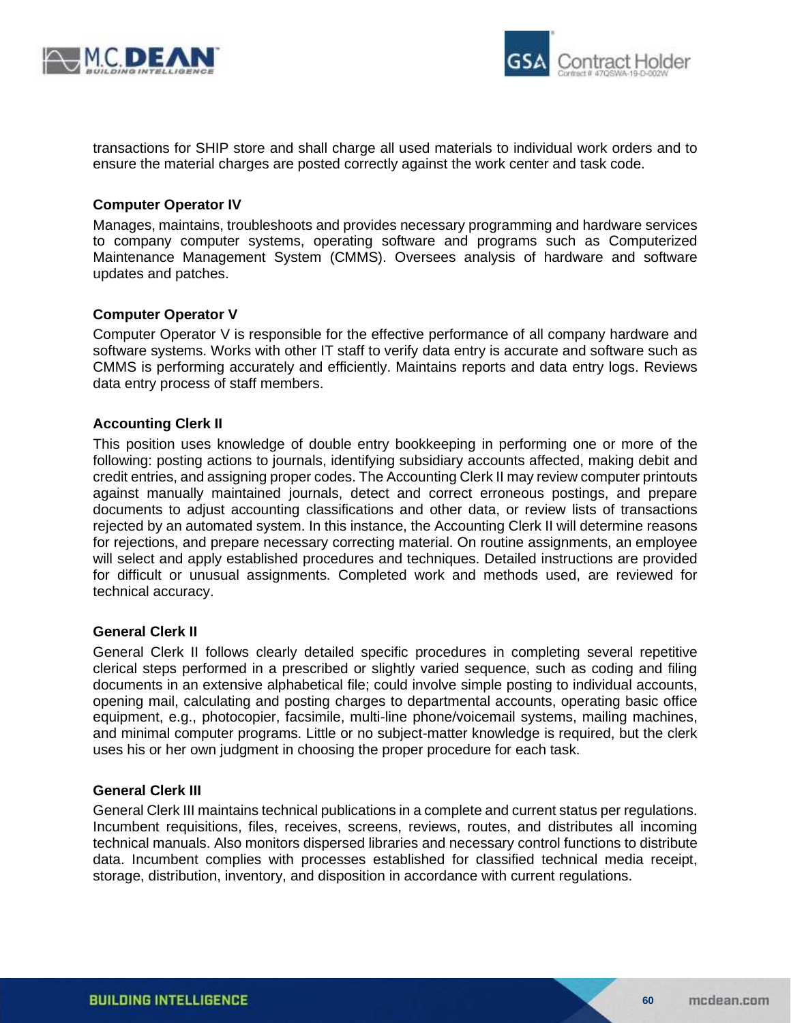



transactions for SHIP store and shall charge all used materials to individual work orders and to ensure the material charges are posted correctly against the work center and task code.

#### **Computer Operator IV**

Manages, maintains, troubleshoots and provides necessary programming and hardware services to company computer systems, operating software and programs such as Computerized Maintenance Management System (CMMS). Oversees analysis of hardware and software updates and patches.

#### **Computer Operator V**

Computer Operator V is responsible for the effective performance of all company hardware and software systems. Works with other IT staff to verify data entry is accurate and software such as CMMS is performing accurately and efficiently. Maintains reports and data entry logs. Reviews data entry process of staff members.

#### **Accounting Clerk II**

This position uses knowledge of double entry bookkeeping in performing one or more of the following: posting actions to journals, identifying subsidiary accounts affected, making debit and credit entries, and assigning proper codes. The Accounting Clerk II may review computer printouts against manually maintained journals, detect and correct erroneous postings, and prepare documents to adjust accounting classifications and other data, or review lists of transactions rejected by an automated system. In this instance, the Accounting Clerk II will determine reasons for rejections, and prepare necessary correcting material. On routine assignments, an employee will select and apply established procedures and techniques. Detailed instructions are provided for difficult or unusual assignments. Completed work and methods used, are reviewed for technical accuracy.

#### **General Clerk II**

General Clerk II follows clearly detailed specific procedures in completing several repetitive clerical steps performed in a prescribed or slightly varied sequence, such as coding and filing documents in an extensive alphabetical file; could involve simple posting to individual accounts, opening mail, calculating and posting charges to departmental accounts, operating basic office equipment, e.g., photocopier, facsimile, multi-line phone/voicemail systems, mailing machines, and minimal computer programs. Little or no subject-matter knowledge is required, but the clerk uses his or her own judgment in choosing the proper procedure for each task.

#### **General Clerk III**

General Clerk III maintains technical publications in a complete and current status per regulations. Incumbent requisitions, files, receives, screens, reviews, routes, and distributes all incoming technical manuals. Also monitors dispersed libraries and necessary control functions to distribute data. Incumbent complies with processes established for classified technical media receipt, storage, distribution, inventory, and disposition in accordance with current regulations.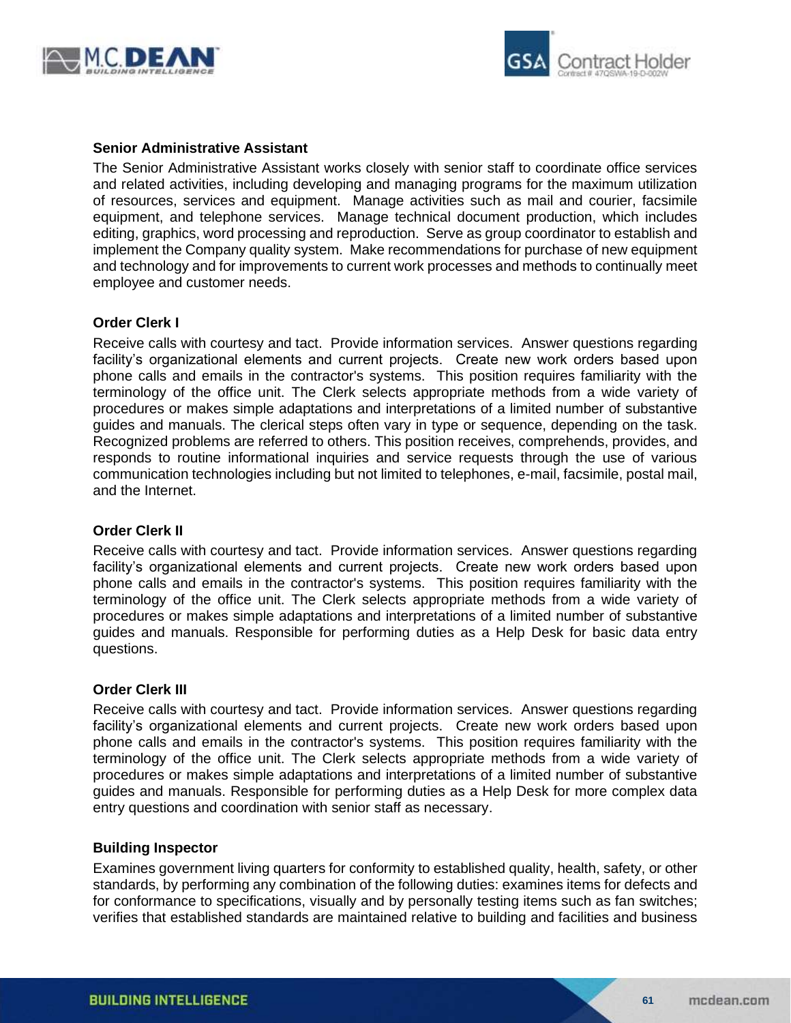



### **Senior Administrative Assistant**

The Senior Administrative Assistant works closely with senior staff to coordinate office services and related activities, including developing and managing programs for the maximum utilization of resources, services and equipment. Manage activities such as mail and courier, facsimile equipment, and telephone services. Manage technical document production, which includes editing, graphics, word processing and reproduction. Serve as group coordinator to establish and implement the Company quality system. Make recommendations for purchase of new equipment and technology and for improvements to current work processes and methods to continually meet employee and customer needs.

# **Order Clerk I**

Receive calls with courtesy and tact. Provide information services. Answer questions regarding facility's organizational elements and current projects. Create new work orders based upon phone calls and emails in the contractor's systems. This position requires familiarity with the terminology of the office unit. The Clerk selects appropriate methods from a wide variety of procedures or makes simple adaptations and interpretations of a limited number of substantive guides and manuals. The clerical steps often vary in type or sequence, depending on the task. Recognized problems are referred to others. This position receives, comprehends, provides, and responds to routine informational inquiries and service requests through the use of various communication technologies including but not limited to telephones, e-mail, facsimile, postal mail, and the Internet.

# **Order Clerk II**

Receive calls with courtesy and tact. Provide information services. Answer questions regarding facility's organizational elements and current projects. Create new work orders based upon phone calls and emails in the contractor's systems. This position requires familiarity with the terminology of the office unit. The Clerk selects appropriate methods from a wide variety of procedures or makes simple adaptations and interpretations of a limited number of substantive guides and manuals. Responsible for performing duties as a Help Desk for basic data entry questions.

### **Order Clerk III**

Receive calls with courtesy and tact. Provide information services. Answer questions regarding facility's organizational elements and current projects. Create new work orders based upon phone calls and emails in the contractor's systems. This position requires familiarity with the terminology of the office unit. The Clerk selects appropriate methods from a wide variety of procedures or makes simple adaptations and interpretations of a limited number of substantive guides and manuals. Responsible for performing duties as a Help Desk for more complex data entry questions and coordination with senior staff as necessary.

### **Building Inspector**

Examines government living quarters for conformity to established quality, health, safety, or other standards, by performing any combination of the following duties: examines items for defects and for conformance to specifications, visually and by personally testing items such as fan switches; verifies that established standards are maintained relative to building and facilities and business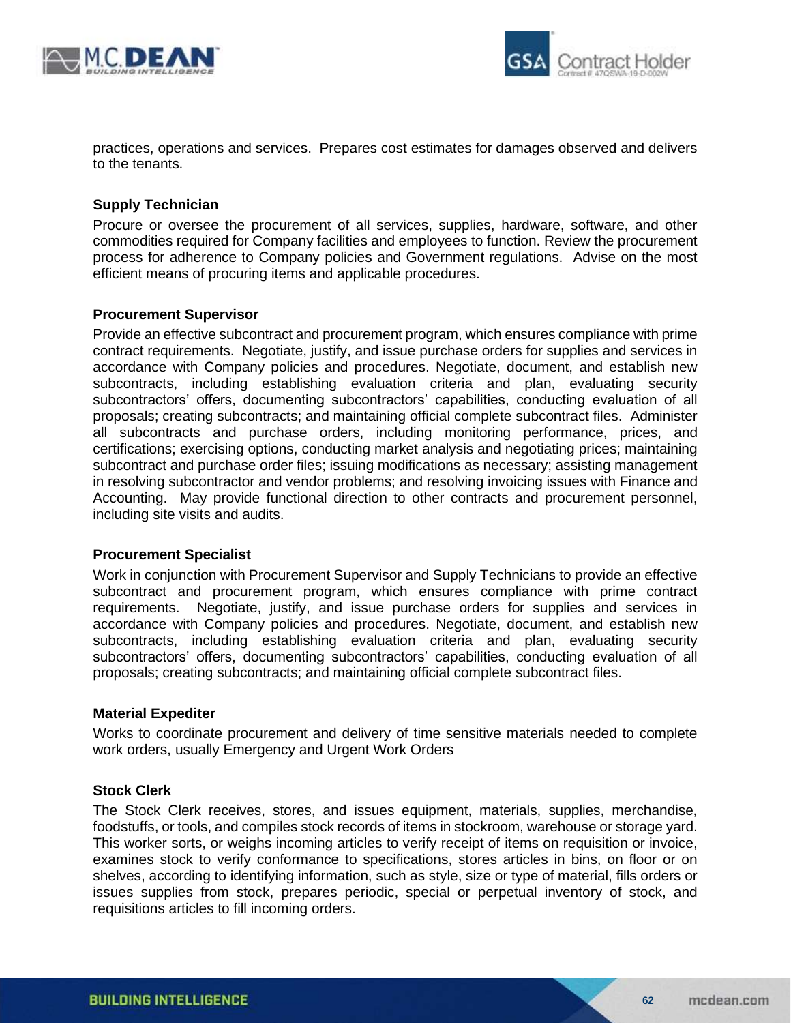



practices, operations and services. Prepares cost estimates for damages observed and delivers to the tenants.

# **Supply Technician**

Procure or oversee the procurement of all services, supplies, hardware, software, and other commodities required for Company facilities and employees to function. Review the procurement process for adherence to Company policies and Government regulations. Advise on the most efficient means of procuring items and applicable procedures.

### **Procurement Supervisor**

Provide an effective subcontract and procurement program, which ensures compliance with prime contract requirements. Negotiate, justify, and issue purchase orders for supplies and services in accordance with Company policies and procedures. Negotiate, document, and establish new subcontracts, including establishing evaluation criteria and plan, evaluating security subcontractors' offers, documenting subcontractors' capabilities, conducting evaluation of all proposals; creating subcontracts; and maintaining official complete subcontract files. Administer all subcontracts and purchase orders, including monitoring performance, prices, and certifications; exercising options, conducting market analysis and negotiating prices; maintaining subcontract and purchase order files; issuing modifications as necessary; assisting management in resolving subcontractor and vendor problems; and resolving invoicing issues with Finance and Accounting. May provide functional direction to other contracts and procurement personnel, including site visits and audits.

### **Procurement Specialist**

Work in conjunction with Procurement Supervisor and Supply Technicians to provide an effective subcontract and procurement program, which ensures compliance with prime contract requirements. Negotiate, justify, and issue purchase orders for supplies and services in accordance with Company policies and procedures. Negotiate, document, and establish new subcontracts, including establishing evaluation criteria and plan, evaluating security subcontractors' offers, documenting subcontractors' capabilities, conducting evaluation of all proposals; creating subcontracts; and maintaining official complete subcontract files.

#### **Material Expediter**

Works to coordinate procurement and delivery of time sensitive materials needed to complete work orders, usually Emergency and Urgent Work Orders

#### **Stock Clerk**

The Stock Clerk receives, stores, and issues equipment, materials, supplies, merchandise, foodstuffs, or tools, and compiles stock records of items in stockroom, warehouse or storage yard. This worker sorts, or weighs incoming articles to verify receipt of items on requisition or invoice, examines stock to verify conformance to specifications, stores articles in bins, on floor or on shelves, according to identifying information, such as style, size or type of material, fills orders or issues supplies from stock, prepares periodic, special or perpetual inventory of stock, and requisitions articles to fill incoming orders.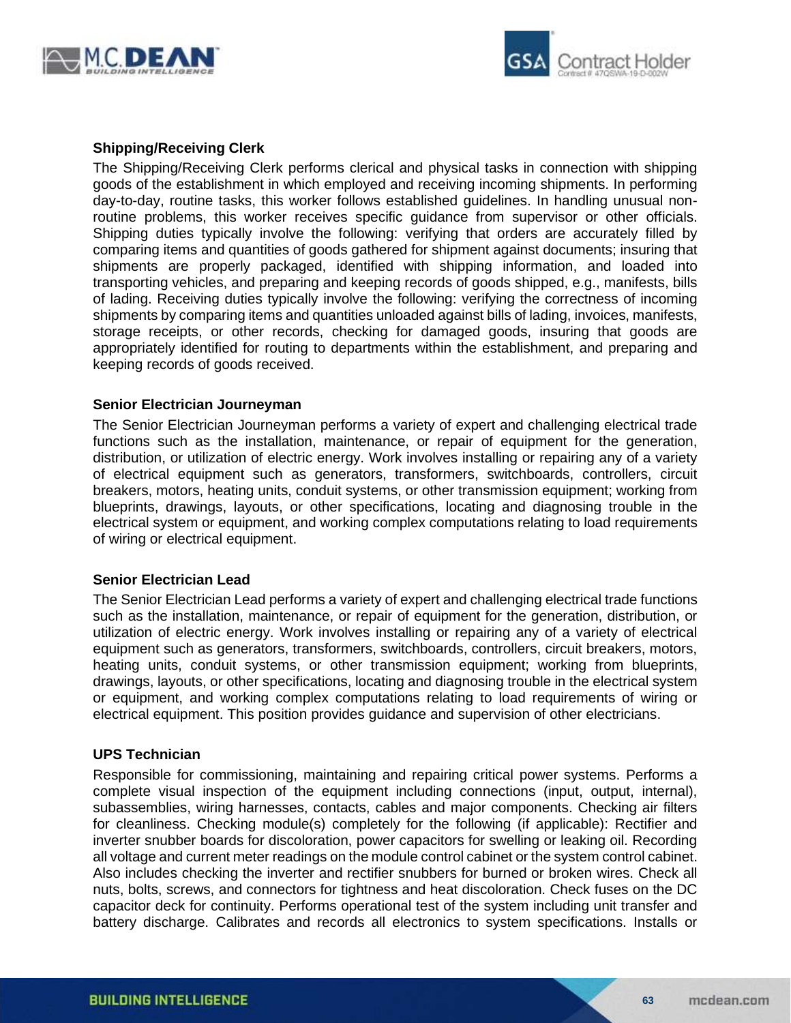



# **Shipping/Receiving Clerk**

The Shipping/Receiving Clerk performs clerical and physical tasks in connection with shipping goods of the establishment in which employed and receiving incoming shipments. In performing day-to-day, routine tasks, this worker follows established guidelines. In handling unusual nonroutine problems, this worker receives specific guidance from supervisor or other officials. Shipping duties typically involve the following: verifying that orders are accurately filled by comparing items and quantities of goods gathered for shipment against documents; insuring that shipments are properly packaged, identified with shipping information, and loaded into transporting vehicles, and preparing and keeping records of goods shipped, e.g., manifests, bills of lading. Receiving duties typically involve the following: verifying the correctness of incoming shipments by comparing items and quantities unloaded against bills of lading, invoices, manifests, storage receipts, or other records, checking for damaged goods, insuring that goods are appropriately identified for routing to departments within the establishment, and preparing and keeping records of goods received.

### **Senior Electrician Journeyman**

The Senior Electrician Journeyman performs a variety of expert and challenging electrical trade functions such as the installation, maintenance, or repair of equipment for the generation, distribution, or utilization of electric energy. Work involves installing or repairing any of a variety of electrical equipment such as generators, transformers, switchboards, controllers, circuit breakers, motors, heating units, conduit systems, or other transmission equipment; working from blueprints, drawings, layouts, or other specifications, locating and diagnosing trouble in the electrical system or equipment, and working complex computations relating to load requirements of wiring or electrical equipment.

### **Senior Electrician Lead**

The Senior Electrician Lead performs a variety of expert and challenging electrical trade functions such as the installation, maintenance, or repair of equipment for the generation, distribution, or utilization of electric energy. Work involves installing or repairing any of a variety of electrical equipment such as generators, transformers, switchboards, controllers, circuit breakers, motors, heating units, conduit systems, or other transmission equipment; working from blueprints, drawings, layouts, or other specifications, locating and diagnosing trouble in the electrical system or equipment, and working complex computations relating to load requirements of wiring or electrical equipment. This position provides guidance and supervision of other electricians.

### **UPS Technician**

Responsible for commissioning, maintaining and repairing critical power systems. Performs a complete visual inspection of the equipment including connections (input, output, internal), subassemblies, wiring harnesses, contacts, cables and major components. Checking air filters for cleanliness. Checking module(s) completely for the following (if applicable): Rectifier and inverter snubber boards for discoloration, power capacitors for swelling or leaking oil. Recording all voltage and current meter readings on the module control cabinet or the system control cabinet. Also includes checking the inverter and rectifier snubbers for burned or broken wires. Check all nuts, bolts, screws, and connectors for tightness and heat discoloration. Check fuses on the DC capacitor deck for continuity. Performs operational test of the system including unit transfer and battery discharge. Calibrates and records all electronics to system specifications. Installs or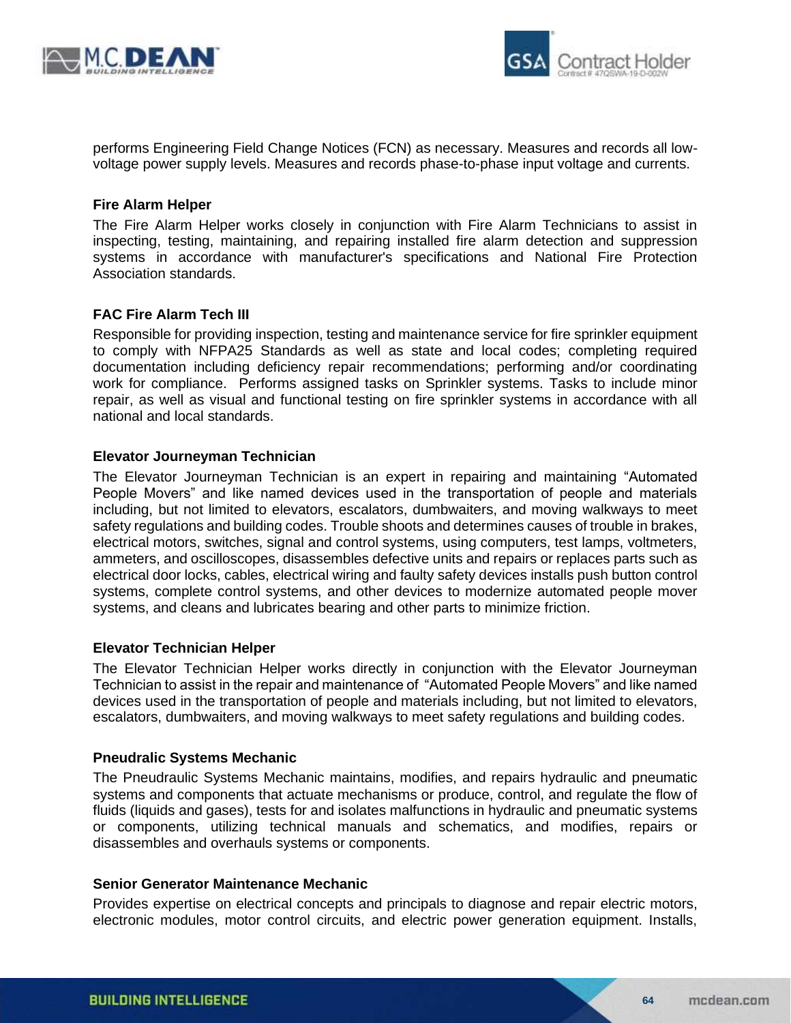



performs Engineering Field Change Notices (FCN) as necessary. Measures and records all lowvoltage power supply levels. Measures and records phase-to-phase input voltage and currents.

#### **Fire Alarm Helper**

The Fire Alarm Helper works closely in conjunction with Fire Alarm Technicians to assist in inspecting, testing, maintaining, and repairing installed fire alarm detection and suppression systems in accordance with manufacturer's specifications and National Fire Protection Association standards.

### **FAC Fire Alarm Tech III**

Responsible for providing inspection, testing and maintenance service for fire sprinkler equipment to comply with NFPA25 Standards as well as state and local codes; completing required documentation including deficiency repair recommendations; performing and/or coordinating work for compliance. Performs assigned tasks on Sprinkler systems. Tasks to include minor repair, as well as visual and functional testing on fire sprinkler systems in accordance with all national and local standards.

### **Elevator Journeyman Technician**

The Elevator Journeyman Technician is an expert in repairing and maintaining "Automated People Movers" and like named devices used in the transportation of people and materials including, but not limited to elevators, escalators, dumbwaiters, and moving walkways to meet safety regulations and building codes. Trouble shoots and determines causes of trouble in brakes, electrical motors, switches, signal and control systems, using computers, test lamps, voltmeters, ammeters, and oscilloscopes, disassembles defective units and repairs or replaces parts such as electrical door locks, cables, electrical wiring and faulty safety devices installs push button control systems, complete control systems, and other devices to modernize automated people mover systems, and cleans and lubricates bearing and other parts to minimize friction.

### **Elevator Technician Helper**

The Elevator Technician Helper works directly in conjunction with the Elevator Journeyman Technician to assist in the repair and maintenance of "Automated People Movers" and like named devices used in the transportation of people and materials including, but not limited to elevators, escalators, dumbwaiters, and moving walkways to meet safety regulations and building codes.

#### **Pneudralic Systems Mechanic**

The Pneudraulic Systems Mechanic maintains, modifies, and repairs hydraulic and pneumatic systems and components that actuate mechanisms or produce, control, and regulate the flow of fluids (liquids and gases), tests for and isolates malfunctions in hydraulic and pneumatic systems or components, utilizing technical manuals and schematics, and modifies, repairs or disassembles and overhauls systems or components.

#### **Senior Generator Maintenance Mechanic**

Provides expertise on electrical concepts and principals to diagnose and repair electric motors, electronic modules, motor control circuits, and electric power generation equipment. Installs,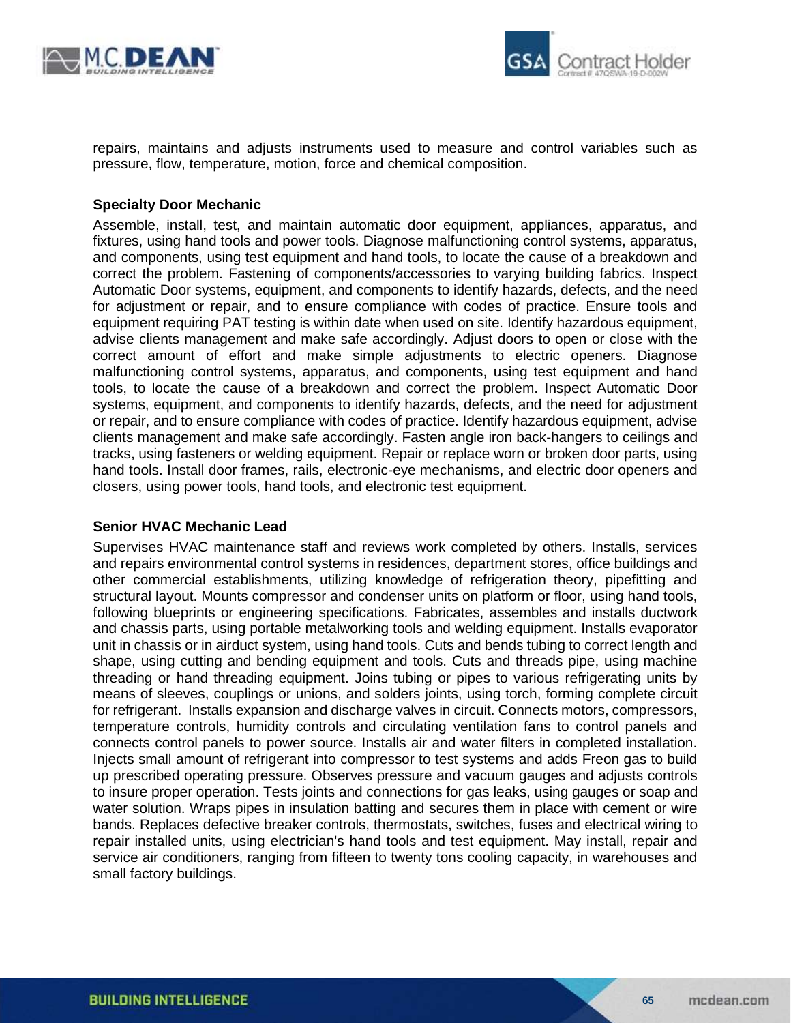



repairs, maintains and adjusts instruments used to measure and control variables such as pressure, flow, temperature, motion, force and chemical composition.

### **Specialty Door Mechanic**

Assemble, install, test, and maintain automatic door equipment, appliances, apparatus, and fixtures, using hand tools and power tools. Diagnose malfunctioning control systems, apparatus, and components, using test equipment and hand tools, to locate the cause of a breakdown and correct the problem. Fastening of components/accessories to varying building fabrics. Inspect Automatic Door systems, equipment, and components to identify hazards, defects, and the need for adjustment or repair, and to ensure compliance with codes of practice. Ensure tools and equipment requiring PAT testing is within date when used on site. Identify hazardous equipment, advise clients management and make safe accordingly. Adjust doors to open or close with the correct amount of effort and make simple adjustments to electric openers. Diagnose malfunctioning control systems, apparatus, and components, using test equipment and hand tools, to locate the cause of a breakdown and correct the problem. Inspect Automatic Door systems, equipment, and components to identify hazards, defects, and the need for adjustment or repair, and to ensure compliance with codes of practice. Identify hazardous equipment, advise clients management and make safe accordingly. Fasten angle iron back-hangers to ceilings and tracks, using fasteners or welding equipment. Repair or replace worn or broken door parts, using hand tools. Install door frames, rails, electronic-eye mechanisms, and electric door openers and closers, using power tools, hand tools, and electronic test equipment.

### **Senior HVAC Mechanic Lead**

Supervises HVAC maintenance staff and reviews work completed by others. Installs, services and repairs environmental control systems in residences, department stores, office buildings and other commercial establishments, utilizing knowledge of refrigeration theory, pipefitting and structural layout. Mounts compressor and condenser units on platform or floor, using hand tools, following blueprints or engineering specifications. Fabricates, assembles and installs ductwork and chassis parts, using portable metalworking tools and welding equipment. Installs evaporator unit in chassis or in airduct system, using hand tools. Cuts and bends tubing to correct length and shape, using cutting and bending equipment and tools. Cuts and threads pipe, using machine threading or hand threading equipment. Joins tubing or pipes to various refrigerating units by means of sleeves, couplings or unions, and solders joints, using torch, forming complete circuit for refrigerant. Installs expansion and discharge valves in circuit. Connects motors, compressors, temperature controls, humidity controls and circulating ventilation fans to control panels and connects control panels to power source. Installs air and water filters in completed installation. Injects small amount of refrigerant into compressor to test systems and adds Freon gas to build up prescribed operating pressure. Observes pressure and vacuum gauges and adjusts controls to insure proper operation. Tests joints and connections for gas leaks, using gauges or soap and water solution. Wraps pipes in insulation batting and secures them in place with cement or wire bands. Replaces defective breaker controls, thermostats, switches, fuses and electrical wiring to repair installed units, using electrician's hand tools and test equipment. May install, repair and service air conditioners, ranging from fifteen to twenty tons cooling capacity, in warehouses and small factory buildings.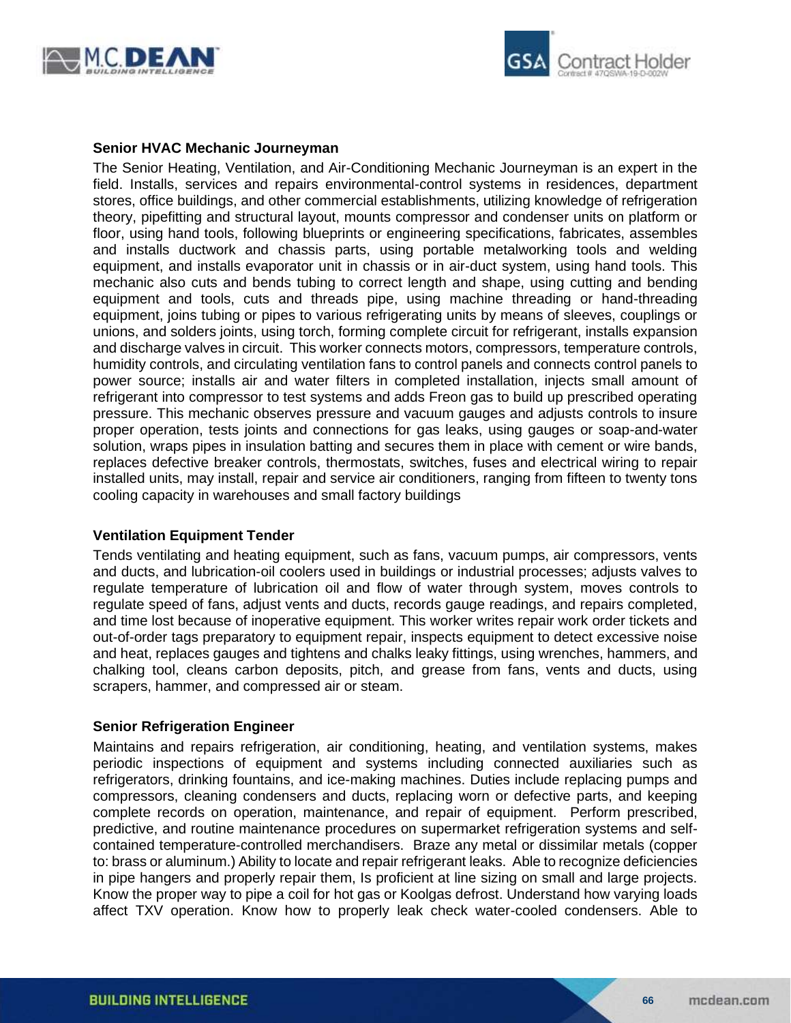



### **Senior HVAC Mechanic Journeyman**

The Senior Heating, Ventilation, and Air-Conditioning Mechanic Journeyman is an expert in the field. Installs, services and repairs environmental-control systems in residences, department stores, office buildings, and other commercial establishments, utilizing knowledge of refrigeration theory, pipefitting and structural layout, mounts compressor and condenser units on platform or floor, using hand tools, following blueprints or engineering specifications, fabricates, assembles and installs ductwork and chassis parts, using portable metalworking tools and welding equipment, and installs evaporator unit in chassis or in air-duct system, using hand tools. This mechanic also cuts and bends tubing to correct length and shape, using cutting and bending equipment and tools, cuts and threads pipe, using machine threading or hand-threading equipment, joins tubing or pipes to various refrigerating units by means of sleeves, couplings or unions, and solders joints, using torch, forming complete circuit for refrigerant, installs expansion and discharge valves in circuit. This worker connects motors, compressors, temperature controls, humidity controls, and circulating ventilation fans to control panels and connects control panels to power source; installs air and water filters in completed installation, injects small amount of refrigerant into compressor to test systems and adds Freon gas to build up prescribed operating pressure. This mechanic observes pressure and vacuum gauges and adjusts controls to insure proper operation, tests joints and connections for gas leaks, using gauges or soap-and-water solution, wraps pipes in insulation batting and secures them in place with cement or wire bands, replaces defective breaker controls, thermostats, switches, fuses and electrical wiring to repair installed units, may install, repair and service air conditioners, ranging from fifteen to twenty tons cooling capacity in warehouses and small factory buildings

### **Ventilation Equipment Tender**

Tends ventilating and heating equipment, such as fans, vacuum pumps, air compressors, vents and ducts, and lubrication-oil coolers used in buildings or industrial processes; adjusts valves to regulate temperature of lubrication oil and flow of water through system, moves controls to regulate speed of fans, adjust vents and ducts, records gauge readings, and repairs completed, and time lost because of inoperative equipment. This worker writes repair work order tickets and out-of-order tags preparatory to equipment repair, inspects equipment to detect excessive noise and heat, replaces gauges and tightens and chalks leaky fittings, using wrenches, hammers, and chalking tool, cleans carbon deposits, pitch, and grease from fans, vents and ducts, using scrapers, hammer, and compressed air or steam.

#### **Senior Refrigeration Engineer**

Maintains and repairs refrigeration, air conditioning, heating, and ventilation systems, makes periodic inspections of equipment and systems including connected auxiliaries such as refrigerators, drinking fountains, and ice-making machines. Duties include replacing pumps and compressors, cleaning condensers and ducts, replacing worn or defective parts, and keeping complete records on operation, maintenance, and repair of equipment. Perform prescribed, predictive, and routine maintenance procedures on supermarket refrigeration systems and selfcontained temperature-controlled merchandisers. Braze any metal or dissimilar metals (copper to: brass or aluminum.) Ability to locate and repair refrigerant leaks. Able to recognize deficiencies in pipe hangers and properly repair them, Is proficient at line sizing on small and large projects. Know the proper way to pipe a coil for hot gas or Koolgas defrost. Understand how varying loads affect TXV operation. Know how to properly leak check water-cooled condensers. Able to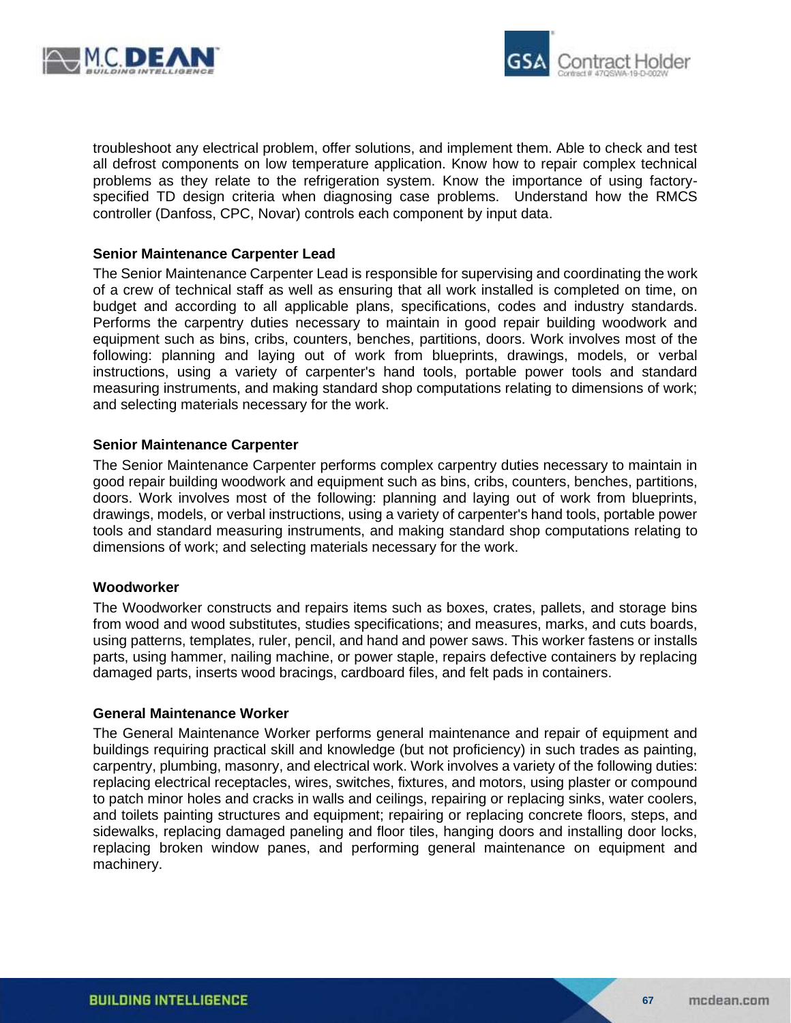



troubleshoot any electrical problem, offer solutions, and implement them. Able to check and test all defrost components on low temperature application. Know how to repair complex technical problems as they relate to the refrigeration system. Know the importance of using factoryspecified TD design criteria when diagnosing case problems. Understand how the RMCS controller (Danfoss, CPC, Novar) controls each component by input data.

### **Senior Maintenance Carpenter Lead**

The Senior Maintenance Carpenter Lead is responsible for supervising and coordinating the work of a crew of technical staff as well as ensuring that all work installed is completed on time, on budget and according to all applicable plans, specifications, codes and industry standards. Performs the carpentry duties necessary to maintain in good repair building woodwork and equipment such as bins, cribs, counters, benches, partitions, doors. Work involves most of the following: planning and laying out of work from blueprints, drawings, models, or verbal instructions, using a variety of carpenter's hand tools, portable power tools and standard measuring instruments, and making standard shop computations relating to dimensions of work; and selecting materials necessary for the work.

# **Senior Maintenance Carpenter**

The Senior Maintenance Carpenter performs complex carpentry duties necessary to maintain in good repair building woodwork and equipment such as bins, cribs, counters, benches, partitions, doors. Work involves most of the following: planning and laying out of work from blueprints, drawings, models, or verbal instructions, using a variety of carpenter's hand tools, portable power tools and standard measuring instruments, and making standard shop computations relating to dimensions of work; and selecting materials necessary for the work.

### **Woodworker**

The Woodworker constructs and repairs items such as boxes, crates, pallets, and storage bins from wood and wood substitutes, studies specifications; and measures, marks, and cuts boards, using patterns, templates, ruler, pencil, and hand and power saws. This worker fastens or installs parts, using hammer, nailing machine, or power staple, repairs defective containers by replacing damaged parts, inserts wood bracings, cardboard files, and felt pads in containers.

### **General Maintenance Worker**

The General Maintenance Worker performs general maintenance and repair of equipment and buildings requiring practical skill and knowledge (but not proficiency) in such trades as painting, carpentry, plumbing, masonry, and electrical work. Work involves a variety of the following duties: replacing electrical receptacles, wires, switches, fixtures, and motors, using plaster or compound to patch minor holes and cracks in walls and ceilings, repairing or replacing sinks, water coolers, and toilets painting structures and equipment; repairing or replacing concrete floors, steps, and sidewalks, replacing damaged paneling and floor tiles, hanging doors and installing door locks, replacing broken window panes, and performing general maintenance on equipment and machinery.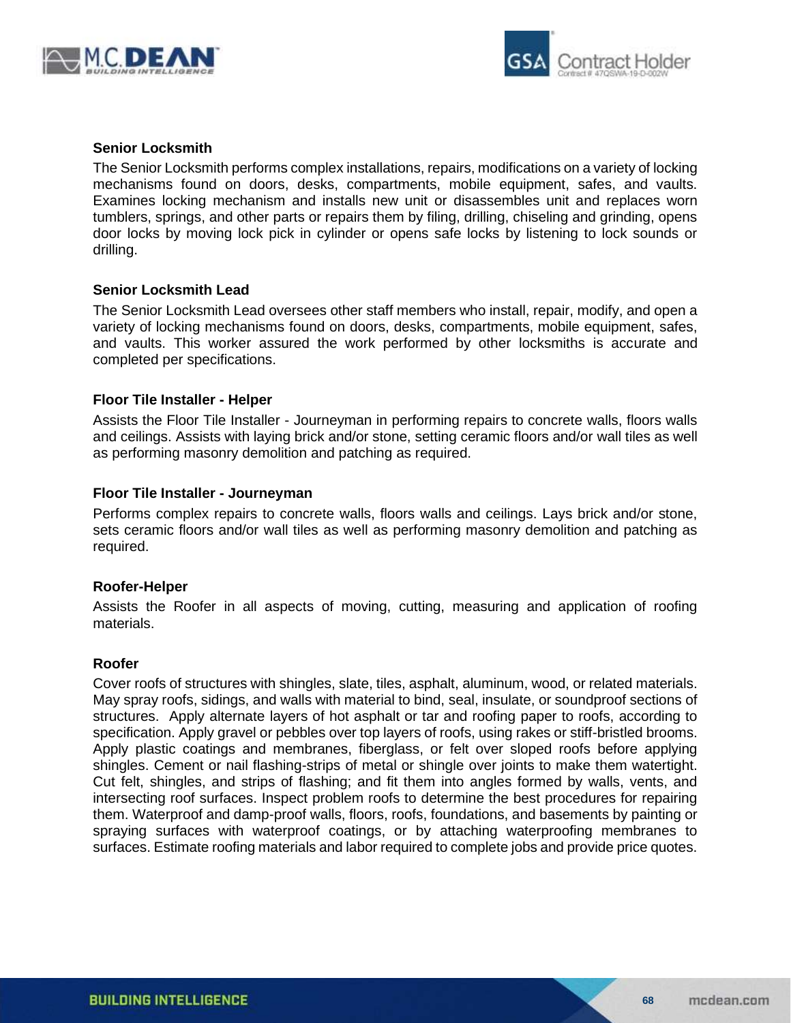



### **Senior Locksmith**

The Senior Locksmith performs complex installations, repairs, modifications on a variety of locking mechanisms found on doors, desks, compartments, mobile equipment, safes, and vaults. Examines locking mechanism and installs new unit or disassembles unit and replaces worn tumblers, springs, and other parts or repairs them by filing, drilling, chiseling and grinding, opens door locks by moving lock pick in cylinder or opens safe locks by listening to lock sounds or drilling.

### **Senior Locksmith Lead**

The Senior Locksmith Lead oversees other staff members who install, repair, modify, and open a variety of locking mechanisms found on doors, desks, compartments, mobile equipment, safes, and vaults. This worker assured the work performed by other locksmiths is accurate and completed per specifications.

# **Floor Tile Installer - Helper**

Assists the Floor Tile Installer - Journeyman in performing repairs to concrete walls, floors walls and ceilings. Assists with laying brick and/or stone, setting ceramic floors and/or wall tiles as well as performing masonry demolition and patching as required.

### **Floor Tile Installer - Journeyman**

Performs complex repairs to concrete walls, floors walls and ceilings. Lays brick and/or stone, sets ceramic floors and/or wall tiles as well as performing masonry demolition and patching as required.

### **Roofer-Helper**

Assists the Roofer in all aspects of moving, cutting, measuring and application of roofing materials.

### **Roofer**

Cover roofs of structures with shingles, slate, tiles, asphalt, aluminum, wood, or related materials. May spray roofs, sidings, and walls with material to bind, seal, insulate, or soundproof sections of structures. Apply alternate layers of hot asphalt or tar and roofing paper to roofs, according to specification. Apply gravel or pebbles over top layers of roofs, using rakes or stiff-bristled brooms. Apply plastic coatings and membranes, fiberglass, or felt over sloped roofs before applying shingles. Cement or nail flashing-strips of metal or shingle over joints to make them watertight. Cut felt, shingles, and strips of flashing; and fit them into angles formed by walls, vents, and intersecting roof surfaces. Inspect problem roofs to determine the best procedures for repairing them. Waterproof and damp-proof walls, floors, roofs, foundations, and basements by painting or spraying surfaces with waterproof coatings, or by attaching waterproofing membranes to surfaces. Estimate roofing materials and labor required to complete jobs and provide price quotes.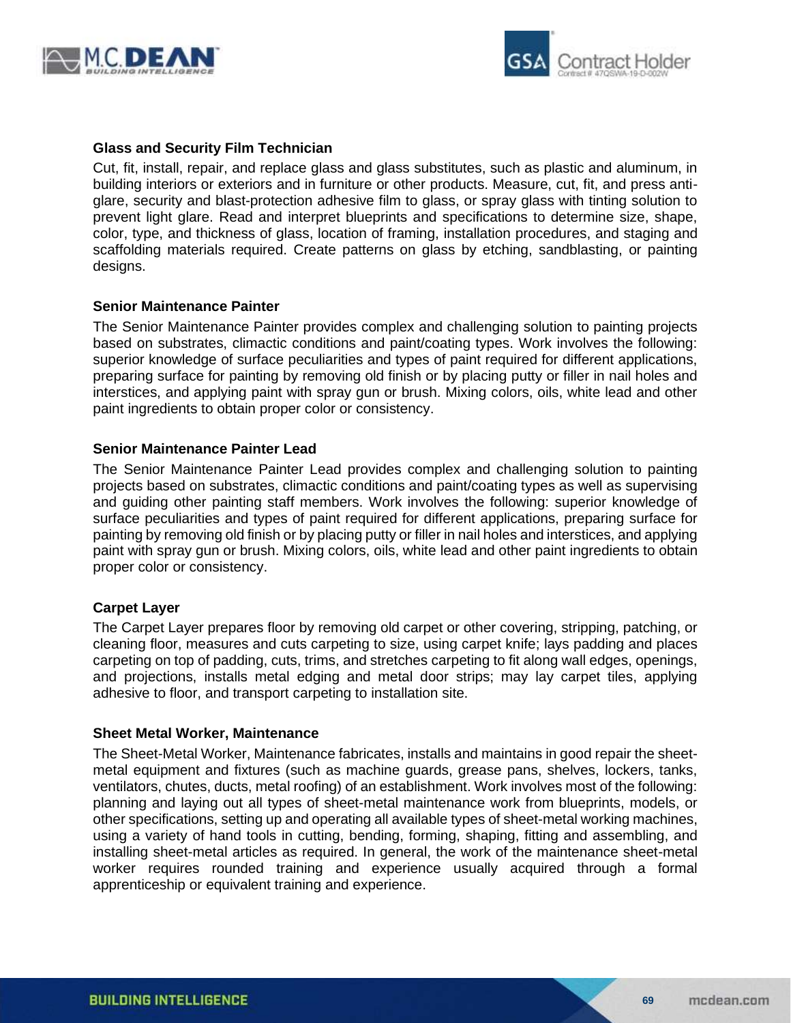



#### **Glass and Security Film Technician**

Cut, fit, install, repair, and replace glass and glass substitutes, such as plastic and aluminum, in building interiors or exteriors and in furniture or other products. Measure, cut, fit, and press antiglare, security and blast-protection adhesive film to glass, or spray glass with tinting solution to prevent light glare. Read and interpret blueprints and specifications to determine size, shape, color, type, and thickness of glass, location of framing, installation procedures, and staging and scaffolding materials required. Create patterns on glass by etching, sandblasting, or painting designs.

#### **Senior Maintenance Painter**

The Senior Maintenance Painter provides complex and challenging solution to painting projects based on substrates, climactic conditions and paint/coating types. Work involves the following: superior knowledge of surface peculiarities and types of paint required for different applications, preparing surface for painting by removing old finish or by placing putty or filler in nail holes and interstices, and applying paint with spray gun or brush. Mixing colors, oils, white lead and other paint ingredients to obtain proper color or consistency.

#### **Senior Maintenance Painter Lead**

The Senior Maintenance Painter Lead provides complex and challenging solution to painting projects based on substrates, climactic conditions and paint/coating types as well as supervising and guiding other painting staff members. Work involves the following: superior knowledge of surface peculiarities and types of paint required for different applications, preparing surface for painting by removing old finish or by placing putty or filler in nail holes and interstices, and applying paint with spray gun or brush. Mixing colors, oils, white lead and other paint ingredients to obtain proper color or consistency.

### **Carpet Layer**

The Carpet Layer prepares floor by removing old carpet or other covering, stripping, patching, or cleaning floor, measures and cuts carpeting to size, using carpet knife; lays padding and places carpeting on top of padding, cuts, trims, and stretches carpeting to fit along wall edges, openings, and projections, installs metal edging and metal door strips; may lay carpet tiles, applying adhesive to floor, and transport carpeting to installation site.

#### **Sheet Metal Worker, Maintenance**

The Sheet-Metal Worker, Maintenance fabricates, installs and maintains in good repair the sheetmetal equipment and fixtures (such as machine guards, grease pans, shelves, lockers, tanks, ventilators, chutes, ducts, metal roofing) of an establishment. Work involves most of the following: planning and laying out all types of sheet-metal maintenance work from blueprints, models, or other specifications, setting up and operating all available types of sheet-metal working machines, using a variety of hand tools in cutting, bending, forming, shaping, fitting and assembling, and installing sheet-metal articles as required. In general, the work of the maintenance sheet-metal worker requires rounded training and experience usually acquired through a formal apprenticeship or equivalent training and experience.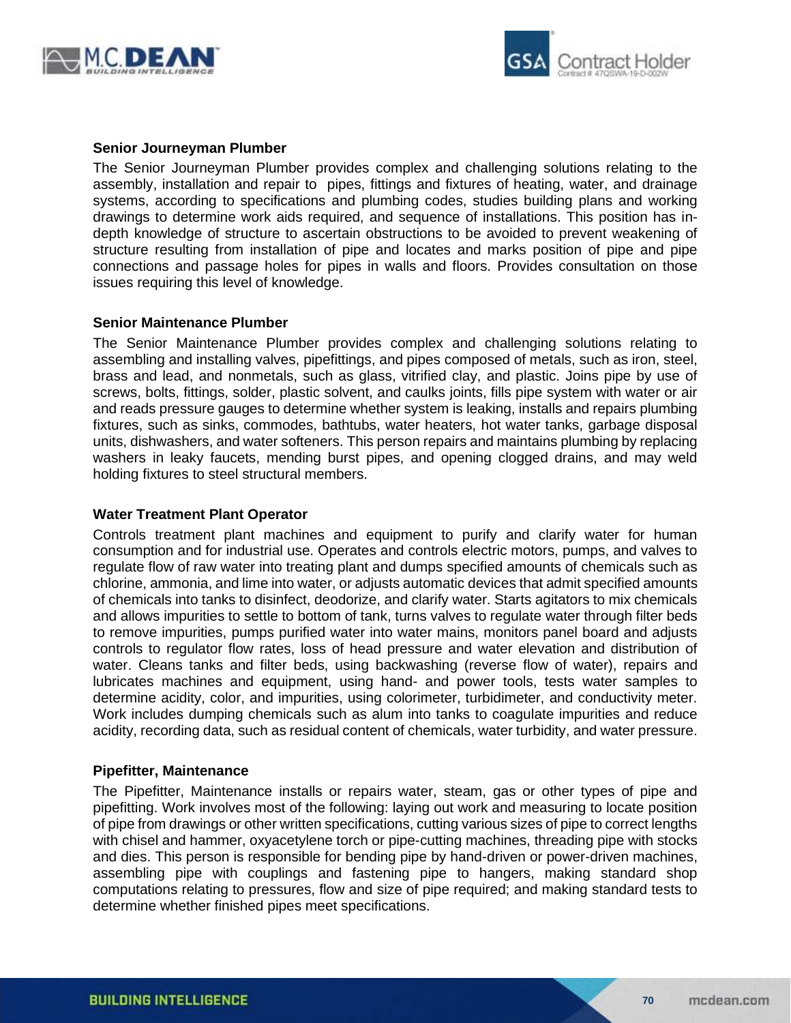



#### **Senior Journeyman Plumber**

The Senior Journeyman Plumber provides complex and challenging solutions relating to the assembly, installation and repair to pipes, fittings and fixtures of heating, water, and drainage systems, according to specifications and plumbing codes, studies building plans and working drawings to determine work aids required, and sequence of installations. This position has indepth knowledge of structure to ascertain obstructions to be avoided to prevent weakening of structure resulting from installation of pipe and locates and marks position of pipe and pipe connections and passage holes for pipes in walls and floors. Provides consultation on those issues requiring this level of knowledge.

#### **Senior Maintenance Plumber**

The Senior Maintenance Plumber provides complex and challenging solutions relating to assembling and installing valves, pipefittings, and pipes composed of metals, such as iron, steel, brass and lead, and nonmetals, such as glass, vitrified clay, and plastic. Joins pipe by use of screws, bolts, fittings, solder, plastic solvent, and caulks joints, fills pipe system with water or air and reads pressure gauges to determine whether system is leaking, installs and repairs plumbing fixtures, such as sinks, commodes, bathtubs, water heaters, hot water tanks, garbage disposal units, dishwashers, and water softeners. This person repairs and maintains plumbing by replacing washers in leaky faucets, mending burst pipes, and opening clogged drains, and may weld holding fixtures to steel structural members.

### **Water Treatment Plant Operator**

Controls treatment plant machines and equipment to purify and clarify water for human consumption and for industrial use. Operates and controls electric motors, pumps, and valves to regulate flow of raw water into treating plant and dumps specified amounts of chemicals such as chlorine, ammonia, and lime into water, or adjusts automatic devices that admit specified amounts of chemicals into tanks to disinfect, deodorize, and clarify water. Starts agitators to mix chemicals and allows impurities to settle to bottom of tank, turns valves to regulate water through filter beds to remove impurities, pumps purified water into water mains, monitors panel board and adjusts controls to regulator flow rates, loss of head pressure and water elevation and distribution of water. Cleans tanks and filter beds, using backwashing (reverse flow of water), repairs and lubricates machines and equipment, using hand- and power tools, tests water samples to determine acidity, color, and impurities, using colorimeter, turbidimeter, and conductivity meter. Work includes dumping chemicals such as alum into tanks to coagulate impurities and reduce acidity, recording data, such as residual content of chemicals, water turbidity, and water pressure.

#### **Pipefitter, Maintenance**

The Pipefitter, Maintenance installs or repairs water, steam, gas or other types of pipe and pipefitting. Work involves most of the following: laying out work and measuring to locate position of pipe from drawings or other written specifications, cutting various sizes of pipe to correct lengths with chisel and hammer, oxyacetylene torch or pipe-cutting machines, threading pipe with stocks and dies. This person is responsible for bending pipe by hand-driven or power-driven machines, assembling pipe with couplings and fastening pipe to hangers, making standard shop computations relating to pressures, flow and size of pipe required; and making standard tests to determine whether finished pipes meet specifications.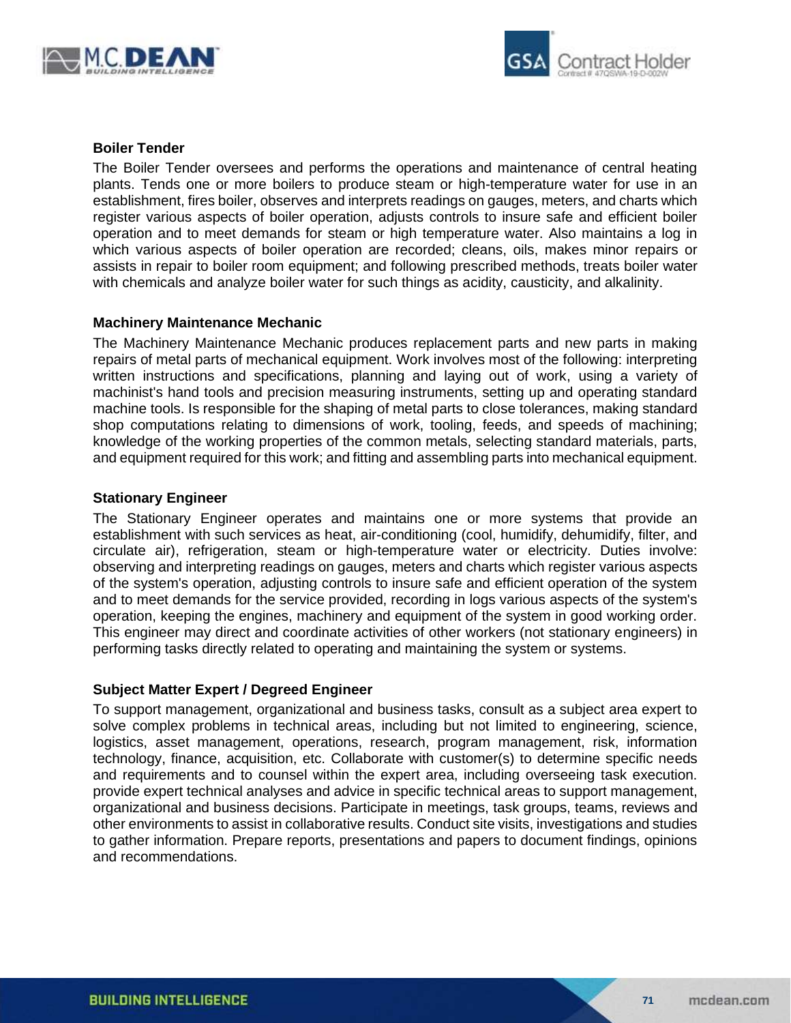



### **Boiler Tender**

The Boiler Tender oversees and performs the operations and maintenance of central heating plants. Tends one or more boilers to produce steam or high-temperature water for use in an establishment, fires boiler, observes and interprets readings on gauges, meters, and charts which register various aspects of boiler operation, adjusts controls to insure safe and efficient boiler operation and to meet demands for steam or high temperature water. Also maintains a log in which various aspects of boiler operation are recorded; cleans, oils, makes minor repairs or assists in repair to boiler room equipment; and following prescribed methods, treats boiler water with chemicals and analyze boiler water for such things as acidity, causticity, and alkalinity.

#### **Machinery Maintenance Mechanic**

The Machinery Maintenance Mechanic produces replacement parts and new parts in making repairs of metal parts of mechanical equipment. Work involves most of the following: interpreting written instructions and specifications, planning and laying out of work, using a variety of machinist's hand tools and precision measuring instruments, setting up and operating standard machine tools. Is responsible for the shaping of metal parts to close tolerances, making standard shop computations relating to dimensions of work, tooling, feeds, and speeds of machining; knowledge of the working properties of the common metals, selecting standard materials, parts, and equipment required for this work; and fitting and assembling parts into mechanical equipment.

#### **Stationary Engineer**

The Stationary Engineer operates and maintains one or more systems that provide an establishment with such services as heat, air-conditioning (cool, humidify, dehumidify, filter, and circulate air), refrigeration, steam or high-temperature water or electricity. Duties involve: observing and interpreting readings on gauges, meters and charts which register various aspects of the system's operation, adjusting controls to insure safe and efficient operation of the system and to meet demands for the service provided, recording in logs various aspects of the system's operation, keeping the engines, machinery and equipment of the system in good working order. This engineer may direct and coordinate activities of other workers (not stationary engineers) in performing tasks directly related to operating and maintaining the system or systems.

### **Subject Matter Expert / Degreed Engineer**

To support management, organizational and business tasks, consult as a subject area expert to solve complex problems in technical areas, including but not limited to engineering, science, logistics, asset management, operations, research, program management, risk, information technology, finance, acquisition, etc. Collaborate with customer(s) to determine specific needs and requirements and to counsel within the expert area, including overseeing task execution. provide expert technical analyses and advice in specific technical areas to support management, organizational and business decisions. Participate in meetings, task groups, teams, reviews and other environments to assist in collaborative results. Conduct site visits, investigations and studies to gather information. Prepare reports, presentations and papers to document findings, opinions and recommendations.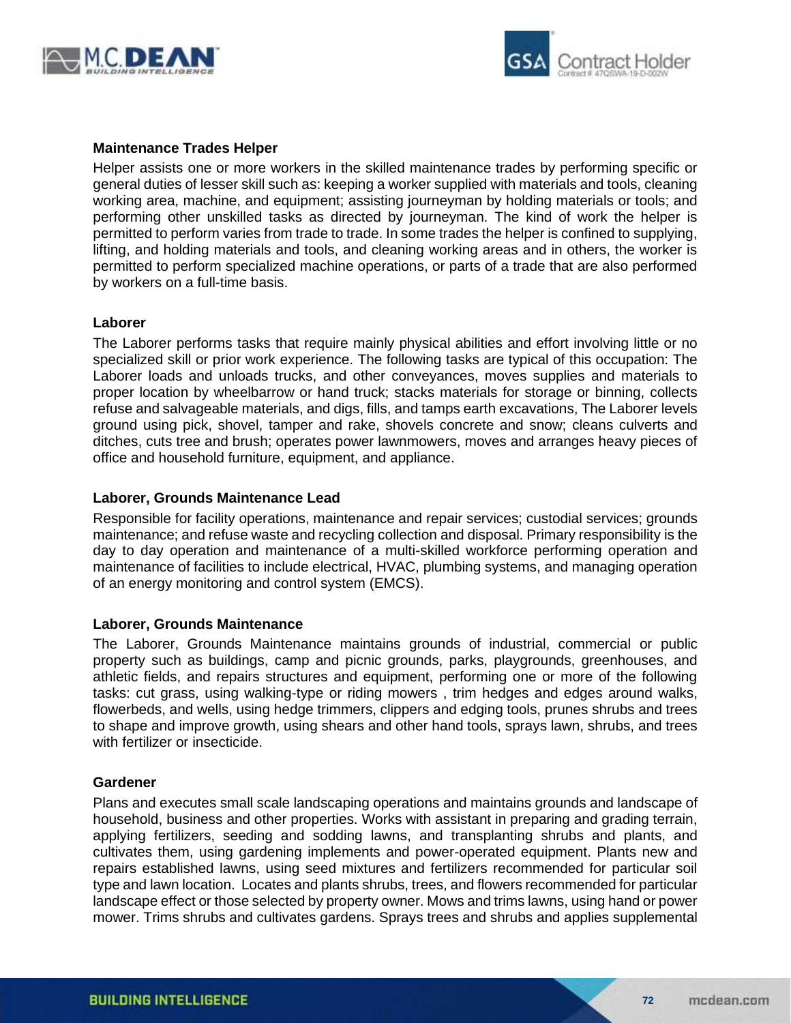



### **Maintenance Trades Helper**

Helper assists one or more workers in the skilled maintenance trades by performing specific or general duties of lesser skill such as: keeping a worker supplied with materials and tools, cleaning working area, machine, and equipment; assisting journeyman by holding materials or tools; and performing other unskilled tasks as directed by journeyman. The kind of work the helper is permitted to perform varies from trade to trade. In some trades the helper is confined to supplying, lifting, and holding materials and tools, and cleaning working areas and in others, the worker is permitted to perform specialized machine operations, or parts of a trade that are also performed by workers on a full-time basis.

### **Laborer**

The Laborer performs tasks that require mainly physical abilities and effort involving little or no specialized skill or prior work experience. The following tasks are typical of this occupation: The Laborer loads and unloads trucks, and other conveyances, moves supplies and materials to proper location by wheelbarrow or hand truck; stacks materials for storage or binning, collects refuse and salvageable materials, and digs, fills, and tamps earth excavations, The Laborer levels ground using pick, shovel, tamper and rake, shovels concrete and snow; cleans culverts and ditches, cuts tree and brush; operates power lawnmowers, moves and arranges heavy pieces of office and household furniture, equipment, and appliance.

# **Laborer, Grounds Maintenance Lead**

Responsible for facility operations, maintenance and repair services; custodial services; grounds maintenance; and refuse waste and recycling collection and disposal. Primary responsibility is the day to day operation and maintenance of a multi-skilled workforce performing operation and maintenance of facilities to include electrical, HVAC, plumbing systems, and managing operation of an energy monitoring and control system (EMCS).

### **Laborer, Grounds Maintenance**

The Laborer, Grounds Maintenance maintains grounds of industrial, commercial or public property such as buildings, camp and picnic grounds, parks, playgrounds, greenhouses, and athletic fields, and repairs structures and equipment, performing one or more of the following tasks: cut grass, using walking-type or riding mowers , trim hedges and edges around walks, flowerbeds, and wells, using hedge trimmers, clippers and edging tools, prunes shrubs and trees to shape and improve growth, using shears and other hand tools, sprays lawn, shrubs, and trees with fertilizer or insecticide.

### **Gardener**

Plans and executes small scale landscaping operations and maintains grounds and landscape of household, business and other properties. Works with assistant in preparing and grading terrain, applying fertilizers, seeding and sodding lawns, and transplanting shrubs and plants, and cultivates them, using gardening implements and power-operated equipment. Plants new and repairs established lawns, using seed mixtures and fertilizers recommended for particular soil type and lawn location. Locates and plants shrubs, trees, and flowers recommended for particular landscape effect or those selected by property owner. Mows and trims lawns, using hand or power mower. Trims shrubs and cultivates gardens. Sprays trees and shrubs and applies supplemental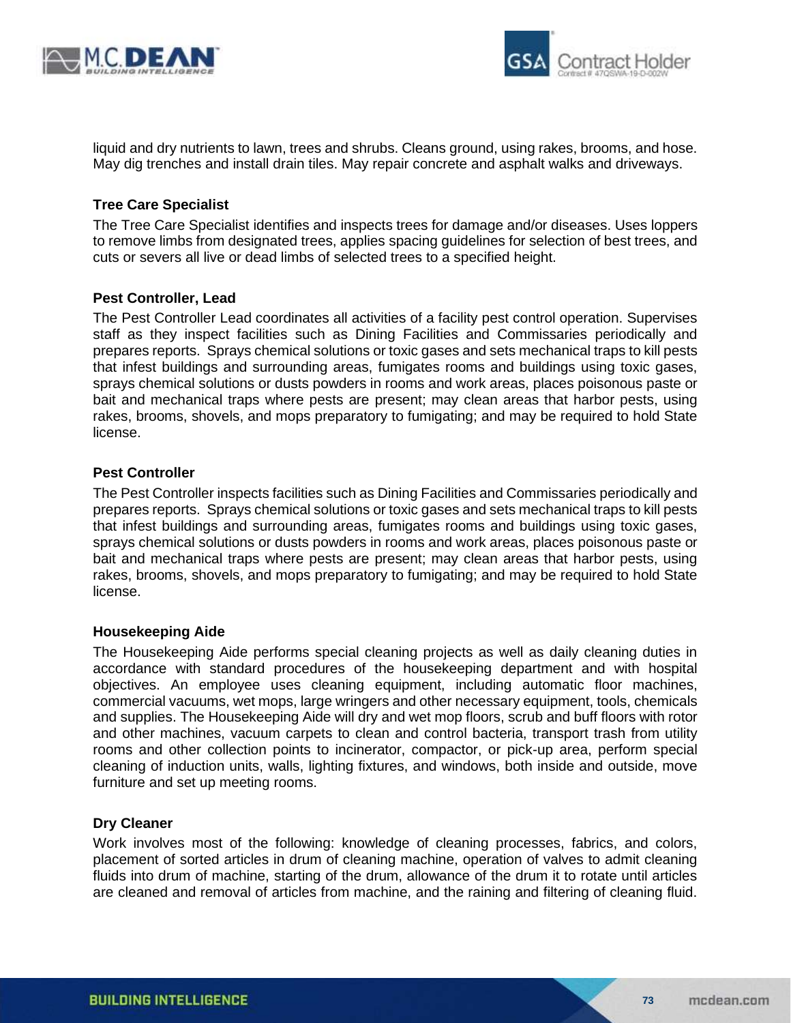



liquid and dry nutrients to lawn, trees and shrubs. Cleans ground, using rakes, brooms, and hose. May dig trenches and install drain tiles. May repair concrete and asphalt walks and driveways.

# **Tree Care Specialist**

The Tree Care Specialist identifies and inspects trees for damage and/or diseases. Uses loppers to remove limbs from designated trees, applies spacing guidelines for selection of best trees, and cuts or severs all live or dead limbs of selected trees to a specified height.

#### **Pest Controller, Lead**

The Pest Controller Lead coordinates all activities of a facility pest control operation. Supervises staff as they inspect facilities such as Dining Facilities and Commissaries periodically and prepares reports. Sprays chemical solutions or toxic gases and sets mechanical traps to kill pests that infest buildings and surrounding areas, fumigates rooms and buildings using toxic gases, sprays chemical solutions or dusts powders in rooms and work areas, places poisonous paste or bait and mechanical traps where pests are present; may clean areas that harbor pests, using rakes, brooms, shovels, and mops preparatory to fumigating; and may be required to hold State license.

#### **Pest Controller**

The Pest Controller inspects facilities such as Dining Facilities and Commissaries periodically and prepares reports. Sprays chemical solutions or toxic gases and sets mechanical traps to kill pests that infest buildings and surrounding areas, fumigates rooms and buildings using toxic gases, sprays chemical solutions or dusts powders in rooms and work areas, places poisonous paste or bait and mechanical traps where pests are present; may clean areas that harbor pests, using rakes, brooms, shovels, and mops preparatory to fumigating; and may be required to hold State license.

#### **Housekeeping Aide**

The Housekeeping Aide performs special cleaning projects as well as daily cleaning duties in accordance with standard procedures of the housekeeping department and with hospital objectives. An employee uses cleaning equipment, including automatic floor machines, commercial vacuums, wet mops, large wringers and other necessary equipment, tools, chemicals and supplies. The Housekeeping Aide will dry and wet mop floors, scrub and buff floors with rotor and other machines, vacuum carpets to clean and control bacteria, transport trash from utility rooms and other collection points to incinerator, compactor, or pick-up area, perform special cleaning of induction units, walls, lighting fixtures, and windows, both inside and outside, move furniture and set up meeting rooms.

# **Dry Cleaner**

Work involves most of the following: knowledge of cleaning processes, fabrics, and colors, placement of sorted articles in drum of cleaning machine, operation of valves to admit cleaning fluids into drum of machine, starting of the drum, allowance of the drum it to rotate until articles are cleaned and removal of articles from machine, and the raining and filtering of cleaning fluid.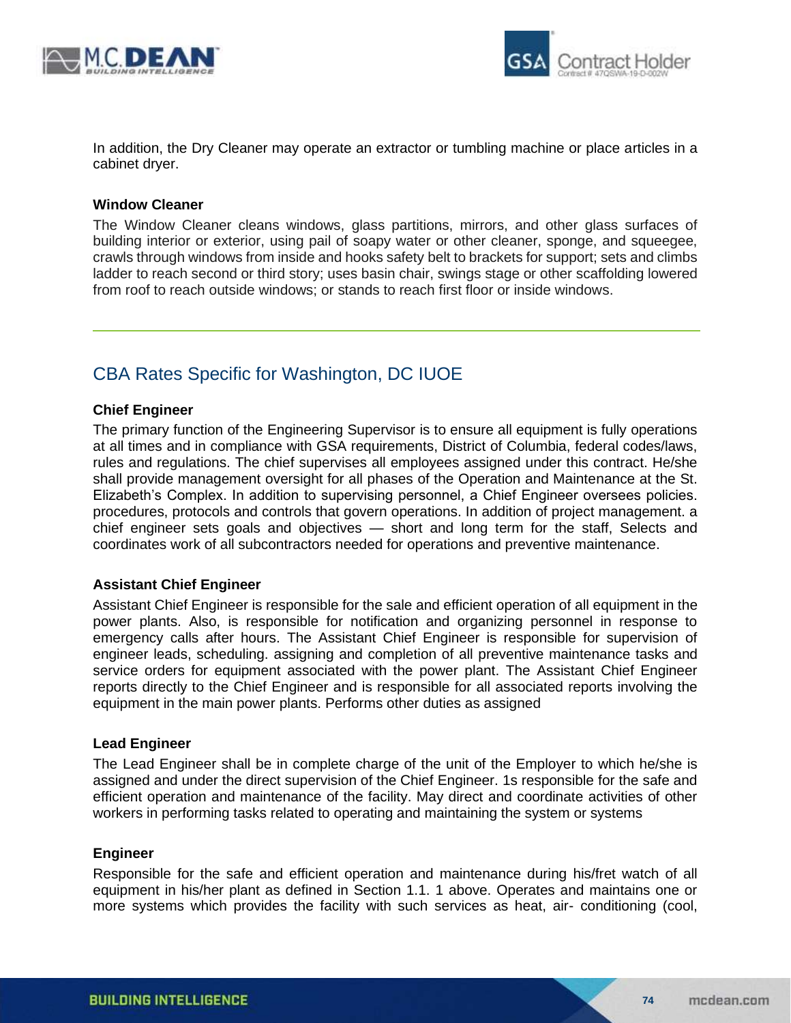



In addition, the Dry Cleaner may operate an extractor or tumbling machine or place articles in a cabinet dryer.

#### **Window Cleaner**

The Window Cleaner cleans windows, glass partitions, mirrors, and other glass surfaces of building interior or exterior, using pail of soapy water or other cleaner, sponge, and squeegee, crawls through windows from inside and hooks safety belt to brackets for support; sets and climbs ladder to reach second or third story; uses basin chair, swings stage or other scaffolding lowered from roof to reach outside windows; or stands to reach first floor or inside windows.

# CBA Rates Specific for Washington, DC IUOE

#### **Chief Engineer**

The primary function of the Engineering Supervisor is to ensure all equipment is fully operations at all times and in compliance with GSA requirements, District of Columbia, federal codes/laws, rules and regulations. The chief supervises all employees assigned under this contract. He/she shall provide management oversight for all phases of the Operation and Maintenance at the St. Elizabeth's Complex. In addition to supervising personnel, a Chief Engineer oversees policies. procedures, protocols and controls that govern operations. In addition of project management. a chief engineer sets goals and objectives — short and long term for the staff, Selects and coordinates work of all subcontractors needed for operations and preventive maintenance.

# **Assistant Chief Engineer**

Assistant Chief Engineer is responsible for the sale and efficient operation of all equipment in the power plants. Also, is responsible for notification and organizing personnel in response to emergency calls after hours. The Assistant Chief Engineer is responsible for supervision of engineer leads, scheduling. assigning and completion of all preventive maintenance tasks and service orders for equipment associated with the power plant. The Assistant Chief Engineer reports directly to the Chief Engineer and is responsible for all associated reports involving the equipment in the main power plants. Performs other duties as assigned

#### **Lead Engineer**

The Lead Engineer shall be in complete charge of the unit of the Employer to which he/she is assigned and under the direct supervision of the Chief Engineer. 1s responsible for the safe and efficient operation and maintenance of the facility. May direct and coordinate activities of other workers in performing tasks related to operating and maintaining the system or systems

#### **Engineer**

Responsible for the safe and efficient operation and maintenance during his/fret watch of all equipment in his/her plant as defined in Section 1.1. 1 above. Operates and maintains one or more systems which provides the facility with such services as heat, air- conditioning (cool,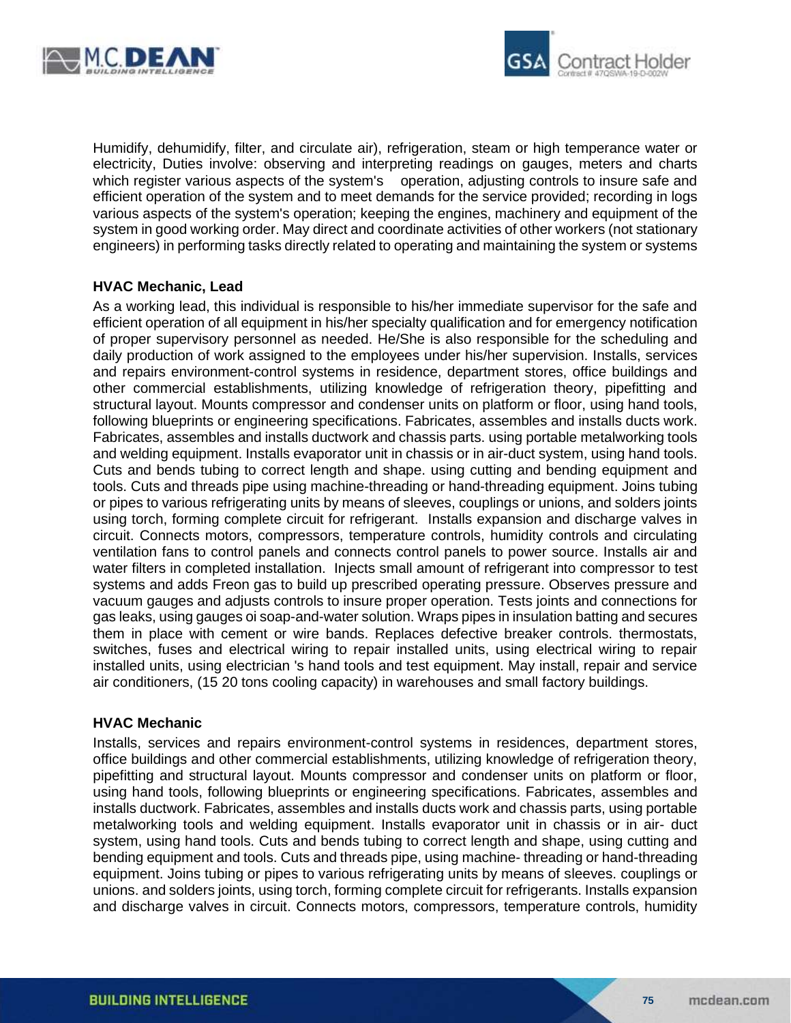



Humidify, dehumidify, filter, and circulate air), refrigeration, steam or high temperance water or electricity, Duties involve: observing and interpreting readings on gauges, meters and charts which register various aspects of the system's operation, adjusting controls to insure safe and efficient operation of the system and to meet demands for the service provided; recording in logs various aspects of the system's operation; keeping the engines, machinery and equipment of the system in good working order. May direct and coordinate activities of other workers (not stationary engineers) in performing tasks directly related to operating and maintaining the system or systems

# **HVAC Mechanic, Lead**

As a working lead, this individual is responsible to his/her immediate supervisor for the safe and efficient operation of all equipment in his/her specialty qualification and for emergency notification of proper supervisory personnel as needed. He/She is also responsible for the scheduling and daily production of work assigned to the employees under his/her supervision. Installs, services and repairs environment-control systems in residence, department stores, office buildings and other commercial establishments, utilizing knowledge of refrigeration theory, pipefitting and structural layout. Mounts compressor and condenser units on platform or floor, using hand tools, following blueprints or engineering specifications. Fabricates, assembles and installs ducts work. Fabricates, assembles and installs ductwork and chassis parts. using portable metalworking tools and welding equipment. Installs evaporator unit in chassis or in air-duct system, using hand tools. Cuts and bends tubing to correct length and shape. using cutting and bending equipment and tools. Cuts and threads pipe using machine-threading or hand-threading equipment. Joins tubing or pipes to various refrigerating units by means of sleeves, couplings or unions, and solders joints using torch, forming complete circuit for refrigerant. Installs expansion and discharge valves in circuit. Connects motors, compressors, temperature controls, humidity controls and circulating ventilation fans to control panels and connects control panels to power source. Installs air and water filters in completed installation. Injects small amount of refrigerant into compressor to test systems and adds Freon gas to build up prescribed operating pressure. Observes pressure and vacuum gauges and adjusts controls to insure proper operation. Tests joints and connections for gas leaks, using gauges oi soap-and-water solution. Wraps pipes in insulation batting and secures them in place with cement or wire bands. Replaces defective breaker controls. thermostats, switches, fuses and electrical wiring to repair installed units, using electrical wiring to repair installed units, using electrician 's hand tools and test equipment. May install, repair and service air conditioners, (15 20 tons cooling capacity) in warehouses and small factory buildings.

# **HVAC Mechanic**

Installs, services and repairs environment-control systems in residences, department stores, office buildings and other commercial establishments, utilizing knowledge of refrigeration theory, pipefitting and structural layout. Mounts compressor and condenser units on platform or floor, using hand tools, following blueprints or engineering specifications. Fabricates, assembles and installs ductwork. Fabricates, assembles and installs ducts work and chassis parts, using portable metalworking tools and welding equipment. Installs evaporator unit in chassis or in air- duct system, using hand tools. Cuts and bends tubing to correct length and shape, using cutting and bending equipment and tools. Cuts and threads pipe, using machine- threading or hand-threading equipment. Joins tubing or pipes to various refrigerating units by means of sleeves. couplings or unions. and solders joints, using torch, forming complete circuit for refrigerants. Installs expansion and discharge valves in circuit. Connects motors, compressors, temperature controls, humidity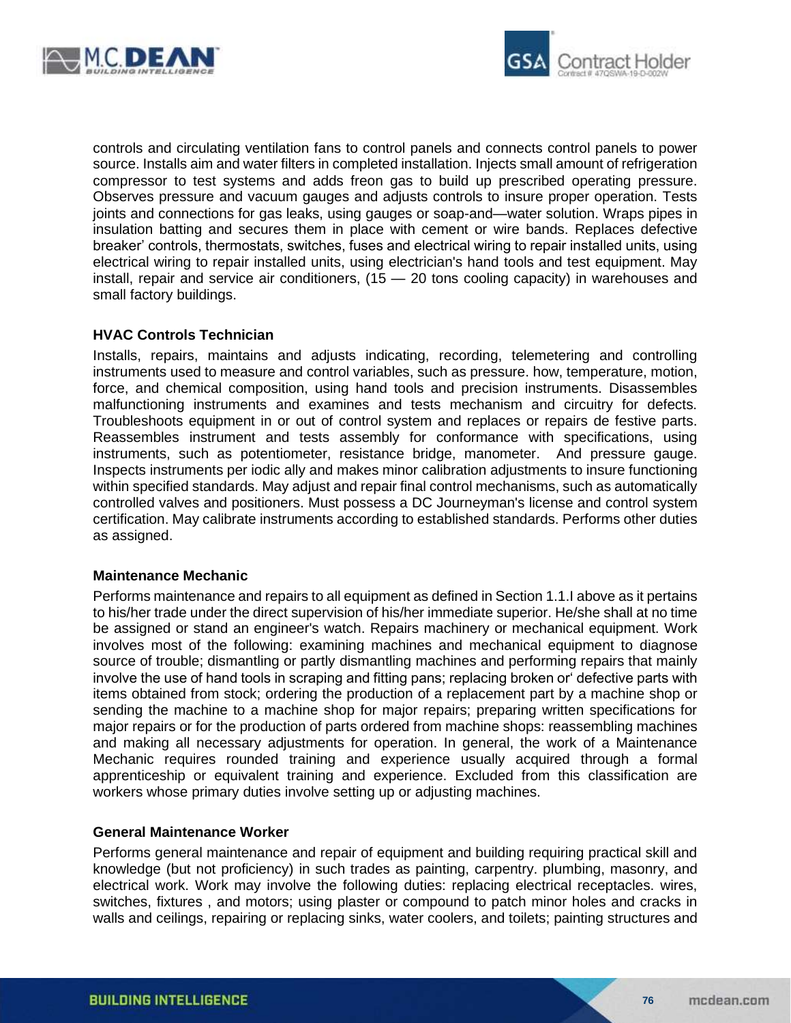



controls and circulating ventilation fans to control panels and connects control panels to power source. Installs aim and water filters in completed installation. Injects small amount of refrigeration compressor to test systems and adds freon gas to build up prescribed operating pressure. Observes pressure and vacuum gauges and adjusts controls to insure proper operation. Tests joints and connections for gas leaks, using gauges or soap-and—water solution. Wraps pipes in insulation batting and secures them in place with cement or wire bands. Replaces defective breaker' controls, thermostats, switches, fuses and electrical wiring to repair installed units, using electrical wiring to repair installed units, using electrician's hand tools and test equipment. May install, repair and service air conditioners, (15 — 20 tons cooling capacity) in warehouses and small factory buildings.

# **HVAC Controls Technician**

Installs, repairs, maintains and adjusts indicating, recording, telemetering and controlling instruments used to measure and control variables, such as pressure. how, temperature, motion, force, and chemical composition, using hand tools and precision instruments. Disassembles malfunctioning instruments and examines and tests mechanism and circuitry for defects. Troubleshoots equipment in or out of control system and replaces or repairs de festive parts. Reassembles instrument and tests assembly for conformance with specifications, using instruments, such as potentiometer, resistance bridge, manometer. And pressure gauge. Inspects instruments per iodic ally and makes minor calibration adjustments to insure functioning within specified standards. May adjust and repair final control mechanisms, such as automatically controlled valves and positioners. Must possess a DC Journeyman's license and control system certification. May calibrate instruments according to established standards. Performs other duties as assigned.

# **Maintenance Mechanic**

Performs maintenance and repairs to all equipment as defined in Section 1.1.I above as it pertains to his/her trade under the direct supervision of his/her immediate superior. He/she shall at no time be assigned or stand an engineer's watch. Repairs machinery or mechanical equipment. Work involves most of the following: examining machines and mechanical equipment to diagnose source of trouble; dismantling or partly dismantling machines and performing repairs that mainly involve the use of hand tools in scraping and fitting pans; replacing broken or' defective parts with items obtained from stock; ordering the production of a replacement part by a machine shop or sending the machine to a machine shop for major repairs; preparing written specifications for major repairs or for the production of parts ordered from machine shops: reassembling machines and making all necessary adjustments for operation. In general, the work of a Maintenance Mechanic requires rounded training and experience usually acquired through a formal apprenticeship or equivalent training and experience. Excluded from this classification are workers whose primary duties involve setting up or adjusting machines.

# **General Maintenance Worker**

Performs general maintenance and repair of equipment and building requiring practical skill and knowledge (but not proficiency) in such trades as painting, carpentry. plumbing, masonry, and electrical work. Work may involve the following duties: replacing electrical receptacles. wires, switches, fixtures , and motors; using plaster or compound to patch minor holes and cracks in walls and ceilings, repairing or replacing sinks, water coolers, and toilets; painting structures and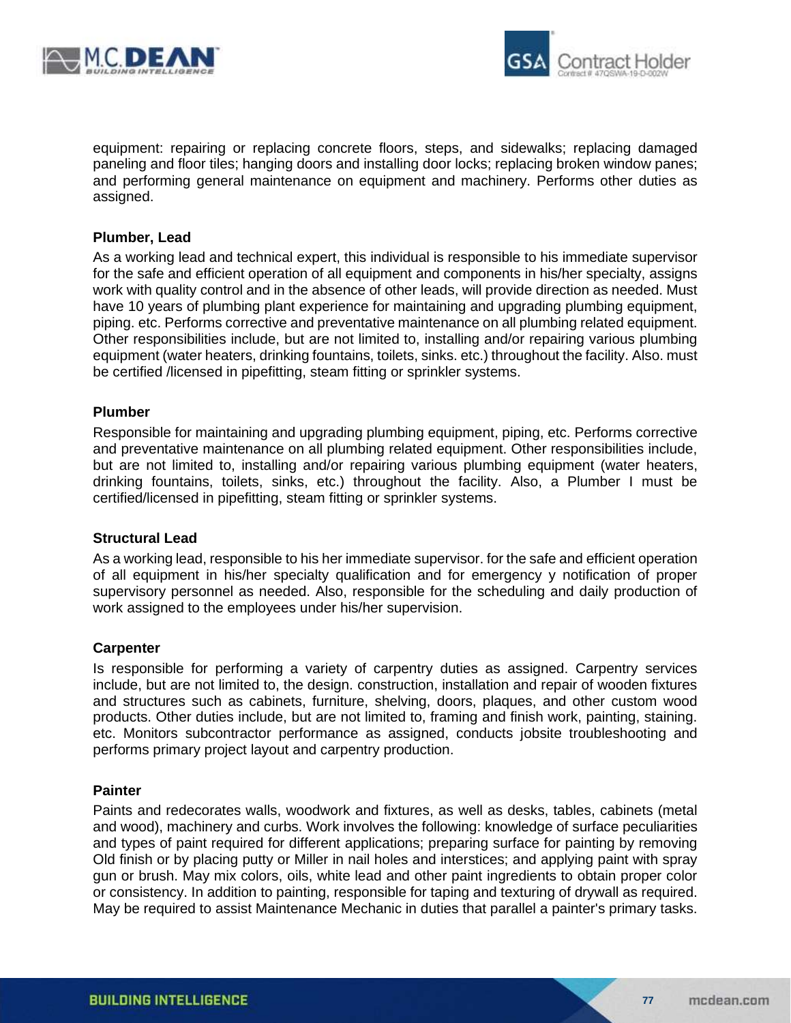



equipment: repairing or replacing concrete floors, steps, and sidewalks; replacing damaged paneling and floor tiles; hanging doors and installing door locks; replacing broken window panes; and performing general maintenance on equipment and machinery. Performs other duties as assigned.

# **Plumber, Lead**

As a working lead and technical expert, this individual is responsible to his immediate supervisor for the safe and efficient operation of all equipment and components in his/her specialty, assigns work with quality control and in the absence of other leads, will provide direction as needed. Must have 10 years of plumbing plant experience for maintaining and upgrading plumbing equipment, piping. etc. Performs corrective and preventative maintenance on all plumbing related equipment. Other responsibilities include, but are not limited to, installing and/or repairing various plumbing equipment (water heaters, drinking fountains, toilets, sinks. etc.) throughout the facility. Also. must be certified /licensed in pipefitting, steam fitting or sprinkler systems.

# **Plumber**

Responsible for maintaining and upgrading plumbing equipment, piping, etc. Performs corrective and preventative maintenance on all plumbing related equipment. Other responsibilities include, but are not limited to, installing and/or repairing various plumbing equipment (water heaters, drinking fountains, toilets, sinks, etc.) throughout the facility. Also, a Plumber I must be certified/licensed in pipefitting, steam fitting or sprinkler systems.

#### **Structural Lead**

As a working lead, responsible to his her immediate supervisor. for the safe and efficient operation of all equipment in his/her specialty qualification and for emergency y notification of proper supervisory personnel as needed. Also, responsible for the scheduling and daily production of work assigned to the employees under his/her supervision.

# **Carpenter**

Is responsible for performing a variety of carpentry duties as assigned. Carpentry services include, but are not limited to, the design. construction, installation and repair of wooden fixtures and structures such as cabinets, furniture, shelving, doors, plaques, and other custom wood products. Other duties include, but are not limited to, framing and finish work, painting, staining. etc. Monitors subcontractor performance as assigned, conducts jobsite troubleshooting and performs primary project layout and carpentry production.

#### **Painter**

Paints and redecorates walls, woodwork and fixtures, as well as desks, tables, cabinets (metal and wood), machinery and curbs. Work involves the following: knowledge of surface peculiarities and types of paint required for different applications; preparing surface for painting by removing Old finish or by placing putty or Miller in nail holes and interstices; and applying paint with spray gun or brush. May mix colors, oils, white lead and other paint ingredients to obtain proper color or consistency. In addition to painting, responsible for taping and texturing of drywall as required. May be required to assist Maintenance Mechanic in duties that parallel a painter's primary tasks.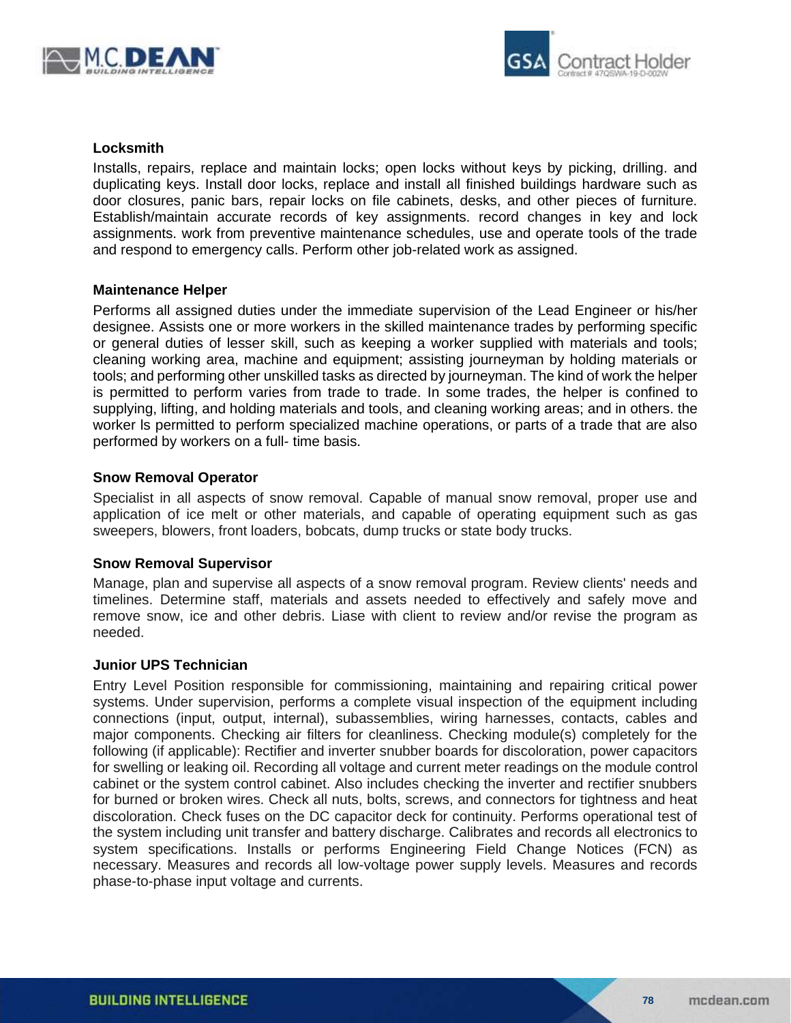



#### **Locksmith**

Installs, repairs, replace and maintain locks; open locks without keys by picking, drilling. and duplicating keys. Install door locks, replace and install all finished buildings hardware such as door closures, panic bars, repair locks on file cabinets, desks, and other pieces of furniture. Establish/maintain accurate records of key assignments. record changes in key and lock assignments. work from preventive maintenance schedules, use and operate tools of the trade and respond to emergency calls. Perform other job-related work as assigned.

#### **Maintenance Helper**

Performs all assigned duties under the immediate supervision of the Lead Engineer or his/her designee. Assists one or more workers in the skilled maintenance trades by performing specific or general duties of lesser skill, such as keeping a worker supplied with materials and tools; cleaning working area, machine and equipment; assisting journeyman by holding materials or tools; and performing other unskilled tasks as directed by journeyman. The kind of work the helper is permitted to perform varies from trade to trade. In some trades, the helper is confined to supplying, lifting, and holding materials and tools, and cleaning working areas; and in others. the worker ls permitted to perform specialized machine operations, or parts of a trade that are also performed by workers on a full- time basis.

#### **Snow Removal Operator**

Specialist in all aspects of snow removal. Capable of manual snow removal, proper use and application of ice melt or other materials, and capable of operating equipment such as gas sweepers, blowers, front loaders, bobcats, dump trucks or state body trucks.

#### **Snow Removal Supervisor**

Manage, plan and supervise all aspects of a snow removal program. Review clients' needs and timelines. Determine staff, materials and assets needed to effectively and safely move and remove snow, ice and other debris. Liase with client to review and/or revise the program as needed.

#### **Junior UPS Technician**

Entry Level Position responsible for commissioning, maintaining and repairing critical power systems. Under supervision, performs a complete visual inspection of the equipment including connections (input, output, internal), subassemblies, wiring harnesses, contacts, cables and major components. Checking air filters for cleanliness. Checking module(s) completely for the following (if applicable): Rectifier and inverter snubber boards for discoloration, power capacitors for swelling or leaking oil. Recording all voltage and current meter readings on the module control cabinet or the system control cabinet. Also includes checking the inverter and rectifier snubbers for burned or broken wires. Check all nuts, bolts, screws, and connectors for tightness and heat discoloration. Check fuses on the DC capacitor deck for continuity. Performs operational test of the system including unit transfer and battery discharge. Calibrates and records all electronics to system specifications. Installs or performs Engineering Field Change Notices (FCN) as necessary. Measures and records all low-voltage power supply levels. Measures and records phase-to-phase input voltage and currents.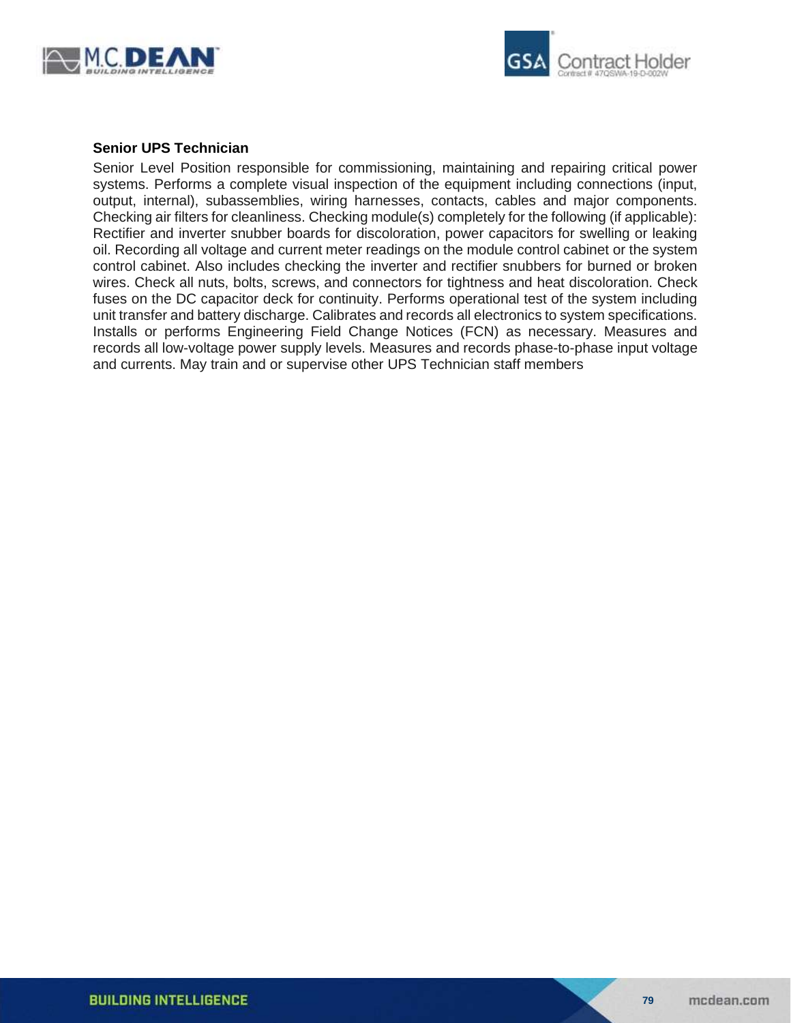



# **Senior UPS Technician**

Senior Level Position responsible for commissioning, maintaining and repairing critical power systems. Performs a complete visual inspection of the equipment including connections (input, output, internal), subassemblies, wiring harnesses, contacts, cables and major components. Checking air filters for cleanliness. Checking module(s) completely for the following (if applicable): Rectifier and inverter snubber boards for discoloration, power capacitors for swelling or leaking oil. Recording all voltage and current meter readings on the module control cabinet or the system control cabinet. Also includes checking the inverter and rectifier snubbers for burned or broken wires. Check all nuts, bolts, screws, and connectors for tightness and heat discoloration. Check fuses on the DC capacitor deck for continuity. Performs operational test of the system including unit transfer and battery discharge. Calibrates and records all electronics to system specifications. Installs or performs Engineering Field Change Notices (FCN) as necessary. Measures and records all low-voltage power supply levels. Measures and records phase-to-phase input voltage and currents. May train and or supervise other UPS Technician staff members